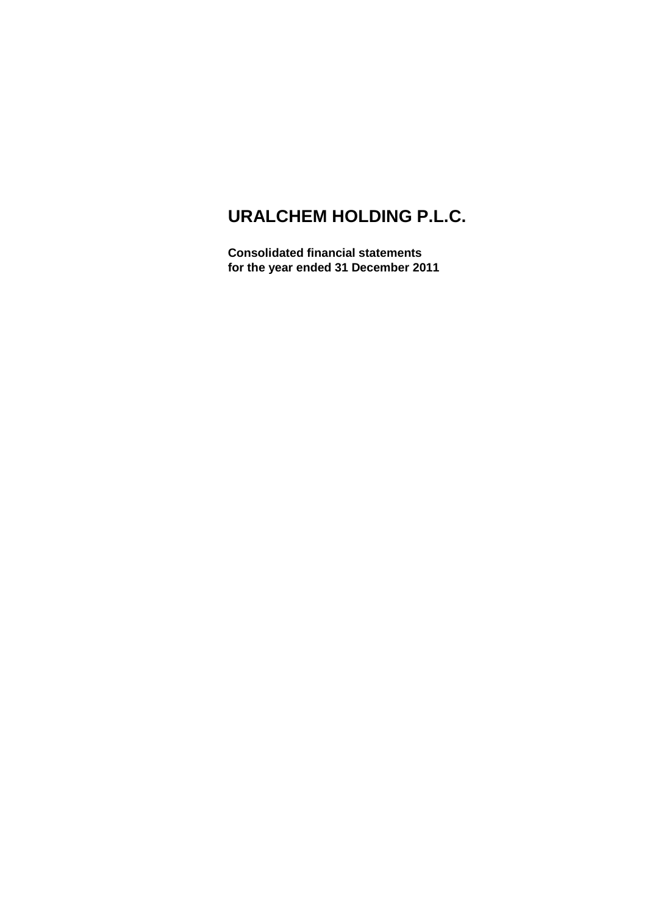**Consolidated financial statements for the year ended 31 December 2011**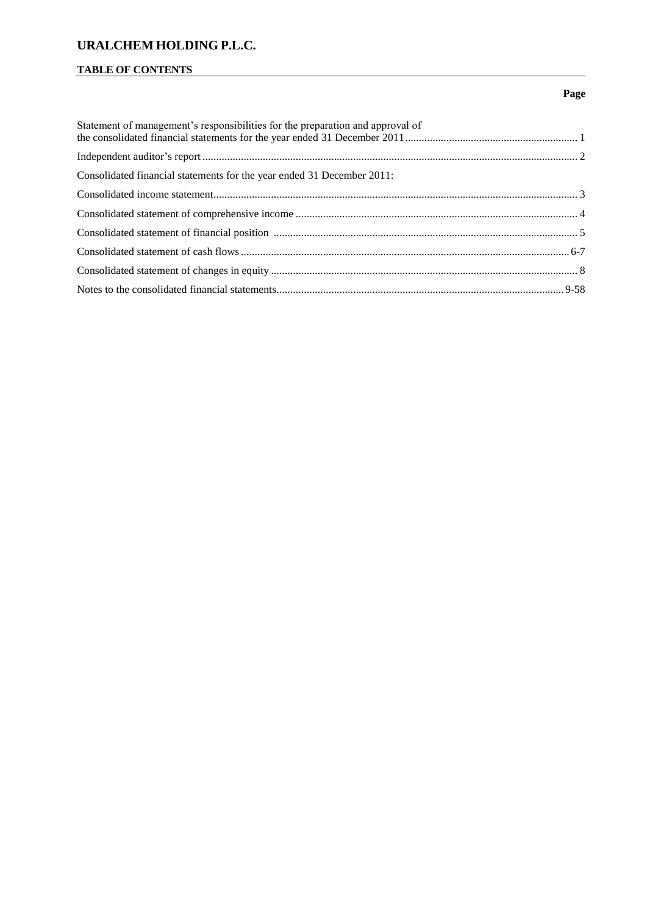# **TABLE OF CONTENTS**

# **Page**

| Statement of management's responsibilities for the preparation and approval of |  |
|--------------------------------------------------------------------------------|--|
|                                                                                |  |
| Consolidated financial statements for the year ended 31 December 2011:         |  |
|                                                                                |  |
|                                                                                |  |
|                                                                                |  |
|                                                                                |  |
|                                                                                |  |
|                                                                                |  |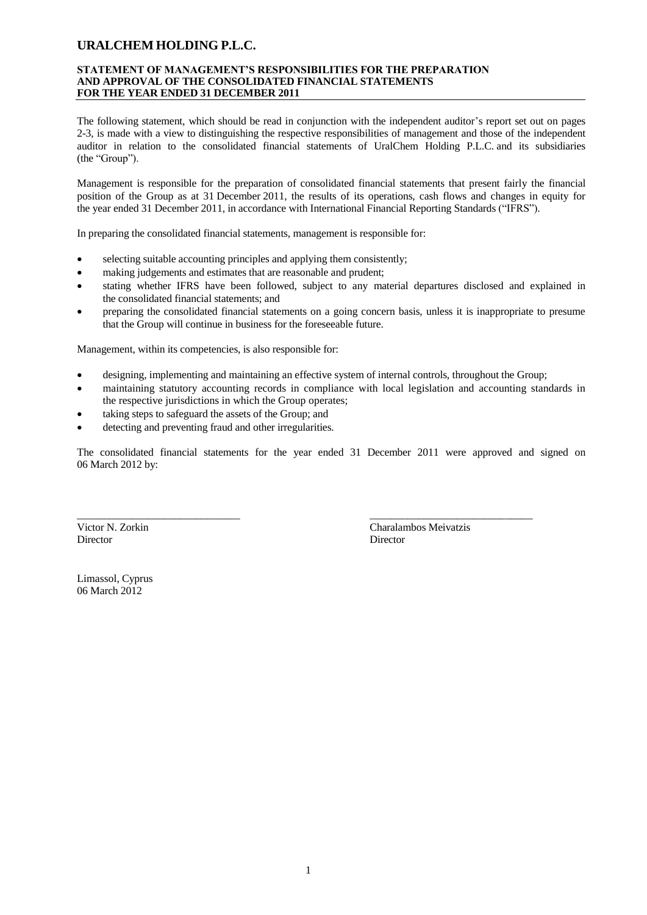## **STATEMENT OF MANAGEMENT'S RESPONSIBILITIES FOR THE PREPARATION AND APPROVAL OF THE CONSOLIDATED FINANCIAL STATEMENTS FOR THE YEAR ENDED 31 DECEMBER 2011**

The following statement, which should be read in conjunction with the independent auditor's report set out on pages 2-3, is made with a view to distinguishing the respective responsibilities of management and those of the independent auditor in relation to the consolidated financial statements of UralChem Holding P.L.C. and its subsidiaries (the "Group").

Management is responsible for the preparation of consolidated financial statements that present fairly the financial position of the Group as at 31 December 2011, the results of its operations, cash flows and changes in equity for the year ended 31 December 2011, in accordance with International Financial Reporting Standards ("IFRS").

In preparing the consolidated financial statements, management is responsible for:

- selecting suitable accounting principles and applying them consistently;
- making judgements and estimates that are reasonable and prudent;
- stating whether IFRS have been followed, subject to any material departures disclosed and explained in the consolidated financial statements; and
- preparing the consolidated financial statements on a going concern basis, unless it is inappropriate to presume that the Group will continue in business for the foreseeable future.

Management, within its competencies, is also responsible for:

designing, implementing and maintaining an effective system of internal controls, throughout the Group;

\_\_\_\_\_\_\_\_\_\_\_\_\_\_\_\_\_\_\_\_\_\_\_\_\_\_\_\_\_\_ \_\_\_\_\_\_\_\_\_\_\_\_\_\_\_\_\_\_\_\_\_\_\_\_\_\_\_\_\_\_

- maintaining statutory accounting records in compliance with local legislation and accounting standards in the respective jurisdictions in which the Group operates;
- taking steps to safeguard the assets of the Group; and
- detecting and preventing fraud and other irregularities.

The consolidated financial statements for the year ended 31 December 2011 were approved and signed on 06 March 2012 by:

Director Director **Director** 

Victor N. Zorkin Charalambos Meivatzis

Limassol, Cyprus 06 March 2012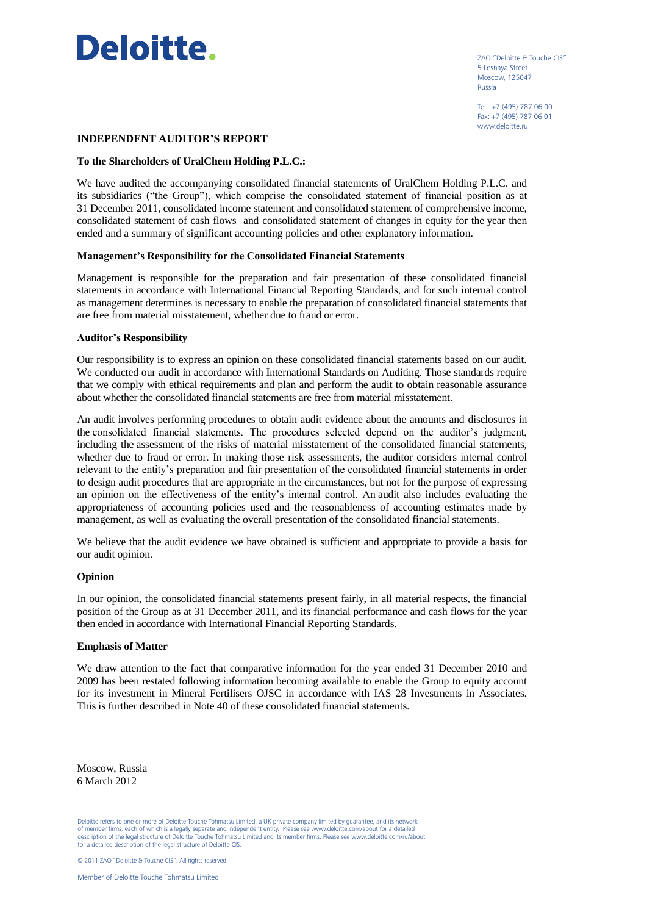# Deloitte.

ZAO "Deloitte & Touche CIS" 5 Lesnaya Street Moscow, 125047 Russia

Tel: +7 (495) 787 06 00 Fax: +7 (495) 787 06 01 www.deloitte.ru

## **INDEPENDENT AUDITOR'S REPORT**

#### **To the Shareholders of UralChem Holding P.L.C.:**

We have audited the accompanying consolidated financial statements of UralChem Holding P.L.C. and its subsidiaries ("the Group"), which comprise the consolidated statement of financial position as at 31 December 2011, consolidated income statement and consolidated statement of comprehensive income, consolidated statement of cash flows and consolidated statement of changes in equity for the year then ended and a summary of significant accounting policies and other explanatory information.

#### **Management's Responsibility for the Consolidated Financial Statements**

Management is responsible for the preparation and fair presentation of these consolidated financial statements in accordance with International Financial Reporting Standards, and for such internal control as management determines is necessary to enable the preparation of consolidated financial statements that are free from material misstatement, whether due to fraud or error.

#### **Auditor's Responsibility**

Our responsibility is to express an opinion on these consolidated financial statements based on our audit. We conducted our audit in accordance with International Standards on Auditing. Those standards require that we comply with ethical requirements and plan and perform the audit to obtain reasonable assurance about whether the consolidated financial statements are free from material misstatement.

An audit involves performing procedures to obtain audit evidence about the amounts and disclosures in the consolidated financial statements. The procedures selected depend on the auditor's judgment, including the assessment of the risks of material misstatement of the consolidated financial statements, whether due to fraud or error. In making those risk assessments, the auditor considers internal control relevant to the entity's preparation and fair presentation of the consolidated financial statements in order to design audit procedures that are appropriate in the circumstances, but not for the purpose of expressing an opinion on the effectiveness of the entity's internal control. An audit also includes evaluating the appropriateness of accounting policies used and the reasonableness of accounting estimates made by management, as well as evaluating the overall presentation of the consolidated financial statements.

We believe that the audit evidence we have obtained is sufficient and appropriate to provide a basis for our audit opinion.

#### **Opinion**

In our opinion, the consolidated financial statements present fairly, in all material respects, the financial position of the Group as at 31 December 2011, and its financial performance and cash flows for the year then ended in accordance with International Financial Reporting Standards.

#### **Emphasis of Matter**

We draw attention to the fact that comparative information for the year ended 31 December 2010 and 2009 has been restated following information becoming available to enable the Group to equity account for its investment in Mineral Fertilisers OJSC in accordance with IAS 28 Investments in Associates. This is further described in Note 40 of these consolidated financial statements.

Moscow, Russia 6 March 2012

Deloitte refers to one or more of Deloitte Touche Tohmatsu Limited, a UK private company limited by guarantee, and its network of member firms, each of which is a legally separate and independent entity. Please see www.deloitte.com/about for a detailed description of the legal structure of Deloitte Touche Tohmatsu Limited and its member firms. Please see www.deloitte.com/ru/about for a detailed description of the legal structure of Deloitte CIS.

© 2011 ZAO "Deloitte & Touche CIS". All rights reserved.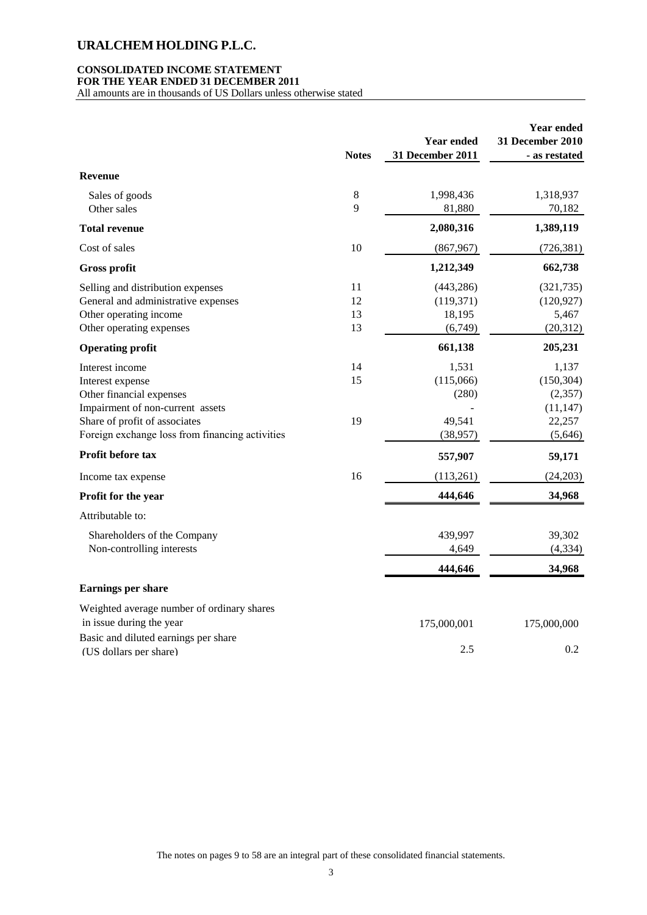## **CONSOLIDATED INCOME STATEMENT FOR THE YEAR ENDED 31 DECEMBER 2011**

All amounts are in thousands of US Dollars unless otherwise stated

|                                                                                                                                                                                         | <b>Notes</b>         | <b>Year ended</b><br>31 December 2011             | <b>Year ended</b><br>31 December 2010<br>- as restated           |
|-----------------------------------------------------------------------------------------------------------------------------------------------------------------------------------------|----------------------|---------------------------------------------------|------------------------------------------------------------------|
| <b>Revenue</b>                                                                                                                                                                          |                      |                                                   |                                                                  |
| Sales of goods<br>Other sales                                                                                                                                                           | $8\phantom{1}$<br>9  | 1,998,436<br>81,880                               | 1,318,937<br>70,182                                              |
| <b>Total revenue</b>                                                                                                                                                                    |                      | 2,080,316                                         | 1,389,119                                                        |
| Cost of sales                                                                                                                                                                           | 10                   | (867, 967)                                        | (726, 381)                                                       |
| <b>Gross profit</b>                                                                                                                                                                     |                      | 1,212,349                                         | 662,738                                                          |
| Selling and distribution expenses<br>General and administrative expenses<br>Other operating income<br>Other operating expenses                                                          | 11<br>12<br>13<br>13 | (443, 286)<br>(119,371)<br>18,195<br>(6,749)      | (321, 735)<br>(120, 927)<br>5,467<br>(20, 312)                   |
| <b>Operating profit</b>                                                                                                                                                                 |                      | 661,138                                           | 205,231                                                          |
| Interest income<br>Interest expense<br>Other financial expenses<br>Impairment of non-current assets<br>Share of profit of associates<br>Foreign exchange loss from financing activities | 14<br>15<br>19       | 1,531<br>(115,066)<br>(280)<br>49,541<br>(38,957) | 1,137<br>(150, 304)<br>(2,357)<br>(11, 147)<br>22,257<br>(5,646) |
| Profit before tax                                                                                                                                                                       |                      | 557,907                                           | 59,171                                                           |
| Income tax expense                                                                                                                                                                      | 16                   | (113,261)                                         | (24,203)                                                         |
| Profit for the year                                                                                                                                                                     |                      | 444,646                                           | 34,968                                                           |
| Attributable to:<br>Shareholders of the Company<br>Non-controlling interests                                                                                                            |                      | 439,997<br>4,649<br>444,646                       | 39,302<br>(4, 334)<br>34,968                                     |
| Earnings per share                                                                                                                                                                      |                      |                                                   |                                                                  |
| Weighted average number of ordinary shares<br>in issue during the year<br>Basic and diluted earnings per share<br>(US dollars per share)                                                |                      | 175,000,001<br>2.5                                | 175,000,000<br>0.2                                               |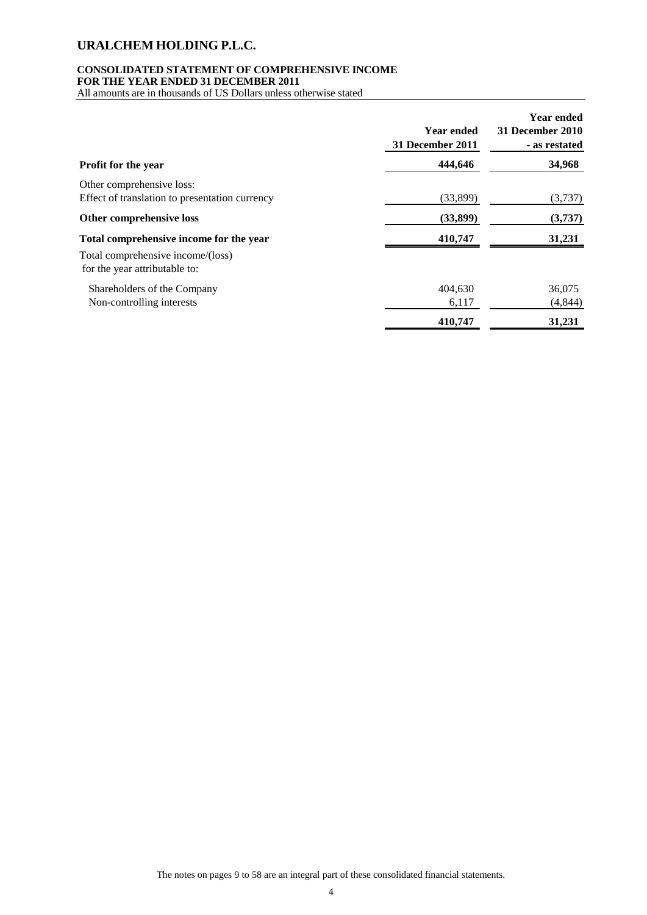## **CONSOLIDATED STATEMENT OF COMPREHENSIVE INCOME FOR THE YEAR ENDED 31 DECEMBER 2011**

All amounts are in thousands of US Dollars unless otherwise stated

|                                                                             | <b>Year ended</b><br>31 December 2011 | <b>Year ended</b><br>31 December 2010<br>- as restated |
|-----------------------------------------------------------------------------|---------------------------------------|--------------------------------------------------------|
| <b>Profit for the year</b>                                                  | 444,646                               | 34,968                                                 |
| Other comprehensive loss:<br>Effect of translation to presentation currency | (33,899)                              | (3,737)                                                |
| Other comprehensive loss                                                    | (33,899)                              | (3,737)                                                |
| Total comprehensive income for the year                                     | 410,747                               | 31,231                                                 |
| Total comprehensive income/(loss)<br>for the year attributable to:          |                                       |                                                        |
| Shareholders of the Company                                                 | 404.630                               | 36,075                                                 |
| Non-controlling interests                                                   | 6,117                                 | (4,844)                                                |
|                                                                             | 410,747                               | 31,231                                                 |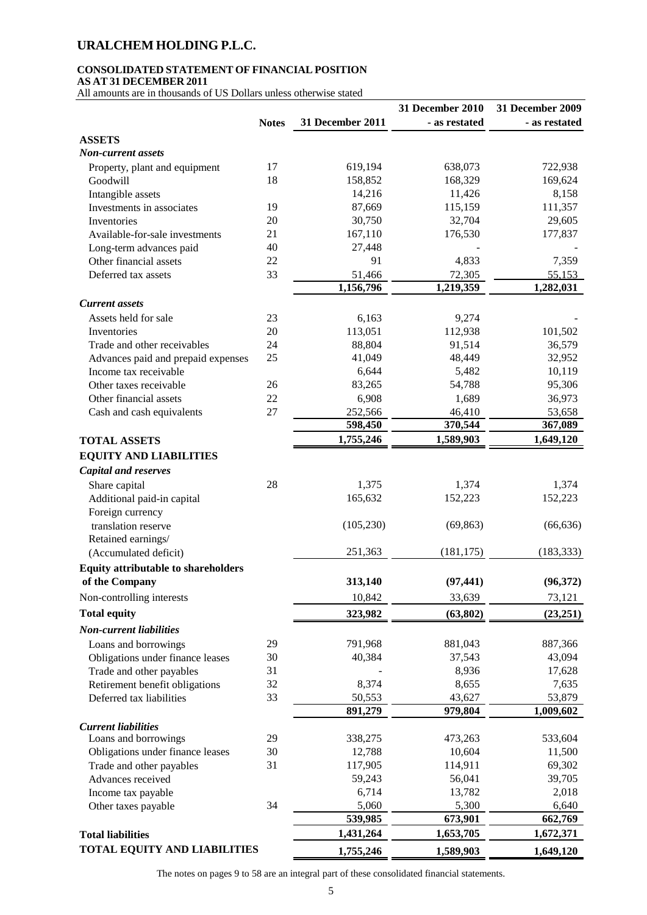## **CONSOLIDATED STATEMENT OF FINANCIAL POSITION**

**AS AT 31 DECEMBER 2011**

All amounts are in thousands of US Dollars unless otherwise stated

|                                            |              |                  | <b>31 December 2010</b> | 31 December 2009 |
|--------------------------------------------|--------------|------------------|-------------------------|------------------|
|                                            | <b>Notes</b> | 31 December 2011 | - as restated           | - as restated    |
| <b>ASSETS</b>                              |              |                  |                         |                  |
| <b>Non-current assets</b>                  |              |                  |                         |                  |
| Property, plant and equipment              | 17           | 619,194          | 638,073                 | 722,938          |
| Goodwill                                   | 18           | 158,852          | 168,329                 | 169,624          |
| Intangible assets                          |              | 14,216           | 11,426                  | 8,158            |
| Investments in associates                  | 19           | 87,669           | 115,159                 | 111,357          |
| Inventories                                | 20           | 30,750           | 32,704                  | 29,605           |
| Available-for-sale investments             | 21           | 167,110          | 176,530                 | 177,837          |
| Long-term advances paid                    | 40           | 27,448           |                         |                  |
| Other financial assets                     | 22           | 91               | 4,833                   | 7,359            |
| Deferred tax assets                        | 33           | 51,466           | 72,305                  | 55,153           |
|                                            |              | 1,156,796        | 1,219,359               | 1,282,031        |
| <b>Current</b> assets                      |              |                  |                         |                  |
| Assets held for sale                       | 23           | 6,163            | 9,274                   |                  |
| Inventories                                | 20           | 113,051          | 112,938                 | 101,502          |
| Trade and other receivables                | 24           | 88,804           | 91,514                  | 36,579           |
| Advances paid and prepaid expenses         | 25           | 41,049           | 48,449                  | 32,952           |
| Income tax receivable                      |              | 6,644            | 5,482                   | 10,119           |
| Other taxes receivable                     | 26           | 83,265           | 54,788                  | 95,306           |
| Other financial assets                     | 22           | 6,908            | 1,689                   | 36,973           |
| Cash and cash equivalents                  | 27           | 252,566          | 46,410                  | 53,658           |
|                                            |              | 598,450          | 370,544                 | 367,089          |
| <b>TOTAL ASSETS</b>                        |              | 1,755,246        | 1,589,903               | 1,649,120        |
| <b>EQUITY AND LIABILITIES</b>              |              |                  |                         |                  |
|                                            |              |                  |                         |                  |
| <b>Capital and reserves</b>                |              |                  |                         |                  |
| Share capital                              | 28           | 1,375            | 1,374                   | 1,374            |
| Additional paid-in capital                 |              | 165,632          | 152,223                 | 152,223          |
| Foreign currency                           |              |                  |                         |                  |
| translation reserve                        |              | (105, 230)       | (69, 863)               | (66, 636)        |
| Retained earnings/                         |              |                  |                         |                  |
| (Accumulated deficit)                      |              | 251,363          | (181, 175)              | (183, 333)       |
| <b>Equity attributable to shareholders</b> |              |                  |                         |                  |
| of the Company                             |              | 313,140          | (97, 441)               | (96,372)         |
| Non-controlling interests                  |              | 10,842           | 33,639                  | 73,121           |
| <b>Total equity</b>                        |              | 323,982          | (63, 802)               | (23, 251)        |
| <b>Non-current liabilities</b>             |              |                  |                         |                  |
| Loans and borrowings                       | 29           | 791,968          | 881,043                 | 887,366          |
| Obligations under finance leases           | 30           | 40,384           | 37,543                  | 43,094           |
| Trade and other payables                   | 31           |                  | 8,936                   | 17,628           |
| Retirement benefit obligations             | 32           | 8,374            | 8,655                   | 7,635            |
| Deferred tax liabilities                   | 33           | 50,553           | 43,627                  | 53,879           |
|                                            |              | 891,279          | 979,804                 | 1,009,602        |
| <b>Current liabilities</b>                 |              |                  |                         |                  |
| Loans and borrowings                       | 29           | 338,275          | 473,263                 | 533,604          |
| Obligations under finance leases           | 30           | 12,788           | 10,604                  | 11,500           |
| Trade and other payables                   | 31           | 117,905          | 114,911                 | 69,302           |
| Advances received                          |              | 59,243           | 56,041                  | 39,705           |
| Income tax payable                         |              | 6,714            | 13,782                  | 2,018            |
| Other taxes payable                        | 34           | 5,060            | 5,300                   | 6,640            |
|                                            |              | 539,985          | 673,901                 | 662,769          |
| <b>Total liabilities</b>                   |              | 1,431,264        | 1,653,705               | 1,672,371        |
| <b>TOTAL EQUITY AND LIABILITIES</b>        |              |                  |                         |                  |
|                                            |              | 1,755,246        | 1,589,903               | 1,649,120        |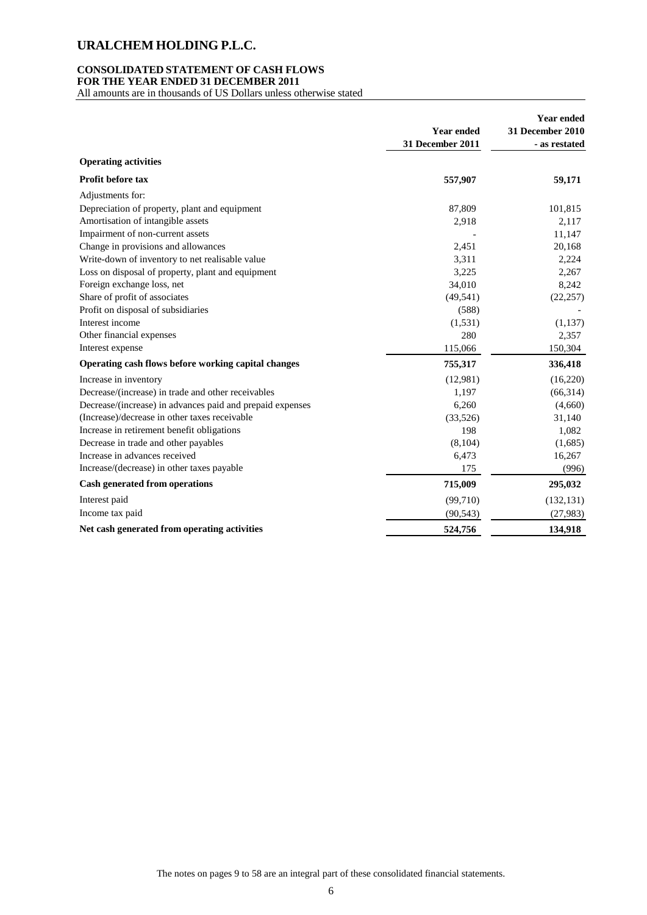## **CONSOLIDATED STATEMENT OF CASH FLOWS FOR THE YEAR ENDED 31 DECEMBER 2011**

All amounts are in thousands of US Dollars unless otherwise stated

|                                                           | <b>Year ended</b><br>31 December 2011 | <b>Year ended</b><br>31 December 2010<br>- as restated |
|-----------------------------------------------------------|---------------------------------------|--------------------------------------------------------|
|                                                           |                                       |                                                        |
| <b>Operating activities</b>                               |                                       |                                                        |
| <b>Profit before tax</b>                                  | 557,907                               | 59,171                                                 |
| Adjustments for:                                          |                                       |                                                        |
| Depreciation of property, plant and equipment             | 87,809                                | 101,815                                                |
| Amortisation of intangible assets                         | 2,918                                 | 2,117                                                  |
| Impairment of non-current assets                          |                                       | 11,147                                                 |
| Change in provisions and allowances                       | 2,451                                 | 20,168                                                 |
| Write-down of inventory to net realisable value           | 3,311                                 | 2,224                                                  |
| Loss on disposal of property, plant and equipment         | 3,225                                 | 2,267                                                  |
| Foreign exchange loss, net                                | 34,010                                | 8,242                                                  |
| Share of profit of associates                             | (49, 541)                             | (22, 257)                                              |
| Profit on disposal of subsidiaries                        | (588)                                 |                                                        |
| Interest income                                           | (1, 531)                              | (1,137)                                                |
| Other financial expenses                                  | 280                                   | 2,357                                                  |
| Interest expense                                          | 115,066                               | 150,304                                                |
| Operating cash flows before working capital changes       | 755,317                               | 336,418                                                |
| Increase in inventory                                     | (12,981)                              | (16,220)                                               |
| Decrease/(increase) in trade and other receivables        | 1,197                                 | (66,314)                                               |
| Decrease/(increase) in advances paid and prepaid expenses | 6,260                                 | (4,660)                                                |
| (Increase)/decrease in other taxes receivable             | (33,526)                              | 31,140                                                 |
| Increase in retirement benefit obligations                | 198                                   | 1,082                                                  |
| Decrease in trade and other payables                      | (8,104)                               | (1,685)                                                |
| Increase in advances received                             | 6,473                                 | 16,267                                                 |
| Increase/(decrease) in other taxes payable                | 175                                   | (996)                                                  |
| <b>Cash generated from operations</b>                     | 715,009                               | 295,032                                                |
| Interest paid                                             | (99,710)                              | (132, 131)                                             |
| Income tax paid                                           | (90, 543)                             | (27, 983)                                              |
| Net cash generated from operating activities              | 524,756                               | 134,918                                                |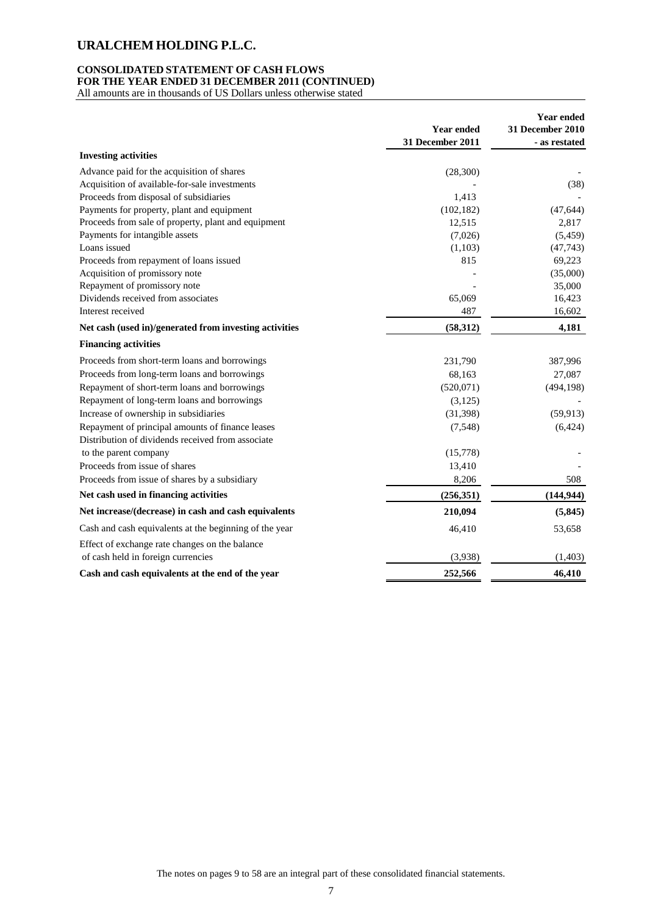## **CONSOLIDATED STATEMENT OF CASH FLOWS FOR THE YEAR ENDED 31 DECEMBER 2011 (CONTINUED)**

All amounts are in thousands of US Dollars unless otherwise stated

|                                                        | <b>Year ended</b> | <b>Year ended</b><br>31 December 2010 |
|--------------------------------------------------------|-------------------|---------------------------------------|
|                                                        | 31 December 2011  | - as restated                         |
| <b>Investing activities</b>                            |                   |                                       |
| Advance paid for the acquisition of shares             | (28,300)          |                                       |
| Acquisition of available-for-sale investments          |                   | (38)                                  |
| Proceeds from disposal of subsidiaries                 | 1,413             |                                       |
| Payments for property, plant and equipment             | (102, 182)        | (47, 644)                             |
| Proceeds from sale of property, plant and equipment    | 12,515            | 2,817                                 |
| Payments for intangible assets                         | (7,026)           | (5,459)                               |
| Loans issued                                           | (1,103)           | (47,743)                              |
| Proceeds from repayment of loans issued                | 815               | 69,223                                |
| Acquisition of promissory note                         |                   | (35,000)                              |
| Repayment of promissory note                           |                   | 35,000                                |
| Dividends received from associates                     | 65,069            | 16,423                                |
| Interest received                                      | 487               | 16,602                                |
| Net cash (used in)/generated from investing activities | (58,312)          | 4,181                                 |
| <b>Financing activities</b>                            |                   |                                       |
| Proceeds from short-term loans and borrowings          | 231,790           | 387,996                               |
| Proceeds from long-term loans and borrowings           | 68,163            | 27,087                                |
| Repayment of short-term loans and borrowings           | (520,071)         | (494, 198)                            |
| Repayment of long-term loans and borrowings            | (3,125)           |                                       |
| Increase of ownership in subsidiaries                  | (31, 398)         | (59, 913)                             |
| Repayment of principal amounts of finance leases       | (7,548)           | (6,424)                               |
| Distribution of dividends received from associate      |                   |                                       |
| to the parent company                                  | (15,778)          |                                       |
| Proceeds from issue of shares                          | 13,410            |                                       |
| Proceeds from issue of shares by a subsidiary          | 8,206             | 508                                   |
| Net cash used in financing activities                  | (256, 351)        | (144, 944)                            |
| Net increase/(decrease) in cash and cash equivalents   | 210,094           | (5, 845)                              |
| Cash and cash equivalents at the beginning of the year | 46,410            | 53,658                                |
| Effect of exchange rate changes on the balance         |                   |                                       |
| of cash held in foreign currencies                     | (3,938)           | (1,403)                               |
| Cash and cash equivalents at the end of the year       | 252,566           | 46,410                                |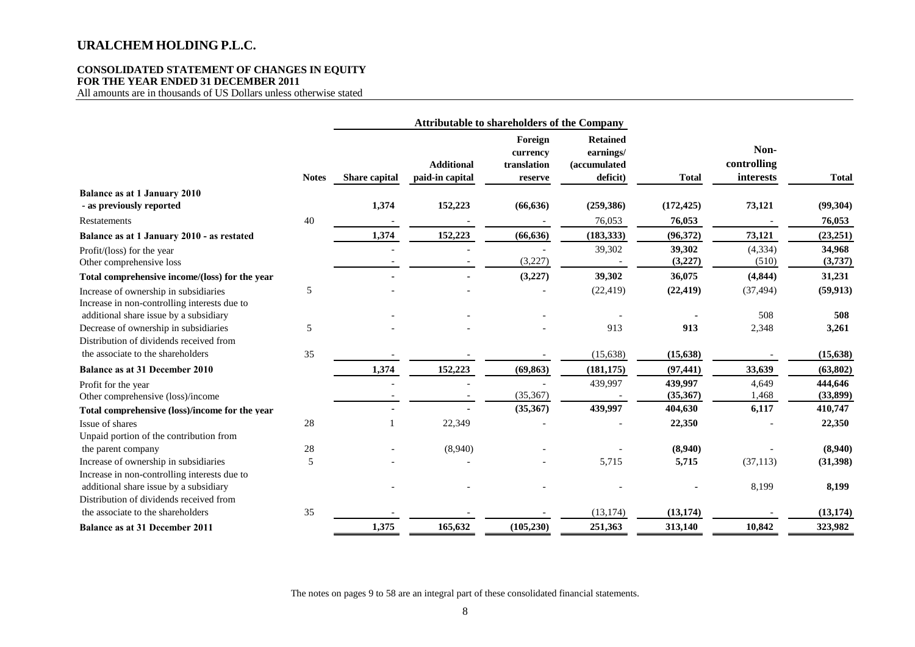## **CONSOLIDATED STATEMENT OF CHANGES IN EQUITY FOR THE YEAR ENDED 31 DECEMBER 2011**

All amounts are in thousands of US Dollars unless otherwise stated

|                                                                                       |              | <b>Attributable to shareholders of the Company</b> |                   |                                    |                                              |                      |                     |                     |
|---------------------------------------------------------------------------------------|--------------|----------------------------------------------------|-------------------|------------------------------------|----------------------------------------------|----------------------|---------------------|---------------------|
|                                                                                       |              |                                                    | <b>Additional</b> | Foreign<br>currency<br>translation | <b>Retained</b><br>earnings/<br>(accumulated |                      | Non-<br>controlling |                     |
|                                                                                       | <b>Notes</b> | <b>Share capital</b>                               | paid-in capital   | reserve                            | deficit)                                     | <b>Total</b>         | interests           | <b>Total</b>        |
| <b>Balance as at 1 January 2010</b><br>- as previously reported                       |              | 1,374                                              | 152,223           | (66, 636)                          | (259, 386)                                   | (172, 425)           | 73,121              | (99, 304)           |
| Restatements                                                                          | 40           |                                                    |                   |                                    | 76,053                                       | 76,053               |                     | 76,053              |
| Balance as at 1 January 2010 - as restated                                            |              | 1,374                                              | 152,223           | (66, 636)                          | (183, 333)                                   | (96, 372)            | 73,121              | (23, 251)           |
| Profit/(loss) for the year<br>Other comprehensive loss                                |              |                                                    |                   | (3,227)                            | 39,302                                       | 39,302<br>(3,227)    | (4, 334)<br>(510)   | 34,968<br>(3,737)   |
| Total comprehensive income/(loss) for the year                                        |              |                                                    |                   | (3,227)                            | 39,302                                       | 36,075               | (4, 844)            | 31,231              |
| Increase of ownership in subsidiaries<br>Increase in non-controlling interests due to | 5            |                                                    |                   |                                    | (22, 419)                                    | (22, 419)            | (37, 494)           | (59, 913)           |
| additional share issue by a subsidiary                                                |              |                                                    |                   |                                    |                                              |                      | 508                 | 508                 |
| Decrease of ownership in subsidiaries<br>Distribution of dividends received from      | 5            |                                                    |                   |                                    | 913                                          | 913                  | 2,348               | 3,261               |
| the associate to the shareholders                                                     | 35           |                                                    |                   |                                    | (15, 638)                                    | (15, 638)            |                     | (15, 638)           |
| <b>Balance as at 31 December 2010</b>                                                 |              | 1,374                                              | 152,223           | (69, 863)                          | (181, 175)                                   | (97, 441)            | 33,639              | (63, 802)           |
| Profit for the year<br>Other comprehensive (loss)/income                              |              |                                                    |                   | (35, 367)                          | 439,997                                      | 439,997<br>(35, 367) | 4,649<br>1,468      | 444,646<br>(33,899) |
| Total comprehensive (loss)/income for the year                                        |              |                                                    |                   | (35,367)                           | 439,997                                      | 404,630              | 6,117               | 410,747             |
| Issue of shares<br>Unpaid portion of the contribution from                            | 28           |                                                    | 22,349            |                                    |                                              | 22,350               |                     | 22,350              |
| the parent company                                                                    | $28\,$       |                                                    | (8,940)           |                                    |                                              | (8,940)              |                     | (8,940)             |
| Increase of ownership in subsidiaries<br>Increase in non-controlling interests due to | 5            |                                                    |                   |                                    | 5,715                                        | 5,715                | (37, 113)           | (31, 398)           |
| additional share issue by a subsidiary<br>Distribution of dividends received from     |              |                                                    |                   |                                    |                                              |                      | 8,199               | 8,199               |
| the associate to the shareholders                                                     | 35           |                                                    |                   |                                    | (13, 174)                                    | (13, 174)            |                     | (13, 174)           |
| <b>Balance as at 31 December 2011</b>                                                 |              | 1,375                                              | 165,632           | (105, 230)                         | 251,363                                      | 313,140              | 10,842              | 323,982             |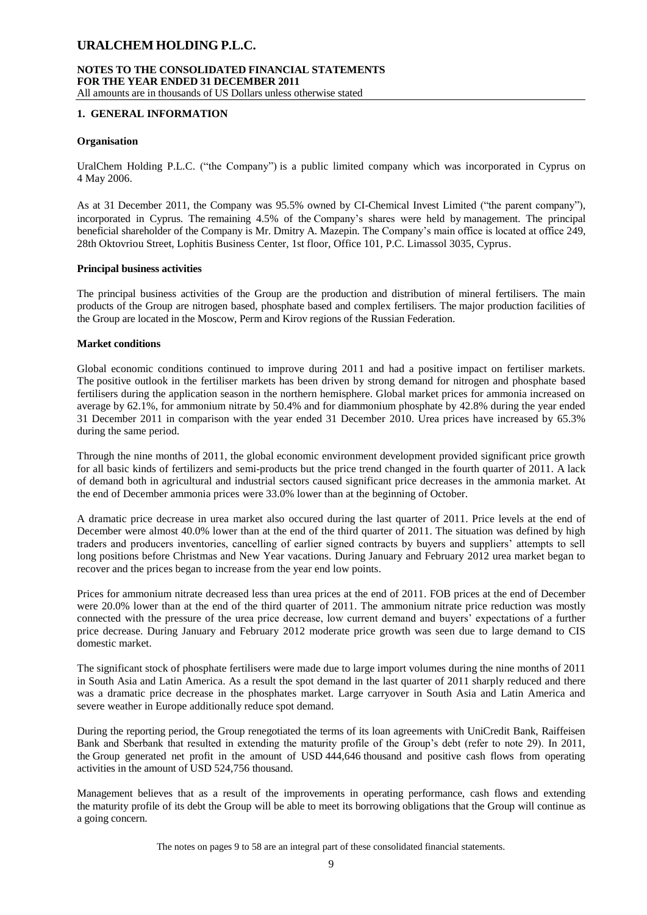#### **NOTES TO THE CONSOLIDATED FINANCIAL STATEMENTS FOR THE YEAR ENDED 31 DECEMBER 2011** All amounts are in thousands of US Dollars unless otherwise stated

## **1. GENERAL INFORMATION**

#### **Organisation**

UralChem Holding P.L.C. ("the Company") is a public limited company which was incorporated in Cyprus on 4 May 2006.

As at 31 December 2011, the Company was 95.5% owned by CI-Chemical Invest Limited ("the parent company"), incorporated in Cyprus. The remaining 4.5% of the Company's shares were held by management. The principal beneficial shareholder of the Company is Mr. Dmitry A. Mazepin. The Company's main office is located at office 249, 28th Oktovriou Street, Lophitis Business Center, 1st floor, Office 101, P.C. Limassol 3035, Cyprus.

#### **Principal business activities**

The principal business activities of the Group are the production and distribution of mineral fertilisers. The main products of the Group are nitrogen based, phosphate based and complex fertilisers. The major production facilities of the Group are located in the Moscow, Perm and Kirov regions of the Russian Federation.

#### **Market conditions**

Global economic conditions continued to improve during 2011 and had a positive impact on fertiliser markets. The positive outlook in the fertiliser markets has been driven by strong demand for nitrogen and phosphate based fertilisers during the application season in the northern hemisphere. Global market prices for ammonia increased on average by 62.1%, for ammonium nitrate by 50.4% and for diammonium phosphate by 42.8% during the year ended 31 December 2011 in comparison with the year ended 31 December 2010. Urea prices have increased by 65.3% during the same period.

Through the nine months of 2011, the global economic environment development provided significant price growth for all basic kinds of fertilizers and semi-products but the price trend changed in the fourth quarter of 2011. A lack of demand both in agricultural and industrial sectors caused significant price decreases in the ammonia market. At the end of December ammonia prices were 33.0% lower than at the beginning of October.

A dramatic price decrease in urea market also occured during the last quarter of 2011. Price levels at the end of December were almost 40.0% lower than at the end of the third quarter of 2011. The situation was defined by high traders and producers inventories, cancelling of earlier signed contracts by buyers and suppliers' attempts to sell long positions before Christmas and New Year vacations. During January and February 2012 urea market began to recover and the prices began to increase from the year end low points.

Prices for ammonium nitrate decreased less than urea prices at the end of 2011. FOB prices at the end of December were 20.0% lower than at the end of the third quarter of 2011. The ammonium nitrate price reduction was mostly connected with the pressure of the urea price decrease, low current demand and buyers' expectations of a further price decrease. During January and February 2012 moderate price growth was seen due to large demand to CIS domestic market.

The significant stock of phosphate fertilisers were made due to large import volumes during the nine months of 2011 in South Asia and Latin America. As a result the spot demand in the last quarter of 2011 sharply reduced and there was a dramatic price decrease in the phosphates market. Large carryover in South Asia and Latin America and severe weather in Europe additionally reduce spot demand.

During the reporting period, the Group renegotiated the terms of its loan agreements with UniCredit Bank, Raiffeisen Bank and Sberbank that resulted in extending the maturity profile of the Group's debt (refer to note 29). In 2011, the Group generated net profit in the amount of USD 444,646 thousand and positive cash flows from operating activities in the amount of USD 524,756 thousand.

Management believes that as a result of the improvements in operating performance, cash flows and extending the maturity profile of its debt the Group will be able to meet its borrowing obligations that the Group will continue as a going concern.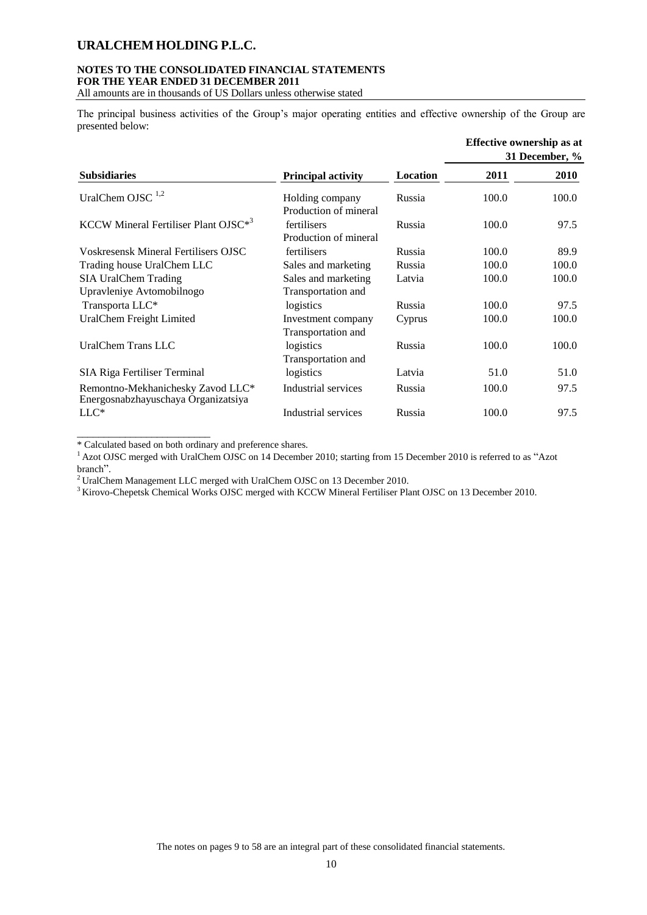# **NOTES TO THE CONSOLIDATED FINANCIAL STATEMENTS FOR THE YEAR ENDED 31 DECEMBER 2011**

All amounts are in thousands of US Dollars unless otherwise stated

The principal business activities of the Group's major operating entities and effective ownership of the Group are presented below:

|                                                                          |                                          |                 | <b>Effective ownership as at</b><br>31 December, % |       |  |
|--------------------------------------------------------------------------|------------------------------------------|-----------------|----------------------------------------------------|-------|--|
| <b>Subsidiaries</b>                                                      | <b>Principal activity</b>                | <b>Location</b> | 2011                                               | 2010  |  |
| UralChem OJSC $^{1,2}$                                                   | Holding company<br>Production of mineral | Russia          | 100.0                                              | 100.0 |  |
| KCCW Mineral Fertiliser Plant OJSC <sup>*3</sup>                         | fertilisers<br>Production of mineral     | Russia          | 100.0                                              | 97.5  |  |
| Voskresensk Mineral Fertilisers OJSC                                     | fertilisers                              | Russia          | 100.0                                              | 89.9  |  |
| Trading house UralChem LLC                                               | Sales and marketing                      | Russia          | 100.0                                              | 100.0 |  |
| <b>SIA UralChem Trading</b>                                              | Sales and marketing                      | Latvia          | 100.0                                              | 100.0 |  |
| Upravleniye Avtomobilnogo                                                | Transportation and                       |                 |                                                    |       |  |
| Transporta LLC*                                                          | logistics                                | Russia          | 100.0                                              | 97.5  |  |
| UralChem Freight Limited                                                 | Investment company<br>Transportation and | Cyprus          | 100.0                                              | 100.0 |  |
| UralChem Trans LLC                                                       | logistics<br>Transportation and          | Russia          | 100.0                                              | 100.0 |  |
| SIA Riga Fertiliser Terminal                                             | logistics                                | Latvia          | 51.0                                               | 51.0  |  |
| Remontno-Mekhanichesky Zavod LLC*<br>Energosnabzhayuschaya Organizatsiya | Industrial services                      | Russia          | 100.0                                              | 97.5  |  |
| $LLC*$                                                                   | Industrial services                      | Russia          | 100.0                                              | 97.5  |  |

\* Calculated based on both ordinary and preference shares.

\_\_\_\_\_\_\_\_\_\_\_\_\_\_\_\_\_\_\_\_\_\_\_\_\_

<sup>1</sup> Azot OJSC merged with UralChem OJSC on 14 December 2010; starting from 15 December 2010 is referred to as "Azot branch".

<sup>2</sup> UralChem Management LLC merged with UralChem OJSC on 13 December 2010.

<sup>3</sup> Kirovo-Chepetsk Chemical Works OJSC merged with KCCW Mineral Fertiliser Plant OJSC on 13 December 2010.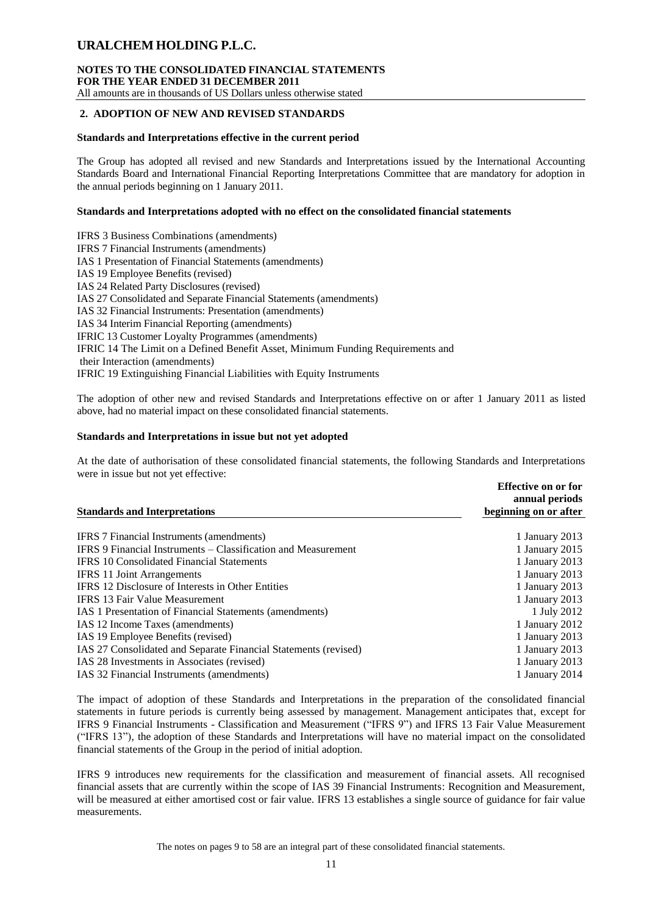#### **NOTES TO THE CONSOLIDATED FINANCIAL STATEMENTS FOR THE YEAR ENDED 31 DECEMBER 2011** All amounts are in thousands of US Dollars unless otherwise stated

## **2. ADOPTION OF NEW AND REVISED STANDARDS**

## **Standards and Interpretations effective in the current period**

The Group has adopted all revised and new Standards and Interpretations issued by the International Accounting Standards Board and International Financial Reporting Interpretations Committee that are mandatory for adoption in the annual periods beginning on 1 January 2011.

## **Standards and Interpretations adopted with no effect on the consolidated financial statements**

IFRS 3 Business Combinations (amendments) IFRS 7 Financial Instruments (amendments) IAS 1 Presentation of Financial Statements (amendments) IAS 19 Employee Benefits (revised) IAS 24 Related Party Disclosures (revised) IAS 27 Consolidated and Separate Financial Statements (amendments) IAS 32 Financial Instruments: Presentation (amendments) IAS 34 Interim Financial Reporting (amendments) IFRIC 13 Customer Loyalty Programmes (amendments) IFRIC 14 The Limit on a Defined Benefit Asset, Minimum Funding Requirements and their Interaction (amendments) IFRIC 19 Extinguishing Financial Liabilities with Equity Instruments

The adoption of other new and revised Standards and Interpretations effective on or after 1 January 2011 as listed above, had no material impact on these consolidated financial statements.

#### **Standards and Interpretations in issue but not yet adopted**

At the date of authorisation of these consolidated financial statements, the following Standards and Interpretations were in issue but not yet effective:

|                                                                 | Effective on or for<br>annual periods |
|-----------------------------------------------------------------|---------------------------------------|
| <b>Standards and Interpretations</b>                            | beginning on or after                 |
|                                                                 |                                       |
| <b>IFRS</b> 7 Financial Instruments (amendments)                | 1 January 2013                        |
| IFRS 9 Financial Instruments – Classification and Measurement   | 1 January 2015                        |
| <b>IFRS 10 Consolidated Financial Statements</b>                | 1 January 2013                        |
| <b>IFRS</b> 11 Joint Arrangements                               | 1 January 2013                        |
| IFRS 12 Disclosure of Interests in Other Entities               | 1 January 2013                        |
| <b>IFRS</b> 13 Fair Value Measurement                           | 1 January 2013                        |
| IAS 1 Presentation of Financial Statements (amendments)         | 1 July 2012                           |
| IAS 12 Income Taxes (amendments)                                | 1 January 2012                        |
| IAS 19 Employee Benefits (revised)                              | 1 January 2013                        |
| IAS 27 Consolidated and Separate Financial Statements (revised) | 1 January 2013                        |
| IAS 28 Investments in Associates (revised)                      | 1 January 2013                        |
| IAS 32 Financial Instruments (amendments)                       | 1 January 2014                        |

The impact of adoption of these Standards and Interpretations in the preparation of the consolidated financial statements in future periods is currently being assessed by management. Management anticipates that, except for IFRS 9 Financial Instruments - Classification and Measurement ("IFRS 9") and IFRS 13 Fair Value Measurement ("IFRS 13"), the adoption of these Standards and Interpretations will have no material impact on the consolidated financial statements of the Group in the period of initial adoption.

IFRS 9 introduces new requirements for the classification and measurement of financial assets. All recognised financial assets that are currently within the scope of IAS 39 Financial Instruments: Recognition and Measurement, will be measured at either amortised cost or fair value. IFRS 13 establishes a single source of guidance for fair value measurements.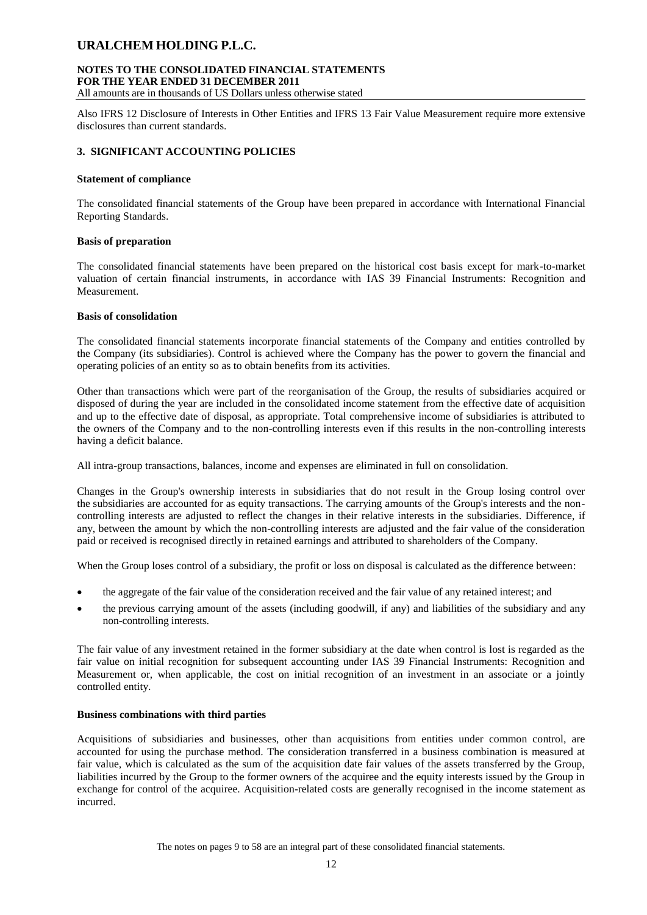#### **NOTES TO THE CONSOLIDATED FINANCIAL STATEMENTS FOR THE YEAR ENDED 31 DECEMBER 2011** All amounts are in thousands of US Dollars unless otherwise stated

Also IFRS 12 Disclosure of Interests in Other Entities and IFRS 13 Fair Value Measurement require more extensive disclosures than current standards.

## **3. SIGNIFICANT ACCOUNTING POLICIES**

## **Statement of compliance**

The consolidated financial statements of the Group have been prepared in accordance with International Financial Reporting Standards.

## **Basis of preparation**

The consolidated financial statements have been prepared on the historical cost basis except for mark-to-market valuation of certain financial instruments, in accordance with IAS 39 Financial Instruments: Recognition and Measurement.

## **Basis of consolidation**

The consolidated financial statements incorporate financial statements of the Company and entities controlled by the Company (its subsidiaries). Control is achieved where the Company has the power to govern the financial and operating policies of an entity so as to obtain benefits from its activities.

Other than transactions which were part of the reorganisation of the Group, the results of subsidiaries acquired or disposed of during the year are included in the consolidated income statement from the effective date of acquisition and up to the effective date of disposal, as appropriate. Total comprehensive income of subsidiaries is attributed to the owners of the Company and to the non-controlling interests even if this results in the non-controlling interests having a deficit balance.

All intra-group transactions, balances, income and expenses are eliminated in full on consolidation.

Changes in the Group's ownership interests in subsidiaries that do not result in the Group losing control over the subsidiaries are accounted for as equity transactions. The carrying amounts of the Group's interests and the noncontrolling interests are adjusted to reflect the changes in their relative interests in the subsidiaries. Difference, if any, between the amount by which the non-controlling interests are adjusted and the fair value of the consideration paid or received is recognised directly in retained earnings and attributed to shareholders of the Company.

When the Group loses control of a subsidiary, the profit or loss on disposal is calculated as the difference between:

- the aggregate of the fair value of the consideration received and the fair value of any retained interest; and
- the previous carrying amount of the assets (including goodwill, if any) and liabilities of the subsidiary and any non-controlling interests.

The fair value of any investment retained in the former subsidiary at the date when control is lost is regarded as the fair value on initial recognition for subsequent accounting under IAS 39 Financial Instruments: Recognition and Measurement or, when applicable, the cost on initial recognition of an investment in an associate or a jointly controlled entity.

## **Business combinations with third parties**

Acquisitions of subsidiaries and businesses, other than acquisitions from entities under common control, are accounted for using the purchase method. The consideration transferred in a business combination is measured at fair value, which is calculated as the sum of the acquisition date fair values of the assets transferred by the Group, liabilities incurred by the Group to the former owners of the acquiree and the equity interests issued by the Group in exchange for control of the acquiree. Acquisition-related costs are generally recognised in the income statement as incurred.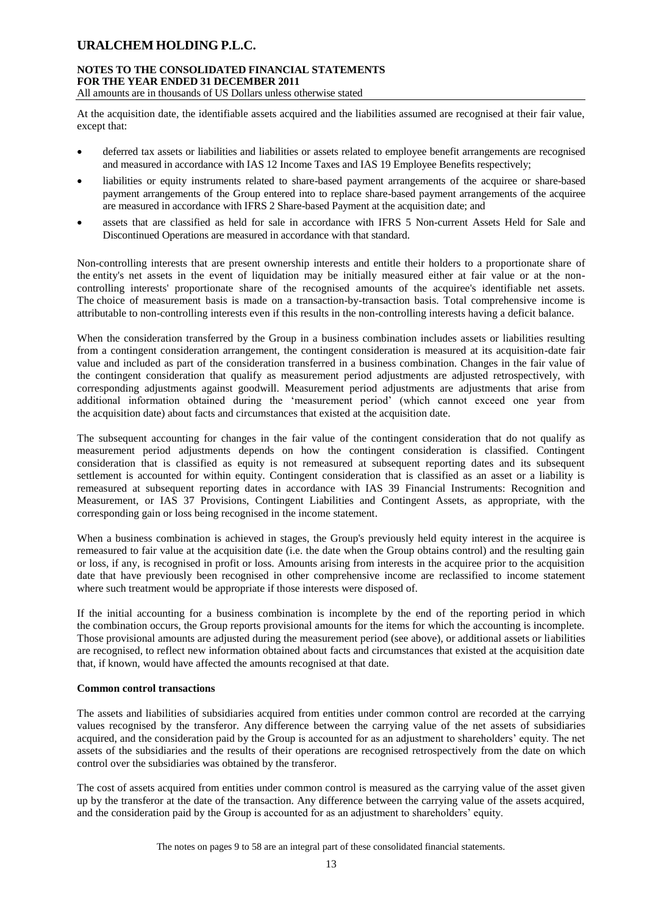#### **NOTES TO THE CONSOLIDATED FINANCIAL STATEMENTS FOR THE YEAR ENDED 31 DECEMBER 2011** All amounts are in thousands of US Dollars unless otherwise stated

At the acquisition date, the identifiable assets acquired and the liabilities assumed are recognised at their fair value, except that:

- deferred tax assets or liabilities and liabilities or assets related to employee benefit arrangements are recognised and measured in accordance with IAS 12 Income Taxes and IAS 19 Employee Benefits respectively;
- liabilities or equity instruments related to share-based payment arrangements of the acquiree or share-based payment arrangements of the Group entered into to replace share-based payment arrangements of the acquiree are measured in accordance with IFRS 2 Share-based Payment at the acquisition date; and
- assets that are classified as held for sale in accordance with IFRS 5 Non-current Assets Held for Sale and Discontinued Operations are measured in accordance with that standard.

Non-controlling interests that are present ownership interests and entitle their holders to a proportionate share of the entity's net assets in the event of liquidation may be initially measured either at fair value or at the noncontrolling interests' proportionate share of the recognised amounts of the acquiree's identifiable net assets. The choice of measurement basis is made on a transaction-by-transaction basis. Total comprehensive income is attributable to non-controlling interests even if this results in the non-controlling interests having a deficit balance.

When the consideration transferred by the Group in a business combination includes assets or liabilities resulting from a contingent consideration arrangement, the contingent consideration is measured at its acquisition-date fair value and included as part of the consideration transferred in a business combination. Changes in the fair value of the contingent consideration that qualify as measurement period adjustments are adjusted retrospectively, with corresponding adjustments against goodwill. Measurement period adjustments are adjustments that arise from additional information obtained during the 'measurement period' (which cannot exceed one year from the acquisition date) about facts and circumstances that existed at the acquisition date.

The subsequent accounting for changes in the fair value of the contingent consideration that do not qualify as measurement period adjustments depends on how the contingent consideration is classified. Contingent consideration that is classified as equity is not remeasured at subsequent reporting dates and its subsequent settlement is accounted for within equity. Contingent consideration that is classified as an asset or a liability is remeasured at subsequent reporting dates in accordance with IAS 39 Financial Instruments: Recognition and Measurement, or IAS 37 Provisions, Contingent Liabilities and Contingent Assets, as appropriate, with the corresponding gain or loss being recognised in the income statement.

When a business combination is achieved in stages, the Group's previously held equity interest in the acquiree is remeasured to fair value at the acquisition date (i.e. the date when the Group obtains control) and the resulting gain or loss, if any, is recognised in profit or loss. Amounts arising from interests in the acquiree prior to the acquisition date that have previously been recognised in other comprehensive income are reclassified to income statement where such treatment would be appropriate if those interests were disposed of.

If the initial accounting for a business combination is incomplete by the end of the reporting period in which the combination occurs, the Group reports provisional amounts for the items for which the accounting is incomplete. Those provisional amounts are adjusted during the measurement period (see above), or additional assets or liabilities are recognised, to reflect new information obtained about facts and circumstances that existed at the acquisition date that, if known, would have affected the amounts recognised at that date.

## **Common control transactions**

The assets and liabilities of subsidiaries acquired from entities under common control are recorded at the carrying values recognised by the transferor. Any difference between the carrying value of the net assets of subsidiaries acquired, and the consideration paid by the Group is accounted for as an adjustment to shareholders' equity. The net assets of the subsidiaries and the results of their operations are recognised retrospectively from the date on which control over the subsidiaries was obtained by the transferor.

The cost of assets acquired from entities under common control is measured as the carrying value of the asset given up by the transferor at the date of the transaction. Any difference between the carrying value of the assets acquired, and the consideration paid by the Group is accounted for as an adjustment to shareholders' equity.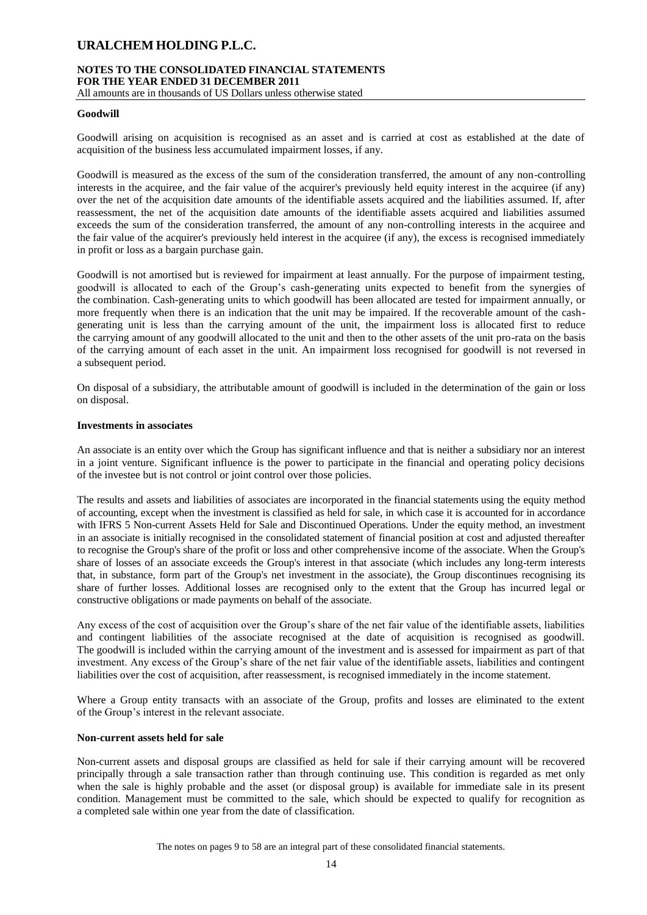# **NOTES TO THE CONSOLIDATED FINANCIAL STATEMENTS FOR THE YEAR ENDED 31 DECEMBER 2011**

All amounts are in thousands of US Dollars unless otherwise stated

## **Goodwill**

Goodwill arising on acquisition is recognised as an asset and is carried at cost as established at the date of acquisition of the business less accumulated impairment losses, if any.

Goodwill is measured as the excess of the sum of the consideration transferred, the amount of any non-controlling interests in the acquiree, and the fair value of the acquirer's previously held equity interest in the acquiree (if any) over the net of the acquisition date amounts of the identifiable assets acquired and the liabilities assumed. If, after reassessment, the net of the acquisition date amounts of the identifiable assets acquired and liabilities assumed exceeds the sum of the consideration transferred, the amount of any non-controlling interests in the acquiree and the fair value of the acquirer's previously held interest in the acquiree (if any), the excess is recognised immediately in profit or loss as a bargain purchase gain.

Goodwill is not amortised but is reviewed for impairment at least annually. For the purpose of impairment testing, goodwill is allocated to each of the Group's cash-generating units expected to benefit from the synergies of the combination. Cash-generating units to which goodwill has been allocated are tested for impairment annually, or more frequently when there is an indication that the unit may be impaired. If the recoverable amount of the cashgenerating unit is less than the carrying amount of the unit, the impairment loss is allocated first to reduce the carrying amount of any goodwill allocated to the unit and then to the other assets of the unit pro-rata on the basis of the carrying amount of each asset in the unit. An impairment loss recognised for goodwill is not reversed in a subsequent period.

On disposal of a subsidiary, the attributable amount of goodwill is included in the determination of the gain or loss on disposal.

## **Investments in associates**

An associate is an entity over which the Group has significant influence and that is neither a subsidiary nor an interest in a joint venture. Significant influence is the power to participate in the financial and operating policy decisions of the investee but is not control or joint control over those policies.

The results and assets and liabilities of associates are incorporated in the financial statements using the equity method of accounting, except when the investment is classified as held for sale, in which case it is accounted for in accordance with IFRS 5 Non-current Assets Held for Sale and Discontinued Operations. Under the equity method, an investment in an associate is initially recognised in the consolidated statement of financial position at cost and adjusted thereafter to recognise the Group's share of the profit or loss and other comprehensive income of the associate. When the Group's share of losses of an associate exceeds the Group's interest in that associate (which includes any long-term interests that, in substance, form part of the Group's net investment in the associate), the Group discontinues recognising its share of further losses. Additional losses are recognised only to the extent that the Group has incurred legal or constructive obligations or made payments on behalf of the associate.

Any excess of the cost of acquisition over the Group's share of the net fair value of the identifiable assets, liabilities and contingent liabilities of the associate recognised at the date of acquisition is recognised as goodwill. The goodwill is included within the carrying amount of the investment and is assessed for impairment as part of that investment. Any excess of the Group's share of the net fair value of the identifiable assets, liabilities and contingent liabilities over the cost of acquisition, after reassessment, is recognised immediately in the income statement.

Where a Group entity transacts with an associate of the Group, profits and losses are eliminated to the extent of the Group's interest in the relevant associate.

#### **Non-current assets held for sale**

Non-current assets and disposal groups are classified as held for sale if their carrying amount will be recovered principally through a sale transaction rather than through continuing use. This condition is regarded as met only when the sale is highly probable and the asset (or disposal group) is available for immediate sale in its present condition. Management must be committed to the sale, which should be expected to qualify for recognition as a completed sale within one year from the date of classification.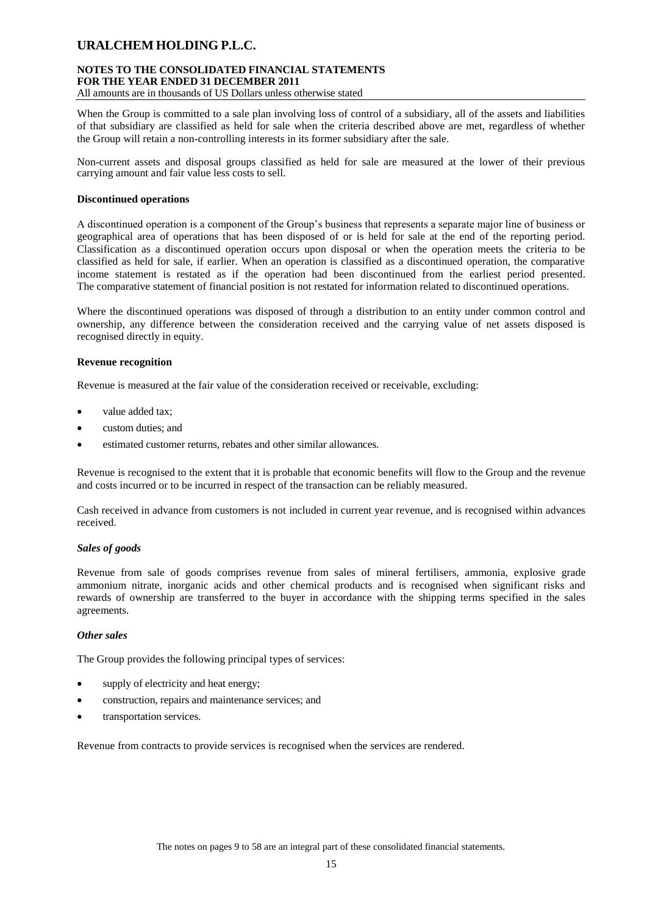## **NOTES TO THE CONSOLIDATED FINANCIAL STATEMENTS FOR THE YEAR ENDED 31 DECEMBER 2011**

All amounts are in thousands of US Dollars unless otherwise stated

When the Group is committed to a sale plan involving loss of control of a subsidiary, all of the assets and liabilities of that subsidiary are classified as held for sale when the criteria described above are met, regardless of whether the Group will retain a non-controlling interests in its former subsidiary after the sale.

Non-current assets and disposal groups classified as held for sale are measured at the lower of their previous carrying amount and fair value less costs to sell.

## **Discontinued operations**

A discontinued operation is a component of the Group's business that represents a separate major line of business or geographical area of operations that has been disposed of or is held for sale at the end of the reporting period. Classification as a discontinued operation occurs upon disposal or when the operation meets the criteria to be classified as held for sale, if earlier. When an operation is classified as a discontinued operation, the comparative income statement is restated as if the operation had been discontinued from the earliest period presented. The comparative statement of financial position is not restated for information related to discontinued operations.

Where the discontinued operations was disposed of through a distribution to an entity under common control and ownership, any difference between the consideration received and the carrying value of net assets disposed is recognised directly in equity.

## **Revenue recognition**

Revenue is measured at the fair value of the consideration received or receivable, excluding:

- value added tax;
- custom duties; and
- estimated customer returns, rebates and other similar allowances.

Revenue is recognised to the extent that it is probable that economic benefits will flow to the Group and the revenue and costs incurred or to be incurred in respect of the transaction can be reliably measured.

Cash received in advance from customers is not included in current year revenue, and is recognised within advances received.

#### *Sales of goods*

Revenue from sale of goods comprises revenue from sales of mineral fertilisers, ammonia, explosive grade ammonium nitrate, inorganic acids and other chemical products and is recognised when significant risks and rewards of ownership are transferred to the buyer in accordance with the shipping terms specified in the sales agreements.

## *Other sales*

The Group provides the following principal types of services:

- supply of electricity and heat energy;
- construction, repairs and maintenance services; and
- transportation services.

Revenue from contracts to provide services is recognised when the services are rendered.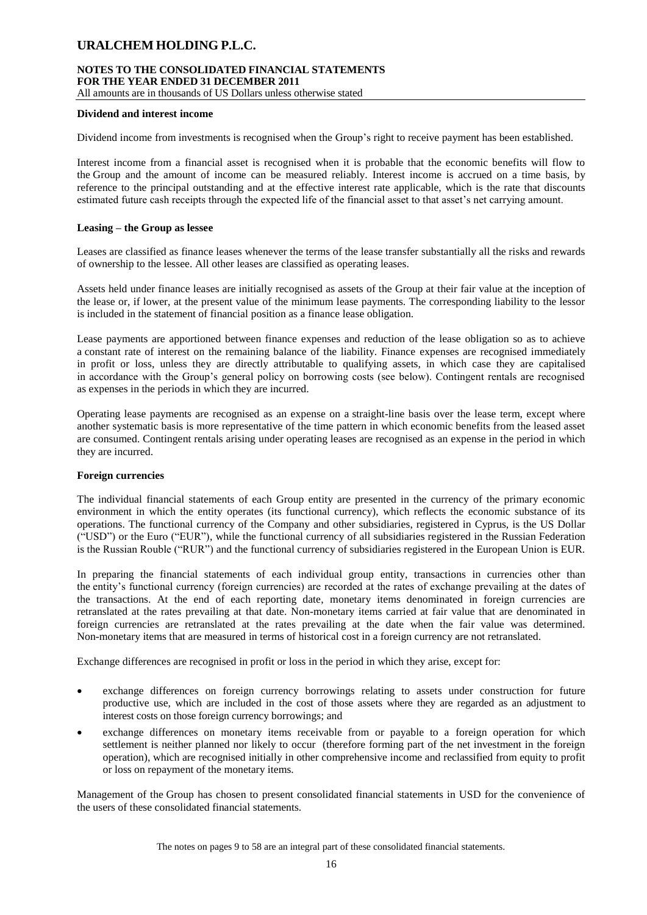#### **NOTES TO THE CONSOLIDATED FINANCIAL STATEMENTS FOR THE YEAR ENDED 31 DECEMBER 2011** All amounts are in thousands of US Dollars unless otherwise stated

## **Dividend and interest income**

Dividend income from investments is recognised when the Group's right to receive payment has been established.

Interest income from a financial asset is recognised when it is probable that the economic benefits will flow to the Group and the amount of income can be measured reliably. Interest income is accrued on a time basis, by reference to the principal outstanding and at the effective interest rate applicable, which is the rate that discounts estimated future cash receipts through the expected life of the financial asset to that asset's net carrying amount.

## **Leasing – the Group as lessee**

Leases are classified as finance leases whenever the terms of the lease transfer substantially all the risks and rewards of ownership to the lessee. All other leases are classified as operating leases.

Assets held under finance leases are initially recognised as assets of the Group at their fair value at the inception of the lease or, if lower, at the present value of the minimum lease payments. The corresponding liability to the lessor is included in the statement of financial position as a finance lease obligation.

Lease payments are apportioned between finance expenses and reduction of the lease obligation so as to achieve a constant rate of interest on the remaining balance of the liability. Finance expenses are recognised immediately in profit or loss, unless they are directly attributable to qualifying assets, in which case they are capitalised in accordance with the Group's general policy on borrowing costs (see below). Contingent rentals are recognised as expenses in the periods in which they are incurred.

Operating lease payments are recognised as an expense on a straight-line basis over the lease term, except where another systematic basis is more representative of the time pattern in which economic benefits from the leased asset are consumed. Contingent rentals arising under operating leases are recognised as an expense in the period in which they are incurred.

#### **Foreign currencies**

The individual financial statements of each Group entity are presented in the currency of the primary economic environment in which the entity operates (its functional currency), which reflects the economic substance of its operations. The functional currency of the Company and other subsidiaries, registered in Cyprus, is the US Dollar ("USD") or the Euro ("EUR"), while the functional currency of all subsidiaries registered in the Russian Federation is the Russian Rouble ("RUR") and the functional currency of subsidiaries registered in the European Union is EUR.

In preparing the financial statements of each individual group entity, transactions in currencies other than the entity's functional currency (foreign currencies) are recorded at the rates of exchange prevailing at the dates of the transactions. At the end of each reporting date, monetary items denominated in foreign currencies are retranslated at the rates prevailing at that date. Non-monetary items carried at fair value that are denominated in foreign currencies are retranslated at the rates prevailing at the date when the fair value was determined. Non-monetary items that are measured in terms of historical cost in a foreign currency are not retranslated.

Exchange differences are recognised in profit or loss in the period in which they arise, except for:

- exchange differences on foreign currency borrowings relating to assets under construction for future productive use, which are included in the cost of those assets where they are regarded as an adjustment to interest costs on those foreign currency borrowings; and
- exchange differences on monetary items receivable from or payable to a foreign operation for which settlement is neither planned nor likely to occur (therefore forming part of the net investment in the foreign operation), which are recognised initially in other comprehensive income and reclassified from equity to profit or loss on repayment of the monetary items.

Management of the Group has chosen to present consolidated financial statements in USD for the convenience of the users of these consolidated financial statements.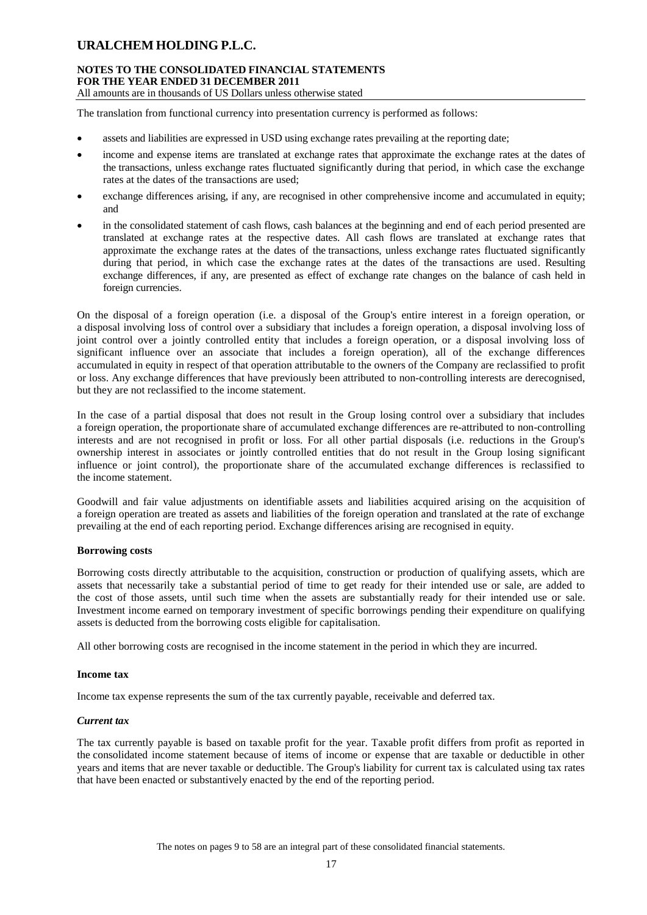#### **NOTES TO THE CONSOLIDATED FINANCIAL STATEMENTS FOR THE YEAR ENDED 31 DECEMBER 2011** All amounts are in thousands of US Dollars unless otherwise stated

The translation from functional currency into presentation currency is performed as follows:

- assets and liabilities are expressed in USD using exchange rates prevailing at the reporting date;
- income and expense items are translated at exchange rates that approximate the exchange rates at the dates of the transactions, unless exchange rates fluctuated significantly during that period, in which case the exchange rates at the dates of the transactions are used;
- exchange differences arising, if any, are recognised in other comprehensive income and accumulated in equity; and
- in the consolidated statement of cash flows, cash balances at the beginning and end of each period presented are translated at exchange rates at the respective dates. All cash flows are translated at exchange rates that approximate the exchange rates at the dates of the transactions, unless exchange rates fluctuated significantly during that period, in which case the exchange rates at the dates of the transactions are used. Resulting exchange differences, if any, are presented as effect of exchange rate changes on the balance of cash held in foreign currencies.

On the disposal of a foreign operation (i.e. a disposal of the Group's entire interest in a foreign operation, or a disposal involving loss of control over a subsidiary that includes a foreign operation, a disposal involving loss of joint control over a jointly controlled entity that includes a foreign operation, or a disposal involving loss of significant influence over an associate that includes a foreign operation), all of the exchange differences accumulated in equity in respect of that operation attributable to the owners of the Company are reclassified to profit or loss. Any exchange differences that have previously been attributed to non-controlling interests are derecognised, but they are not reclassified to the income statement.

In the case of a partial disposal that does not result in the Group losing control over a subsidiary that includes a foreign operation, the proportionate share of accumulated exchange differences are re-attributed to non-controlling interests and are not recognised in profit or loss. For all other partial disposals (i.e. reductions in the Group's ownership interest in associates or jointly controlled entities that do not result in the Group losing significant influence or joint control), the proportionate share of the accumulated exchange differences is reclassified to the income statement.

Goodwill and fair value adjustments on identifiable assets and liabilities acquired arising on the acquisition of a foreign operation are treated as assets and liabilities of the foreign operation and translated at the rate of exchange prevailing at the end of each reporting period. Exchange differences arising are recognised in equity.

## **Borrowing costs**

Borrowing costs directly attributable to the acquisition, construction or production of qualifying assets, which are assets that necessarily take a substantial period of time to get ready for their intended use or sale, are added to the cost of those assets, until such time when the assets are substantially ready for their intended use or sale. Investment income earned on temporary investment of specific borrowings pending their expenditure on qualifying assets is deducted from the borrowing costs eligible for capitalisation.

All other borrowing costs are recognised in the income statement in the period in which they are incurred.

## **Income tax**

Income tax expense represents the sum of the tax currently payable, receivable and deferred tax.

## *Current tax*

The tax currently payable is based on taxable profit for the year. Taxable profit differs from profit as reported in the consolidated income statement because of items of income or expense that are taxable or deductible in other years and items that are never taxable or deductible. The Group's liability for current tax is calculated using tax rates that have been enacted or substantively enacted by the end of the reporting period.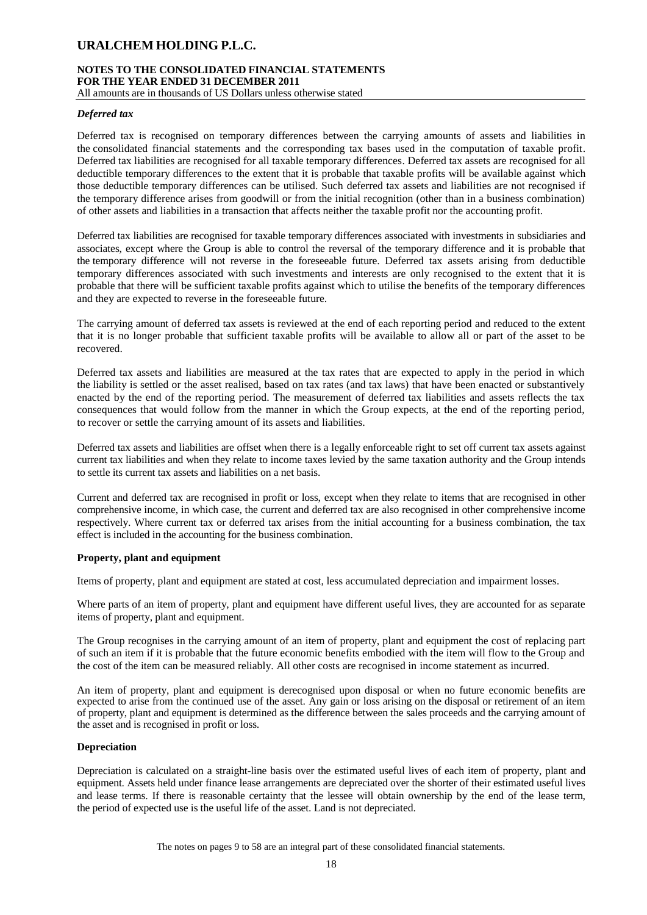#### **NOTES TO THE CONSOLIDATED FINANCIAL STATEMENTS FOR THE YEAR ENDED 31 DECEMBER 2011** All amounts are in thousands of US Dollars unless otherwise stated

## *Deferred tax*

Deferred tax is recognised on temporary differences between the carrying amounts of assets and liabilities in the consolidated financial statements and the corresponding tax bases used in the computation of taxable profit. Deferred tax liabilities are recognised for all taxable temporary differences. Deferred tax assets are recognised for all deductible temporary differences to the extent that it is probable that taxable profits will be available against which those deductible temporary differences can be utilised. Such deferred tax assets and liabilities are not recognised if the temporary difference arises from goodwill or from the initial recognition (other than in a business combination) of other assets and liabilities in a transaction that affects neither the taxable profit nor the accounting profit.

Deferred tax liabilities are recognised for taxable temporary differences associated with investments in subsidiaries and associates, except where the Group is able to control the reversal of the temporary difference and it is probable that the temporary difference will not reverse in the foreseeable future. Deferred tax assets arising from deductible temporary differences associated with such investments and interests are only recognised to the extent that it is probable that there will be sufficient taxable profits against which to utilise the benefits of the temporary differences and they are expected to reverse in the foreseeable future.

The carrying amount of deferred tax assets is reviewed at the end of each reporting period and reduced to the extent that it is no longer probable that sufficient taxable profits will be available to allow all or part of the asset to be recovered.

Deferred tax assets and liabilities are measured at the tax rates that are expected to apply in the period in which the liability is settled or the asset realised, based on tax rates (and tax laws) that have been enacted or substantively enacted by the end of the reporting period. The measurement of deferred tax liabilities and assets reflects the tax consequences that would follow from the manner in which the Group expects, at the end of the reporting period, to recover or settle the carrying amount of its assets and liabilities.

Deferred tax assets and liabilities are offset when there is a legally enforceable right to set off current tax assets against current tax liabilities and when they relate to income taxes levied by the same taxation authority and the Group intends to settle its current tax assets and liabilities on a net basis.

Current and deferred tax are recognised in profit or loss, except when they relate to items that are recognised in other comprehensive income, in which case, the current and deferred tax are also recognised in other comprehensive income respectively. Where current tax or deferred tax arises from the initial accounting for a business combination, the tax effect is included in the accounting for the business combination.

## **Property, plant and equipment**

Items of property, plant and equipment are stated at cost, less accumulated depreciation and impairment losses.

Where parts of an item of property, plant and equipment have different useful lives, they are accounted for as separate items of property, plant and equipment.

The Group recognises in the carrying amount of an item of property, plant and equipment the cost of replacing part of such an item if it is probable that the future economic benefits embodied with the item will flow to the Group and the cost of the item can be measured reliably. All other costs are recognised in income statement as incurred.

An item of property, plant and equipment is derecognised upon disposal or when no future economic benefits are expected to arise from the continued use of the asset. Any gain or loss arising on the disposal or retirement of an item of property, plant and equipment is determined as the difference between the sales proceeds and the carrying amount of the asset and is recognised in profit or loss.

## **Depreciation**

Depreciation is calculated on a straight-line basis over the estimated useful lives of each item of property, plant and equipment. Assets held under finance lease arrangements are depreciated over the shorter of their estimated useful lives and lease terms. If there is reasonable certainty that the lessee will obtain ownership by the end of the lease term, the period of expected use is the useful life of the asset. Land is not depreciated.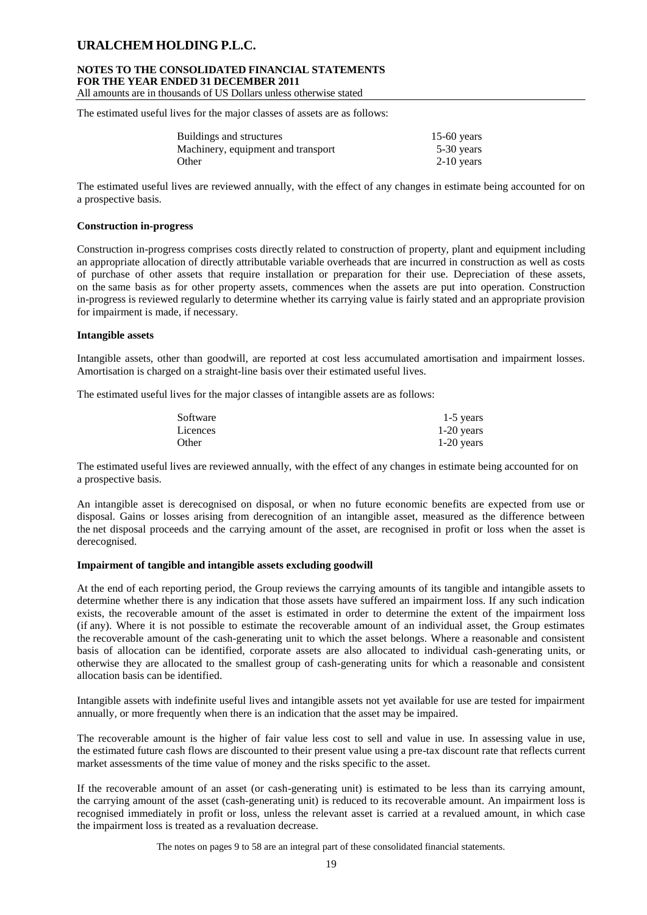# **NOTES TO THE CONSOLIDATED FINANCIAL STATEMENTS FOR THE YEAR ENDED 31 DECEMBER 2011**

All amounts are in thousands of US Dollars unless otherwise stated

The estimated useful lives for the major classes of assets are as follows:

| Buildings and structures           | $15-60$ years |
|------------------------------------|---------------|
| Machinery, equipment and transport | 5-30 years    |
| Other                              | $2-10$ years  |

The estimated useful lives are reviewed annually, with the effect of any changes in estimate being accounted for on a prospective basis.

## **Construction in-progress**

Construction in-progress comprises costs directly related to construction of property, plant and equipment including an appropriate allocation of directly attributable variable overheads that are incurred in construction as well as costs of purchase of other assets that require installation or preparation for their use. Depreciation of these assets, on the same basis as for other property assets, commences when the assets are put into operation. Construction in-progress is reviewed regularly to determine whether its carrying value is fairly stated and an appropriate provision for impairment is made, if necessary.

## **Intangible assets**

Intangible assets, other than goodwill, are reported at cost less accumulated amortisation and impairment losses. Amortisation is charged on a straight-line basis over their estimated useful lives.

The estimated useful lives for the major classes of intangible assets are as follows:

| Software | $1-5$ years  |
|----------|--------------|
| Licences | $1-20$ years |
| Other    | $1-20$ years |

The estimated useful lives are reviewed annually, with the effect of any changes in estimate being accounted for on a prospective basis.

An intangible asset is derecognised on disposal, or when no future economic benefits are expected from use or disposal. Gains or losses arising from derecognition of an intangible asset, measured as the difference between the net disposal proceeds and the carrying amount of the asset, are recognised in profit or loss when the asset is derecognised.

## **Impairment of tangible and intangible assets excluding goodwill**

At the end of each reporting period, the Group reviews the carrying amounts of its tangible and intangible assets to determine whether there is any indication that those assets have suffered an impairment loss. If any such indication exists, the recoverable amount of the asset is estimated in order to determine the extent of the impairment loss (if any). Where it is not possible to estimate the recoverable amount of an individual asset, the Group estimates the recoverable amount of the cash-generating unit to which the asset belongs. Where a reasonable and consistent basis of allocation can be identified, corporate assets are also allocated to individual cash-generating units, or otherwise they are allocated to the smallest group of cash-generating units for which a reasonable and consistent allocation basis can be identified.

Intangible assets with indefinite useful lives and intangible assets not yet available for use are tested for impairment annually, or more frequently when there is an indication that the asset may be impaired.

The recoverable amount is the higher of fair value less cost to sell and value in use. In assessing value in use, the estimated future cash flows are discounted to their present value using a pre-tax discount rate that reflects current market assessments of the time value of money and the risks specific to the asset.

If the recoverable amount of an asset (or cash-generating unit) is estimated to be less than its carrying amount, the carrying amount of the asset (cash-generating unit) is reduced to its recoverable amount. An impairment loss is recognised immediately in profit or loss, unless the relevant asset is carried at a revalued amount, in which case the impairment loss is treated as a revaluation decrease.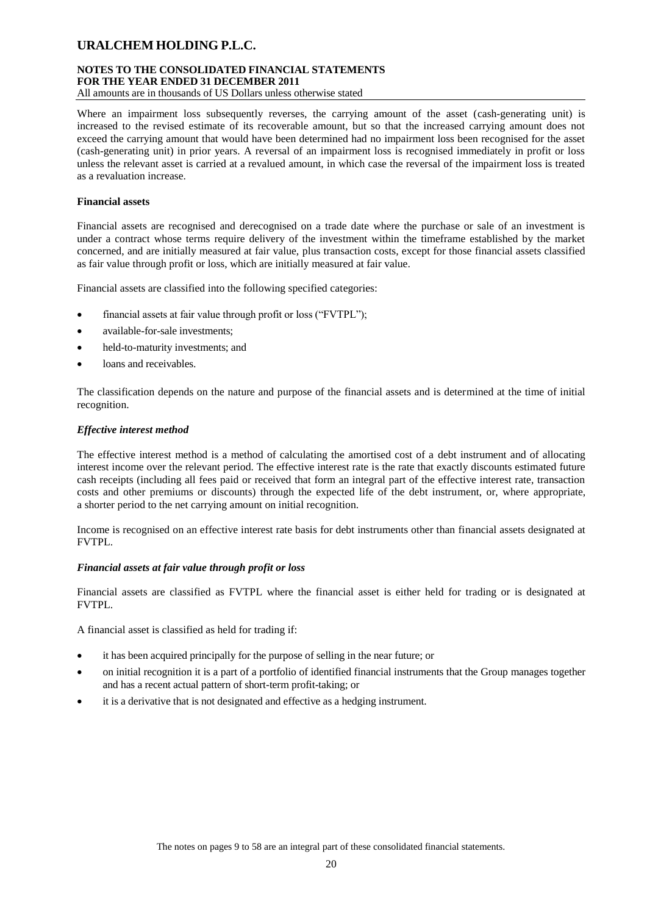# **NOTES TO THE CONSOLIDATED FINANCIAL STATEMENTS FOR THE YEAR ENDED 31 DECEMBER 2011**

All amounts are in thousands of US Dollars unless otherwise stated

Where an impairment loss subsequently reverses, the carrying amount of the asset (cash-generating unit) is increased to the revised estimate of its recoverable amount, but so that the increased carrying amount does not exceed the carrying amount that would have been determined had no impairment loss been recognised for the asset (cash-generating unit) in prior years. A reversal of an impairment loss is recognised immediately in profit or loss unless the relevant asset is carried at a revalued amount, in which case the reversal of the impairment loss is treated as a revaluation increase.

## **Financial assets**

Financial assets are recognised and derecognised on a trade date where the purchase or sale of an investment is under a contract whose terms require delivery of the investment within the timeframe established by the market concerned, and are initially measured at fair value, plus transaction costs, except for those financial assets classified as fair value through profit or loss, which are initially measured at fair value.

Financial assets are classified into the following specified categories:

- financial assets at fair value through profit or loss ("FVTPL");
- available-for-sale investments;
- held-to-maturity investments; and
- loans and receivables.

The classification depends on the nature and purpose of the financial assets and is determined at the time of initial recognition.

## *Effective interest method*

The effective interest method is a method of calculating the amortised cost of a debt instrument and of allocating interest income over the relevant period. The effective interest rate is the rate that exactly discounts estimated future cash receipts (including all fees paid or received that form an integral part of the effective interest rate, transaction costs and other premiums or discounts) through the expected life of the debt instrument, or, where appropriate, a shorter period to the net carrying amount on initial recognition.

Income is recognised on an effective interest rate basis for debt instruments other than financial assets designated at FVTPL.

#### *Financial assets at fair value through profit or loss*

Financial assets are classified as FVTPL where the financial asset is either held for trading or is designated at FVTPL.

A financial asset is classified as held for trading if:

- it has been acquired principally for the purpose of selling in the near future; or
- on initial recognition it is a part of a portfolio of identified financial instruments that the Group manages together and has a recent actual pattern of short-term profit-taking; or
- it is a derivative that is not designated and effective as a hedging instrument.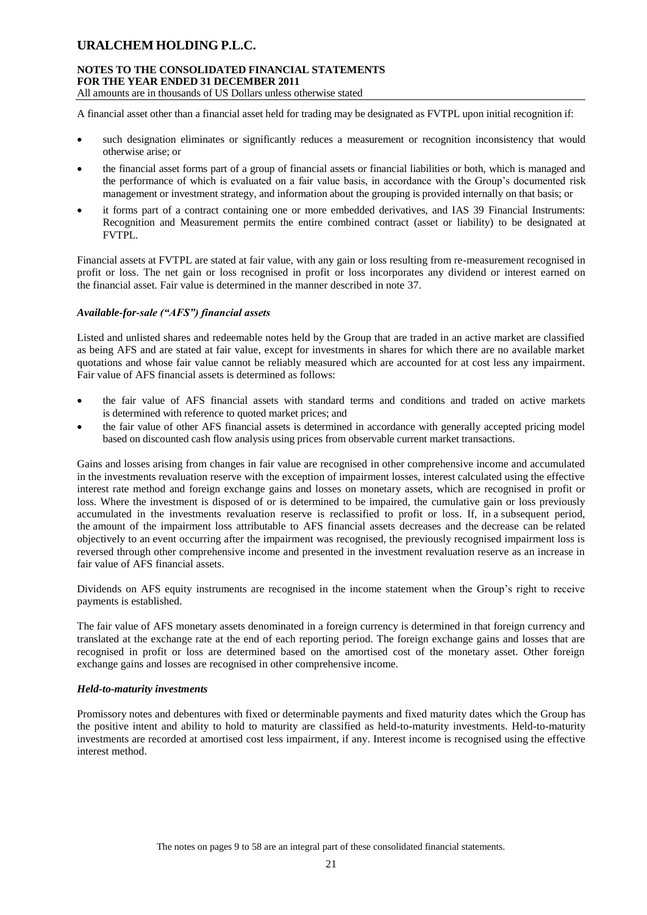# **NOTES TO THE CONSOLIDATED FINANCIAL STATEMENTS FOR THE YEAR ENDED 31 DECEMBER 2011**

All amounts are in thousands of US Dollars unless otherwise stated

A financial asset other than a financial asset held for trading may be designated as FVTPL upon initial recognition if:

- such designation eliminates or significantly reduces a measurement or recognition inconsistency that would otherwise arise; or
- the financial asset forms part of a group of financial assets or financial liabilities or both, which is managed and the performance of which is evaluated on a fair value basis, in accordance with the Group's documented risk management or investment strategy, and information about the grouping is provided internally on that basis; or
- it forms part of a contract containing one or more embedded derivatives, and IAS 39 Financial Instruments: Recognition and Measurement permits the entire combined contract (asset or liability) to be designated at FVTPL.

Financial assets at FVTPL are stated at fair value, with any gain or loss resulting from re-measurement recognised in profit or loss. The net gain or loss recognised in profit or loss incorporates any dividend or interest earned on the financial asset. Fair value is determined in the manner described in note 37.

## *Available-for-sale ("AFS") financial assets*

Listed and unlisted shares and redeemable notes held by the Group that are traded in an active market are classified as being AFS and are stated at fair value, except for investments in shares for which there are no available market quotations and whose fair value cannot be reliably measured which are accounted for at cost less any impairment. Fair value of AFS financial assets is determined as follows:

- the fair value of AFS financial assets with standard terms and conditions and traded on active markets is determined with reference to quoted market prices; and
- the fair value of other AFS financial assets is determined in accordance with generally accepted pricing model based on discounted cash flow analysis using prices from observable current market transactions.

Gains and losses arising from changes in fair value are recognised in other comprehensive income and accumulated in the investments revaluation reserve with the exception of impairment losses, interest calculated using the effective interest rate method and foreign exchange gains and losses on monetary assets, which are recognised in profit or loss. Where the investment is disposed of or is determined to be impaired, the cumulative gain or loss previously accumulated in the investments revaluation reserve is reclassified to profit or loss. If, in a subsequent period, the amount of the impairment loss attributable to AFS financial assets decreases and the decrease can be related objectively to an event occurring after the impairment was recognised, the previously recognised impairment loss is reversed through other comprehensive income and presented in the investment revaluation reserve as an increase in fair value of AFS financial assets.

Dividends on AFS equity instruments are recognised in the income statement when the Group's right to receive payments is established.

The fair value of AFS monetary assets denominated in a foreign currency is determined in that foreign currency and translated at the exchange rate at the end of each reporting period. The foreign exchange gains and losses that are recognised in profit or loss are determined based on the amortised cost of the monetary asset. Other foreign exchange gains and losses are recognised in other comprehensive income.

## *Held-to-maturity investments*

Promissory notes and debentures with fixed or determinable payments and fixed maturity dates which the Group has the positive intent and ability to hold to maturity are classified as held-to-maturity investments. Held-to-maturity investments are recorded at amortised cost less impairment, if any. Interest income is recognised using the effective interest method.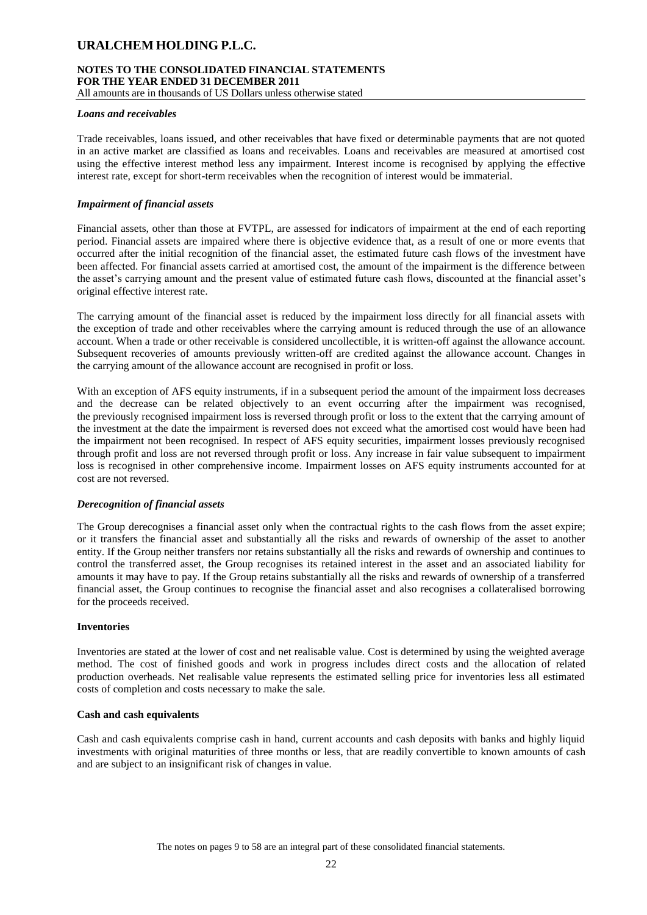# **NOTES TO THE CONSOLIDATED FINANCIAL STATEMENTS FOR THE YEAR ENDED 31 DECEMBER 2011**

All amounts are in thousands of US Dollars unless otherwise stated

## *Loans and receivables*

Trade receivables, loans issued, and other receivables that have fixed or determinable payments that are not quoted in an active market are classified as loans and receivables. Loans and receivables are measured at amortised cost using the effective interest method less any impairment. Interest income is recognised by applying the effective interest rate, except for short-term receivables when the recognition of interest would be immaterial.

## *Impairment of financial assets*

Financial assets, other than those at FVTPL, are assessed for indicators of impairment at the end of each reporting period. Financial assets are impaired where there is objective evidence that, as a result of one or more events that occurred after the initial recognition of the financial asset, the estimated future cash flows of the investment have been affected. For financial assets carried at amortised cost, the amount of the impairment is the difference between the asset's carrying amount and the present value of estimated future cash flows, discounted at the financial asset's original effective interest rate.

The carrying amount of the financial asset is reduced by the impairment loss directly for all financial assets with the exception of trade and other receivables where the carrying amount is reduced through the use of an allowance account. When a trade or other receivable is considered uncollectible, it is written-off against the allowance account. Subsequent recoveries of amounts previously written-off are credited against the allowance account. Changes in the carrying amount of the allowance account are recognised in profit or loss.

With an exception of AFS equity instruments, if in a subsequent period the amount of the impairment loss decreases and the decrease can be related objectively to an event occurring after the impairment was recognised, the previously recognised impairment loss is reversed through profit or loss to the extent that the carrying amount of the investment at the date the impairment is reversed does not exceed what the amortised cost would have been had the impairment not been recognised. In respect of AFS equity securities, impairment losses previously recognised through profit and loss are not reversed through profit or loss. Any increase in fair value subsequent to impairment loss is recognised in other comprehensive income. Impairment losses on AFS equity instruments accounted for at cost are not reversed.

#### *Derecognition of financial assets*

The Group derecognises a financial asset only when the contractual rights to the cash flows from the asset expire; or it transfers the financial asset and substantially all the risks and rewards of ownership of the asset to another entity. If the Group neither transfers nor retains substantially all the risks and rewards of ownership and continues to control the transferred asset, the Group recognises its retained interest in the asset and an associated liability for amounts it may have to pay. If the Group retains substantially all the risks and rewards of ownership of a transferred financial asset, the Group continues to recognise the financial asset and also recognises a collateralised borrowing for the proceeds received.

#### **Inventories**

Inventories are stated at the lower of cost and net realisable value. Cost is determined by using the weighted average method. The cost of finished goods and work in progress includes direct costs and the allocation of related production overheads. Net realisable value represents the estimated selling price for inventories less all estimated costs of completion and costs necessary to make the sale.

#### **Cash and cash equivalents**

Cash and cash equivalents comprise cash in hand, current accounts and cash deposits with banks and highly liquid investments with original maturities of three months or less, that are readily convertible to known amounts of cash and are subject to an insignificant risk of changes in value.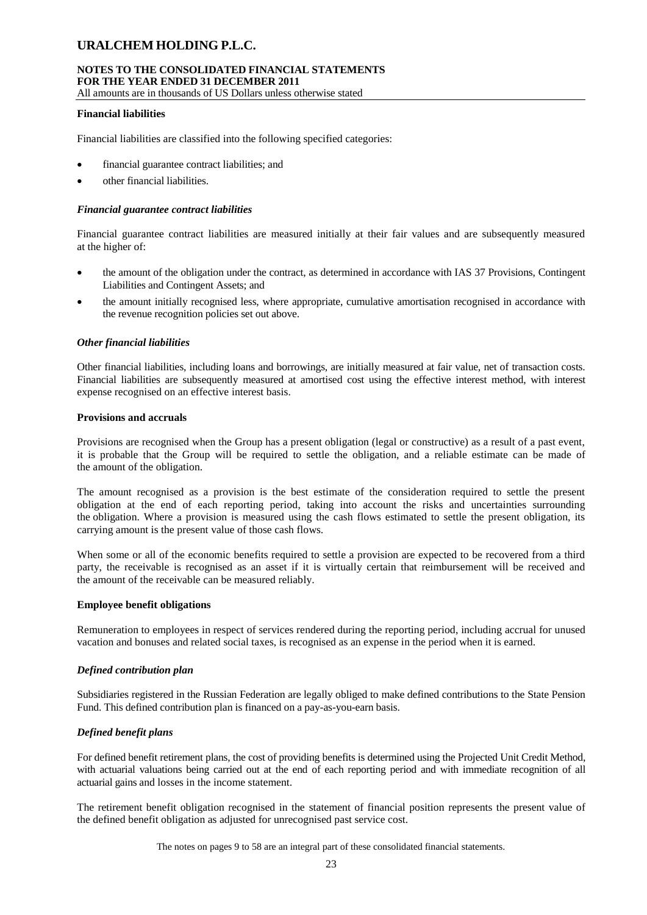#### **NOTES TO THE CONSOLIDATED FINANCIAL STATEMENTS FOR THE YEAR ENDED 31 DECEMBER 2011** All amounts are in thousands of US Dollars unless otherwise stated

## **Financial liabilities**

Financial liabilities are classified into the following specified categories:

- financial guarantee contract liabilities; and
- other financial liabilities.

#### *Financial guarantee contract liabilities*

Financial guarantee contract liabilities are measured initially at their fair values and are subsequently measured at the higher of:

- the amount of the obligation under the contract, as determined in accordance with IAS 37 Provisions, Contingent Liabilities and Contingent Assets; and
- the amount initially recognised less, where appropriate, cumulative amortisation recognised in accordance with the revenue recognition policies set out above.

## *Other financial liabilities*

Other financial liabilities, including loans and borrowings, are initially measured at fair value, net of transaction costs. Financial liabilities are subsequently measured at amortised cost using the effective interest method, with interest expense recognised on an effective interest basis.

## **Provisions and accruals**

Provisions are recognised when the Group has a present obligation (legal or constructive) as a result of a past event, it is probable that the Group will be required to settle the obligation, and a reliable estimate can be made of the amount of the obligation.

The amount recognised as a provision is the best estimate of the consideration required to settle the present obligation at the end of each reporting period, taking into account the risks and uncertainties surrounding the obligation. Where a provision is measured using the cash flows estimated to settle the present obligation, its carrying amount is the present value of those cash flows.

When some or all of the economic benefits required to settle a provision are expected to be recovered from a third party, the receivable is recognised as an asset if it is virtually certain that reimbursement will be received and the amount of the receivable can be measured reliably.

#### **Employee benefit obligations**

Remuneration to employees in respect of services rendered during the reporting period, including accrual for unused vacation and bonuses and related social taxes, is recognised as an expense in the period when it is earned.

## *Defined contribution plan*

Subsidiaries registered in the Russian Federation are legally obliged to make defined contributions to the State Pension Fund. This defined contribution plan is financed on a pay-as-you-earn basis.

## *Defined benefit plans*

For defined benefit retirement plans, the cost of providing benefits is determined using the Projected Unit Credit Method, with actuarial valuations being carried out at the end of each reporting period and with immediate recognition of all actuarial gains and losses in the income statement.

The retirement benefit obligation recognised in the statement of financial position represents the present value of the defined benefit obligation as adjusted for unrecognised past service cost.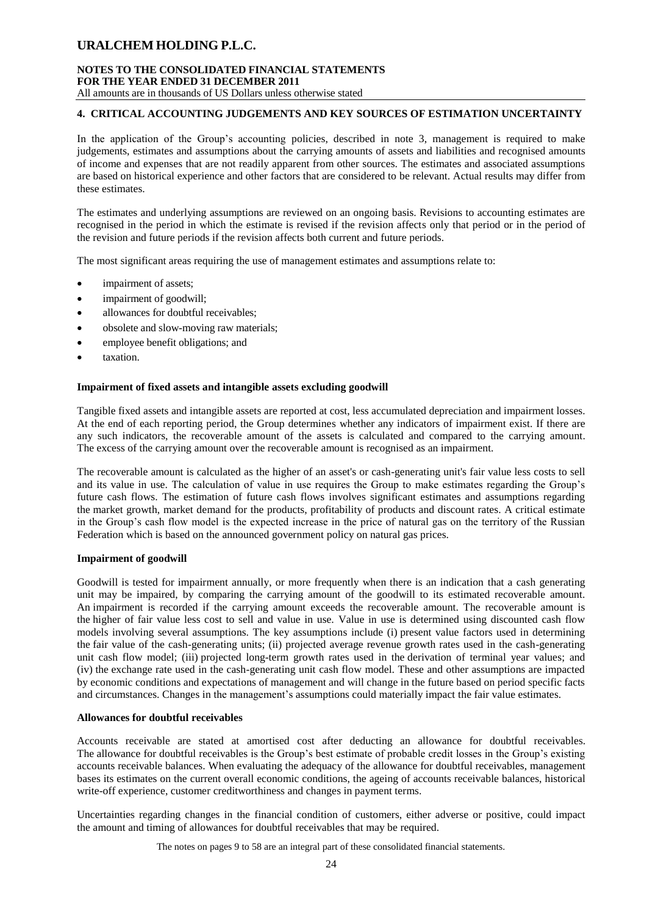#### **NOTES TO THE CONSOLIDATED FINANCIAL STATEMENTS FOR THE YEAR ENDED 31 DECEMBER 2011** All amounts are in thousands of US Dollars unless otherwise stated

# **4. CRITICAL ACCOUNTING JUDGEMENTS AND KEY SOURCES OF ESTIMATION UNCERTAINTY**

In the application of the Group's accounting policies, described in note 3, management is required to make judgements, estimates and assumptions about the carrying amounts of assets and liabilities and recognised amounts of income and expenses that are not readily apparent from other sources. The estimates and associated assumptions are based on historical experience and other factors that are considered to be relevant. Actual results may differ from these estimates.

The estimates and underlying assumptions are reviewed on an ongoing basis. Revisions to accounting estimates are recognised in the period in which the estimate is revised if the revision affects only that period or in the period of the revision and future periods if the revision affects both current and future periods.

The most significant areas requiring the use of management estimates and assumptions relate to:

- impairment of assets;
- impairment of goodwill;
- allowances for doubtful receivables;
- obsolete and slow-moving raw materials;
- employee benefit obligations; and
- taxation.

## **Impairment of fixed assets and intangible assets excluding goodwill**

Tangible fixed assets and intangible assets are reported at cost, less accumulated depreciation and impairment losses. At the end of each reporting period, the Group determines whether any indicators of impairment exist. If there are any such indicators, the recoverable amount of the assets is calculated and compared to the carrying amount. The excess of the carrying amount over the recoverable amount is recognised as an impairment.

The recoverable amount is calculated as the higher of an asset's or cash-generating unit's fair value less costs to sell and its value in use. The calculation of value in use requires the Group to make estimates regarding the Group's future cash flows. The estimation of future cash flows involves significant estimates and assumptions regarding the market growth, market demand for the products, profitability of products and discount rates. A critical estimate in the Group's cash flow model is the expected increase in the price of natural gas on the territory of the Russian Federation which is based on the announced government policy on natural gas prices.

## **Impairment of goodwill**

Goodwill is tested for impairment annually, or more frequently when there is an indication that a cash generating unit may be impaired, by comparing the carrying amount of the goodwill to its estimated recoverable amount. An impairment is recorded if the carrying amount exceeds the recoverable amount. The recoverable amount is the higher of fair value less cost to sell and value in use. Value in use is determined using discounted cash flow models involving several assumptions. The key assumptions include (i) present value factors used in determining the fair value of the cash-generating units; (ii) projected average revenue growth rates used in the cash-generating unit cash flow model; (iii) projected long-term growth rates used in the derivation of terminal year values; and (iv) the exchange rate used in the cash-generating unit cash flow model. These and other assumptions are impacted by economic conditions and expectations of management and will change in the future based on period specific facts and circumstances. Changes in the management's assumptions could materially impact the fair value estimates.

#### **Allowances for doubtful receivables**

Accounts receivable are stated at amortised cost after deducting an allowance for doubtful receivables. The allowance for doubtful receivables is the Group's best estimate of probable credit losses in the Group's existing accounts receivable balances. When evaluating the adequacy of the allowance for doubtful receivables, management bases its estimates on the current overall economic conditions, the ageing of accounts receivable balances, historical write-off experience, customer creditworthiness and changes in payment terms.

Uncertainties regarding changes in the financial condition of customers, either adverse or positive, could impact the amount and timing of allowances for doubtful receivables that may be required.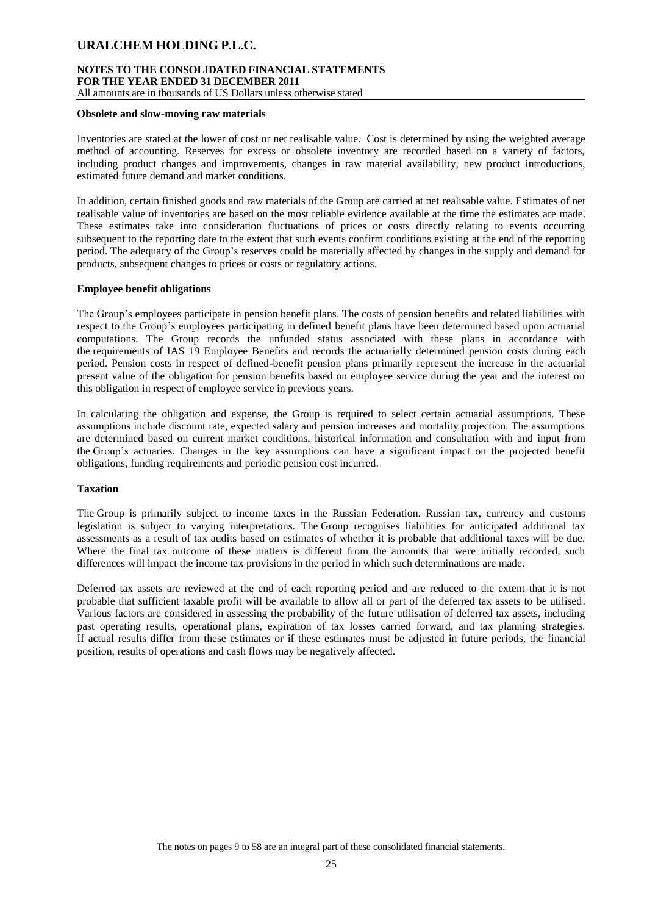# **NOTES TO THE CONSOLIDATED FINANCIAL STATEMENTS FOR THE YEAR ENDED 31 DECEMBER 2011**

All amounts are in thousands of US Dollars unless otherwise stated

## **Obsolete and slow-moving raw materials**

Inventories are stated at the lower of cost or net realisable value. Cost is determined by using the weighted average method of accounting. Reserves for excess or obsolete inventory are recorded based on a variety of factors, including product changes and improvements, changes in raw material availability, new product introductions, estimated future demand and market conditions.

In addition, certain finished goods and raw materials of the Group are carried at net realisable value. Estimates of net realisable value of inventories are based on the most reliable evidence available at the time the estimates are made. These estimates take into consideration fluctuations of prices or costs directly relating to events occurring subsequent to the reporting date to the extent that such events confirm conditions existing at the end of the reporting period. The adequacy of the Group's reserves could be materially affected by changes in the supply and demand for products, subsequent changes to prices or costs or regulatory actions.

## **Employee benefit obligations**

The Group's employees participate in pension benefit plans. The costs of pension benefits and related liabilities with respect to the Group's employees participating in defined benefit plans have been determined based upon actuarial computations. The Group records the unfunded status associated with these plans in accordance with the requirements of IAS 19 Employee Benefits and records the actuarially determined pension costs during each period. Pension costs in respect of defined-benefit pension plans primarily represent the increase in the actuarial present value of the obligation for pension benefits based on employee service during the year and the interest on this obligation in respect of employee service in previous years.

In calculating the obligation and expense, the Group is required to select certain actuarial assumptions. These assumptions include discount rate, expected salary and pension increases and mortality projection. The assumptions are determined based on current market conditions, historical information and consultation with and input from the Group's actuaries. Changes in the key assumptions can have a significant impact on the projected benefit obligations, funding requirements and periodic pension cost incurred.

#### **Taxation**

The Group is primarily subject to income taxes in the Russian Federation. Russian tax, currency and customs legislation is subject to varying interpretations. The Group recognises liabilities for anticipated additional tax assessments as a result of tax audits based on estimates of whether it is probable that additional taxes will be due. Where the final tax outcome of these matters is different from the amounts that were initially recorded, such differences will impact the income tax provisions in the period in which such determinations are made.

Deferred tax assets are reviewed at the end of each reporting period and are reduced to the extent that it is not probable that sufficient taxable profit will be available to allow all or part of the deferred tax assets to be utilised. Various factors are considered in assessing the probability of the future utilisation of deferred tax assets, including past operating results, operational plans, expiration of tax losses carried forward, and tax planning strategies. If actual results differ from these estimates or if these estimates must be adjusted in future periods, the financial position, results of operations and cash flows may be negatively affected.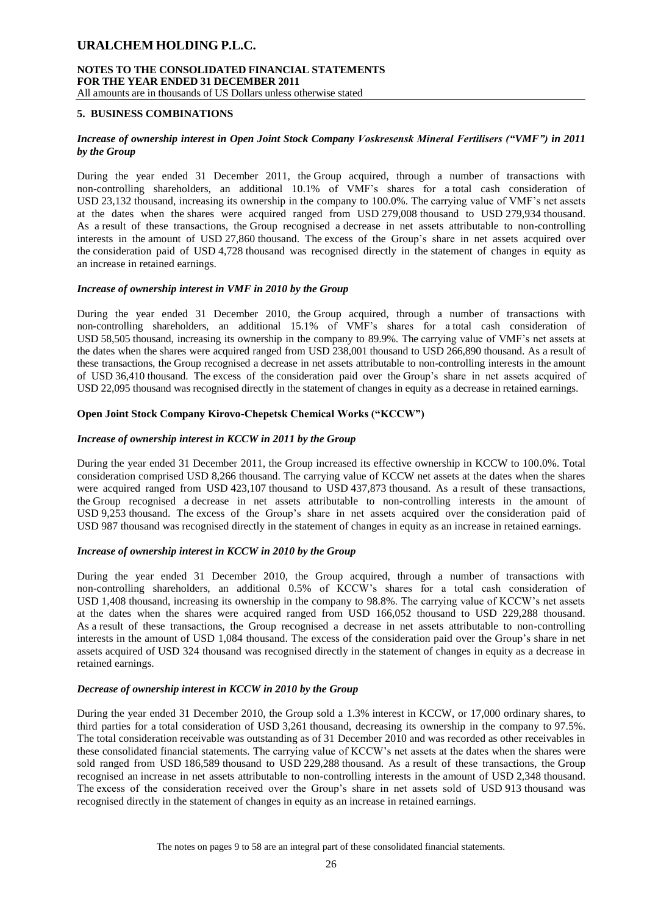#### **NOTES TO THE CONSOLIDATED FINANCIAL STATEMENTS FOR THE YEAR ENDED 31 DECEMBER 2011** All amounts are in thousands of US Dollars unless otherwise stated

## **5. BUSINESS COMBINATIONS**

## *Increase of ownership interest in Open Joint Stock Company Voskresensk Mineral Fertilisers ("VMF") in 2011 by the Group*

During the year ended 31 December 2011, the Group acquired, through a number of transactions with non-controlling shareholders, an additional 10.1% of VMF's shares for a total cash consideration of USD 23,132 thousand, increasing its ownership in the company to 100.0%. The carrying value of VMF's net assets at the dates when the shares were acquired ranged from USD 279,008 thousand to USD 279,934 thousand. As a result of these transactions, the Group recognised a decrease in net assets attributable to non-controlling interests in the amount of USD 27,860 thousand. The excess of the Group's share in net assets acquired over the consideration paid of USD 4,728 thousand was recognised directly in the statement of changes in equity as an increase in retained earnings.

#### *Increase of ownership interest in VMF in 2010 by the Group*

During the year ended 31 December 2010, the Group acquired, through a number of transactions with non-controlling shareholders, an additional 15.1% of VMF's shares for a total cash consideration of USD 58,505 thousand, increasing its ownership in the company to 89.9%. The carrying value of VMF's net assets at the dates when the shares were acquired ranged from USD 238,001 thousand to USD 266,890 thousand. As a result of these transactions, the Group recognised a decrease in net assets attributable to non-controlling interests in the amount of USD 36,410 thousand. The excess of the consideration paid over the Group's share in net assets acquired of USD 22,095 thousand was recognised directly in the statement of changes in equity as a decrease in retained earnings.

#### **Open Joint Stock Company Kirovo-Chepetsk Chemical Works ("KCCW")**

#### *Increase of ownership interest in KCCW in 2011 by the Group*

During the year ended 31 December 2011, the Group increased its effective ownership in KCCW to 100.0%. Total consideration comprised USD 8,266 thousand. The carrying value of KCCW net assets at the dates when the shares were acquired ranged from USD 423,107 thousand to USD 437,873 thousand. As a result of these transactions, the Group recognised a decrease in net assets attributable to non-controlling interests in the amount of USD 9,253 thousand. The excess of the Group's share in net assets acquired over the consideration paid of USD 987 thousand was recognised directly in the statement of changes in equity as an increase in retained earnings.

#### *Increase of ownership interest in KCCW in 2010 by the Group*

During the year ended 31 December 2010, the Group acquired, through a number of transactions with non-controlling shareholders, an additional 0.5% of KCCW's shares for a total cash consideration of USD 1,408 thousand, increasing its ownership in the company to 98.8%. The carrying value of KCCW's net assets at the dates when the shares were acquired ranged from USD 166,052 thousand to USD 229,288 thousand. As a result of these transactions, the Group recognised a decrease in net assets attributable to non-controlling interests in the amount of USD 1,084 thousand. The excess of the consideration paid over the Group's share in net assets acquired of USD 324 thousand was recognised directly in the statement of changes in equity as a decrease in retained earnings.

#### *Decrease of ownership interest in KCCW in 2010 by the Group*

During the year ended 31 December 2010, the Group sold a 1.3% interest in KCCW, or 17,000 ordinary shares, to third parties for a total consideration of USD 3,261 thousand, decreasing its ownership in the company to 97.5%. The total consideration receivable was outstanding as of 31 December 2010 and was recorded as other receivables in these consolidated financial statements. The carrying value of KCCW's net assets at the dates when the shares were sold ranged from USD 186,589 thousand to USD 229,288 thousand. As a result of these transactions, the Group recognised an increase in net assets attributable to non-controlling interests in the amount of USD 2,348 thousand. The excess of the consideration received over the Group's share in net assets sold of USD 913 thousand was recognised directly in the statement of changes in equity as an increase in retained earnings.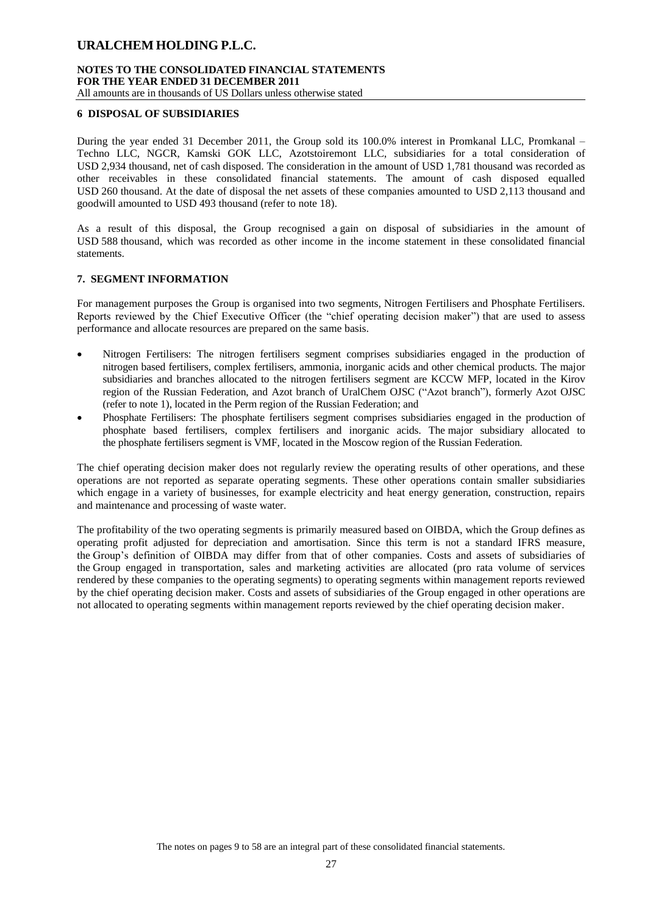#### **NOTES TO THE CONSOLIDATED FINANCIAL STATEMENTS FOR THE YEAR ENDED 31 DECEMBER 2011** All amounts are in thousands of US Dollars unless otherwise stated

## **6 DISPOSAL OF SUBSIDIARIES**

During the year ended 31 December 2011, the Group sold its 100.0% interest in Promkanal LLC, Promkanal – Techno LLC, NGCR, Kamski GOK LLC, Azotstoiremont LLC, subsidiaries for a total consideration of USD 2,934 thousand, net of cash disposed. The consideration in the amount of USD 1,781 thousand was recorded as other receivables in these consolidated financial statements. The amount of cash disposed equalled USD 260 thousand. At the date of disposal the net assets of these companies amounted to USD 2,113 thousand and goodwill amounted to USD 493 thousand (refer to note 18).

As a result of this disposal, the Group recognised a gain on disposal of subsidiaries in the amount of USD 588 thousand, which was recorded as other income in the income statement in these consolidated financial statements.

## **7. SEGMENT INFORMATION**

For management purposes the Group is organised into two segments, Nitrogen Fertilisers and Phosphate Fertilisers. Reports reviewed by the Chief Executive Officer (the "chief operating decision maker") that are used to assess performance and allocate resources are prepared on the same basis.

- Nitrogen Fertilisers: The nitrogen fertilisers segment comprises subsidiaries engaged in the production of nitrogen based fertilisers, complex fertilisers, ammonia, inorganic acids and other chemical products. The major subsidiaries and branches allocated to the nitrogen fertilisers segment are KCCW MFP, located in the Kirov region of the Russian Federation, and Azot branch of UralChem OJSC ("Azot branch"), formerly Azot OJSC (refer to note 1), located in the Perm region of the Russian Federation; and
- Phosphate Fertilisers: The phosphate fertilisers segment comprises subsidiaries engaged in the production of phosphate based fertilisers, complex fertilisers and inorganic acids. The major subsidiary allocated to the phosphate fertilisers segment is VMF, located in the Moscow region of the Russian Federation.

The chief operating decision maker does not regularly review the operating results of other operations, and these operations are not reported as separate operating segments. These other operations contain smaller subsidiaries which engage in a variety of businesses, for example electricity and heat energy generation, construction, repairs and maintenance and processing of waste water.

The profitability of the two operating segments is primarily measured based on OIBDA, which the Group defines as operating profit adjusted for depreciation and amortisation. Since this term is not a standard IFRS measure, the Group's definition of OIBDA may differ from that of other companies. Costs and assets of subsidiaries of the Group engaged in transportation, sales and marketing activities are allocated (pro rata volume of services rendered by these companies to the operating segments) to operating segments within management reports reviewed by the chief operating decision maker. Costs and assets of subsidiaries of the Group engaged in other operations are not allocated to operating segments within management reports reviewed by the chief operating decision maker.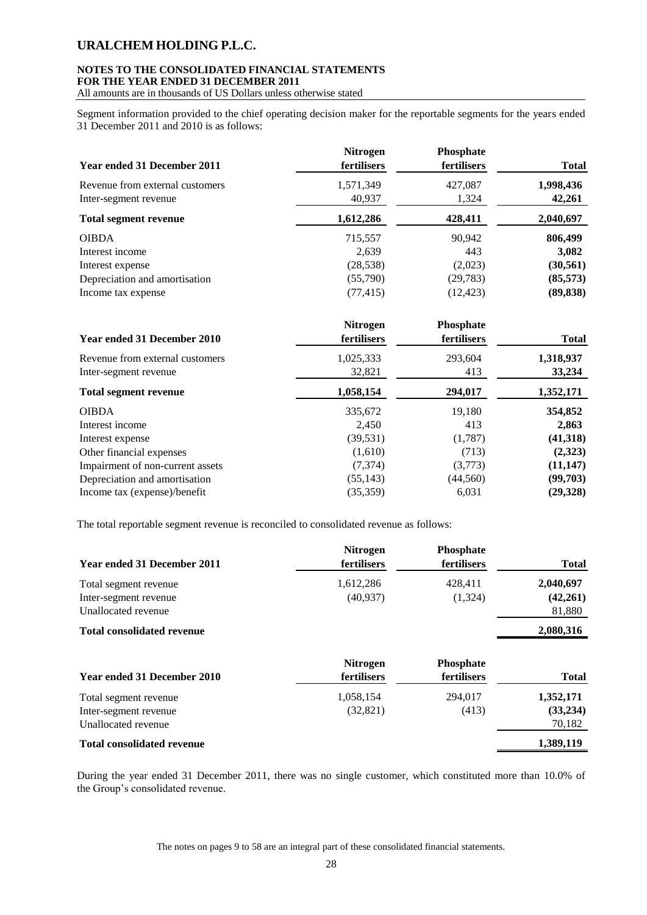# **NOTES TO THE CONSOLIDATED FINANCIAL STATEMENTS FOR THE YEAR ENDED 31 DECEMBER 2011**

All amounts are in thousands of US Dollars unless otherwise stated

Segment information provided to the chief operating decision maker for the reportable segments for the years ended 31 December 2011 and 2010 is as follows:

|                                 | <b>Nitrogen</b>    | <b>Phosphate</b> |              |
|---------------------------------|--------------------|------------------|--------------|
| Year ended 31 December 2011     | <b>fertilisers</b> | fertilisers      | <b>Total</b> |
| Revenue from external customers | 1,571,349          | 427,087          | 1,998,436    |
| Inter-segment revenue           | 40,937             | 1,324            | 42,261       |
| <b>Total segment revenue</b>    | 1,612,286          | 428,411          | 2,040,697    |
| <b>OIBDA</b>                    | 715,557            | 90,942           | 806,499      |
| Interest income                 | 2,639              | 443              | 3,082        |
| Interest expense                | (28, 538)          | (2,023)          | (30, 561)    |
| Depreciation and amortisation   | (55,790)           | (29, 783)        | (85, 573)    |
| Income tax expense              | (77, 415)          | (12, 423)        | (89, 838)    |

| Year ended 31 December 2010                           | <b>Nitrogen</b><br>fertilisers | Phosphate<br>fertilisers | <b>Total</b>        |
|-------------------------------------------------------|--------------------------------|--------------------------|---------------------|
| Revenue from external customers                       | 1,025,333                      | 293,604                  | 1,318,937           |
| Inter-segment revenue<br><b>Total segment revenue</b> | 32,821<br>1,058,154            | 413<br>294,017           | 33,234<br>1,352,171 |
| <b>OIBDA</b>                                          | 335,672                        | 19.180                   | 354,852             |
| Interest income                                       | 2,450                          | 413                      | 2,863               |
| Interest expense                                      | (39, 531)                      | (1,787)                  | (41,318)            |
| Other financial expenses                              | (1,610)                        | (713)                    | (2,323)             |
| Impairment of non-current assets                      | (7,374)                        | (3,773)                  | (11, 147)           |
| Depreciation and amortisation                         | (55, 143)                      | (44, 560)                | (99,703)            |
| Income tax (expense)/benefit                          | (35, 359)                      | 6,031                    | (29, 328)           |

The total reportable segment revenue is reconciled to consolidated revenue as follows:

| <b>Year ended 31 December 2011</b>                                    | <b>Nitrogen</b><br>fertilisers | Phosphate<br>fertilisers | <b>Total</b>                     |
|-----------------------------------------------------------------------|--------------------------------|--------------------------|----------------------------------|
| Total segment revenue<br>Inter-segment revenue<br>Unallocated revenue | 1,612,286<br>(40, 937)         | 428,411<br>(1,324)       | 2,040,697<br>(42,261)<br>81,880  |
| <b>Total consolidated revenue</b>                                     |                                |                          | 2,080,316                        |
| <b>Year ended 31 December 2010</b>                                    | <b>Nitrogen</b><br>fertilisers | Phosphate<br>fertilisers | <b>Total</b>                     |
| Total segment revenue<br>Inter-segment revenue<br>Unallocated revenue | 1,058,154<br>(32, 821)         | 294,017<br>(413)         | 1,352,171<br>(33, 234)<br>70,182 |
| <b>Total consolidated revenue</b>                                     |                                |                          | 1,389,119                        |

During the year ended 31 December 2011, there was no single customer, which constituted more than 10.0% of the Group's consolidated revenue.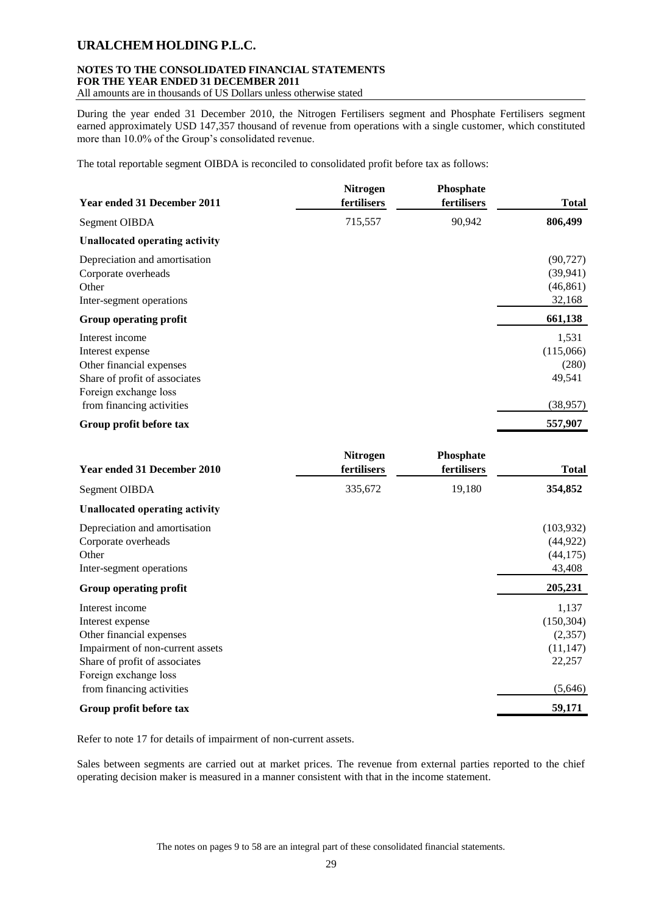# **NOTES TO THE CONSOLIDATED FINANCIAL STATEMENTS FOR THE YEAR ENDED 31 DECEMBER 2011**

All amounts are in thousands of US Dollars unless otherwise stated

During the year ended 31 December 2010, the Nitrogen Fertilisers segment and Phosphate Fertilisers segment earned approximately USD 147,357 thousand of revenue from operations with a single customer, which constituted more than 10.0% of the Group's consolidated revenue.

The total reportable segment OIBDA is reconciled to consolidated profit before tax as follows:

| <b>Year ended 31 December 2011</b>                                                                                                                     | <b>Nitrogen</b><br>fertilisers | Phosphate<br>fertilisers | <b>Total</b>                                       |
|--------------------------------------------------------------------------------------------------------------------------------------------------------|--------------------------------|--------------------------|----------------------------------------------------|
| Segment OIBDA                                                                                                                                          | 715,557                        | 90,942                   | 806,499                                            |
| <b>Unallocated operating activity</b>                                                                                                                  |                                |                          |                                                    |
| Depreciation and amortisation<br>Corporate overheads<br>Other<br>Inter-segment operations                                                              |                                |                          | (90, 727)<br>(39, 941)<br>(46, 861)<br>32,168      |
| Group operating profit                                                                                                                                 |                                |                          | 661,138                                            |
| Interest income<br>Interest expense<br>Other financial expenses<br>Share of profit of associates<br>Foreign exchange loss<br>from financing activities |                                |                          | 1,531<br>(115,066)<br>(280)<br>49,541<br>(38, 957) |
| Group profit before tax                                                                                                                                |                                |                          | 557,907                                            |

| <b>Year ended 31 December 2010</b>                                                                                                                                                         | <b>Nitrogen</b><br>fertilisers | Phosphate<br>fertilisers | <b>Total</b>                                                     |
|--------------------------------------------------------------------------------------------------------------------------------------------------------------------------------------------|--------------------------------|--------------------------|------------------------------------------------------------------|
| Segment OIBDA                                                                                                                                                                              | 335,672                        | 19,180                   | 354,852                                                          |
| <b>Unallocated operating activity</b>                                                                                                                                                      |                                |                          |                                                                  |
| Depreciation and amortisation<br>Corporate overheads<br>Other<br>Inter-segment operations                                                                                                  |                                |                          | (103, 932)<br>(44, 922)<br>(44, 175)<br>43,408                   |
| Group operating profit                                                                                                                                                                     |                                |                          | 205,231                                                          |
| Interest income<br>Interest expense<br>Other financial expenses<br>Impairment of non-current assets<br>Share of profit of associates<br>Foreign exchange loss<br>from financing activities |                                |                          | 1,137<br>(150, 304)<br>(2,357)<br>(11, 147)<br>22,257<br>(5,646) |
| Group profit before tax                                                                                                                                                                    |                                |                          | 59,171                                                           |

Refer to note 17 for details of impairment of non-current assets.

Sales between segments are carried out at market prices. The revenue from external parties reported to the chief operating decision maker is measured in a manner consistent with that in the income statement.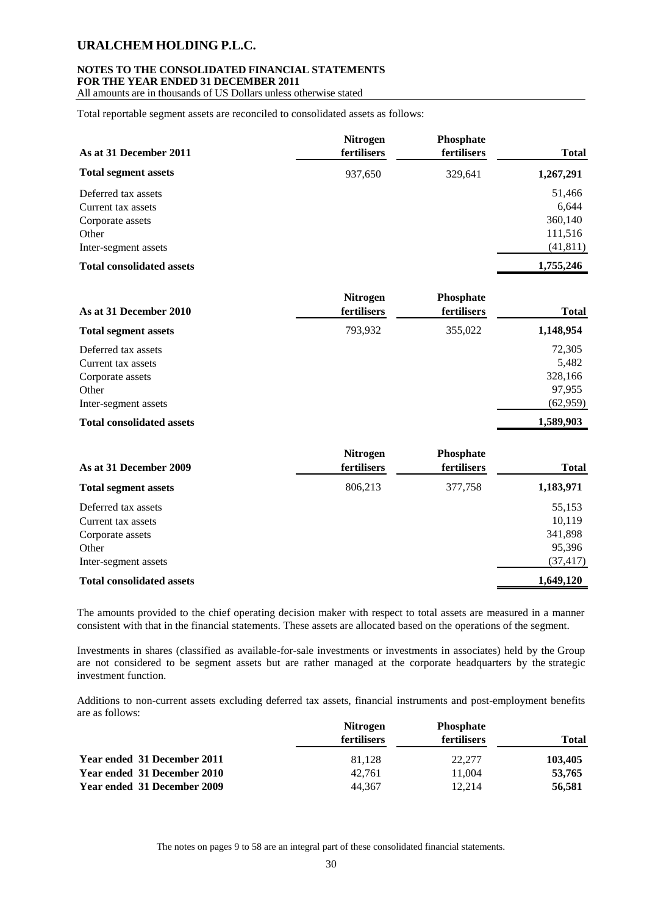#### **NOTES TO THE CONSOLIDATED FINANCIAL STATEMENTS FOR THE YEAR ENDED 31 DECEMBER 2011**

All amounts are in thousands of US Dollars unless otherwise stated

Total reportable segment assets are reconciled to consolidated assets as follows:

|                                  | <b>Nitrogen</b> | <b>Phosphate</b> |              |
|----------------------------------|-----------------|------------------|--------------|
| As at 31 December 2011           | fertilisers     | fertilisers      | <b>Total</b> |
| <b>Total segment assets</b>      | 937,650         | 329,641          | 1,267,291    |
| Deferred tax assets              |                 |                  | 51,466       |
| Current tax assets               |                 |                  | 6,644        |
| Corporate assets                 |                 |                  | 360,140      |
| Other                            |                 |                  | 111,516      |
| Inter-segment assets             |                 |                  | (41, 811)    |
| <b>Total consolidated assets</b> |                 |                  | 1,755,246    |

| As at 31 December 2010           | <b>Nitrogen</b><br>fertilisers | Phosphate<br>fertilisers | <b>Total</b> |
|----------------------------------|--------------------------------|--------------------------|--------------|
| <b>Total segment assets</b>      | 793,932                        | 355,022                  | 1,148,954    |
| Deferred tax assets              |                                |                          | 72,305       |
| Current tax assets               |                                |                          | 5,482        |
| Corporate assets                 |                                |                          | 328,166      |
| Other                            |                                |                          | 97,955       |
| Inter-segment assets             |                                |                          | (62,959)     |
| <b>Total consolidated assets</b> |                                |                          | 1,589,903    |

|                                  | Nitrogen    | Phosphate   |              |
|----------------------------------|-------------|-------------|--------------|
| As at 31 December 2009           | fertilisers | fertilisers | <b>Total</b> |
| <b>Total segment assets</b>      | 806,213     | 377,758     | 1,183,971    |
| Deferred tax assets              |             |             | 55,153       |
| Current tax assets               |             |             | 10,119       |
| Corporate assets                 |             |             | 341,898      |
| Other                            |             |             | 95,396       |
| Inter-segment assets             |             |             | (37, 417)    |
| <b>Total consolidated assets</b> |             |             | 1,649,120    |

The amounts provided to the chief operating decision maker with respect to total assets are measured in a manner consistent with that in the financial statements. These assets are allocated based on the operations of the segment.

Investments in shares (classified as available-for-sale investments or investments in associates) held by the Group are not considered to be segment assets but are rather managed at the corporate headquarters by the strategic investment function.

Additions to non-current assets excluding deferred tax assets, financial instruments and post-employment benefits are as follows:

|                             | <b>Nitrogen</b> | <b>Phosphate</b>   |         |
|-----------------------------|-----------------|--------------------|---------|
|                             | fertilisers     | <b>fertilisers</b> | Total   |
| Year ended 31 December 2011 | 81.128          | 22,277             | 103,405 |
| Year ended 31 December 2010 | 42.761          | 11,004             | 53,765  |
| Year ended 31 December 2009 | 44.367          | 12.214             | 56,581  |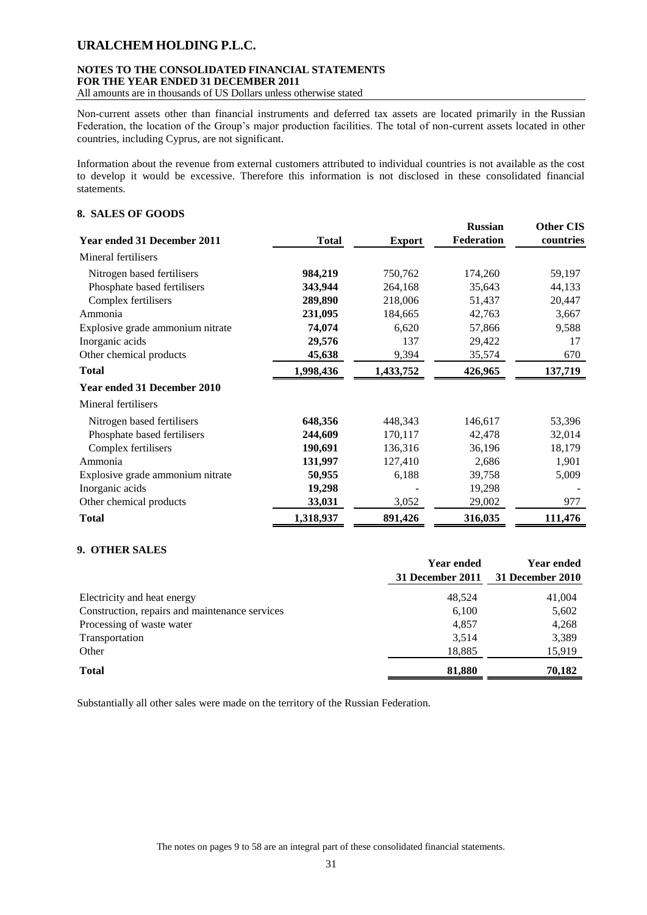# **NOTES TO THE CONSOLIDATED FINANCIAL STATEMENTS FOR THE YEAR ENDED 31 DECEMBER 2011**

All amounts are in thousands of US Dollars unless otherwise stated

Non-current assets other than financial instruments and deferred tax assets are located primarily in the Russian Federation, the location of the Group's major production facilities. The total of non-current assets located in other countries, including Cyprus, are not significant.

Information about the revenue from external customers attributed to individual countries is not available as the cost to develop it would be excessive. Therefore this information is not disclosed in these consolidated financial statements.

 **Russian** 

**Other CIS** 

## **8. SALES OF GOODS**

|                                    |              |               | russiall   | <b>OUTEL CIP</b> |
|------------------------------------|--------------|---------------|------------|------------------|
| <b>Year ended 31 December 2011</b> | <b>Total</b> | <b>Export</b> | Federation | countries        |
| Mineral fertilisers                |              |               |            |                  |
| Nitrogen based fertilisers         | 984,219      | 750,762       | 174,260    | 59,197           |
| Phosphate based fertilisers        | 343,944      | 264,168       | 35,643     | 44,133           |
| Complex fertilisers                | 289,890      | 218,006       | 51,437     | 20,447           |
| Ammonia                            | 231,095      | 184,665       | 42,763     | 3,667            |
| Explosive grade ammonium nitrate   | 74,074       | 6,620         | 57,866     | 9,588            |
| Inorganic acids                    | 29,576       | 137           | 29,422     | 17               |
| Other chemical products            | 45,638       | 9,394         | 35,574     | 670              |
| <b>Total</b>                       | 1,998,436    | 1,433,752     | 426,965    | 137,719          |
| Year ended 31 December 2010        |              |               |            |                  |
| Mineral fertilisers                |              |               |            |                  |
| Nitrogen based fertilisers         | 648,356      | 448,343       | 146,617    | 53,396           |
| Phosphate based fertilisers        | 244,609      | 170,117       | 42,478     | 32,014           |
| Complex fertilisers                | 190,691      | 136,316       | 36,196     | 18,179           |
| Ammonia                            | 131,997      | 127,410       | 2,686      | 1,901            |
| Explosive grade ammonium nitrate   | 50,955       | 6,188         | 39,758     | 5,009            |
| Inorganic acids                    | 19,298       |               | 19,298     |                  |
| Other chemical products            | 33,031       | 3,052         | 29,002     | 977              |
| <b>Total</b>                       | 1,318,937    | 891,426       | 316,035    | 111,476          |

## **9. OTHER SALES**

|                                                | <b>Year ended</b><br>31 December 2011 | <b>Year ended</b><br>31 December 2010 |
|------------------------------------------------|---------------------------------------|---------------------------------------|
| Electricity and heat energy                    | 48,524                                | 41,004                                |
| Construction, repairs and maintenance services | 6,100                                 | 5,602                                 |
| Processing of waste water                      | 4,857                                 | 4,268                                 |
| Transportation                                 | 3,514                                 | 3,389                                 |
| Other                                          | 18,885                                | 15,919                                |
| <b>Total</b>                                   | 81,880                                | 70,182                                |

Substantially all other sales were made on the territory of the Russian Federation.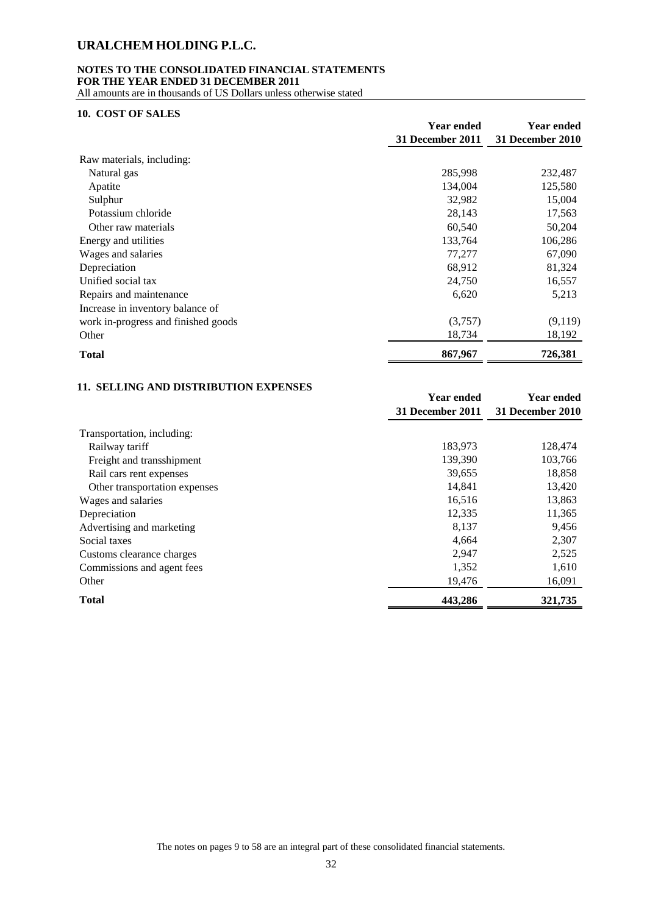# **NOTES TO THE CONSOLIDATED FINANCIAL STATEMENTS FOR THE YEAR ENDED 31 DECEMBER 2011**

All amounts are in thousands of US Dollars unless otherwise stated

# **10. COST OF SALES**

|                                     | Year ended       | <b>Year ended</b> |
|-------------------------------------|------------------|-------------------|
|                                     | 31 December 2011 | 31 December 2010  |
| Raw materials, including:           |                  |                   |
| Natural gas                         | 285,998          | 232,487           |
| Apatite                             | 134,004          | 125,580           |
| Sulphur                             | 32,982           | 15,004            |
| Potassium chloride                  | 28,143           | 17,563            |
| Other raw materials                 | 60,540           | 50,204            |
| Energy and utilities                | 133,764          | 106,286           |
| Wages and salaries                  | 77,277           | 67,090            |
| Depreciation                        | 68,912           | 81,324            |
| Unified social tax                  | 24,750           | 16,557            |
| Repairs and maintenance             | 6,620            | 5,213             |
| Increase in inventory balance of    |                  |                   |
| work in-progress and finished goods | (3,757)          | (9,119)           |
| Other                               | 18,734           | 18,192            |
| <b>Total</b>                        | 867,967          | 726,381           |

## **11. SELLING AND DISTRIBUTION EXPENSES**

|                               | Year ended       | Year ended       |
|-------------------------------|------------------|------------------|
|                               | 31 December 2011 | 31 December 2010 |
| Transportation, including:    |                  |                  |
| Railway tariff                | 183,973          | 128,474          |
| Freight and transshipment     | 139,390          | 103,766          |
| Rail cars rent expenses       | 39,655           | 18,858           |
| Other transportation expenses | 14,841           | 13,420           |
| Wages and salaries            | 16,516           | 13,863           |
| Depreciation                  | 12,335           | 11,365           |
| Advertising and marketing     | 8,137            | 9,456            |
| Social taxes                  | 4,664            | 2,307            |
| Customs clearance charges     | 2,947            | 2,525            |
| Commissions and agent fees    | 1,352            | 1,610            |
| Other                         | 19,476           | 16,091           |
| <b>Total</b>                  | 443,286          | 321,735          |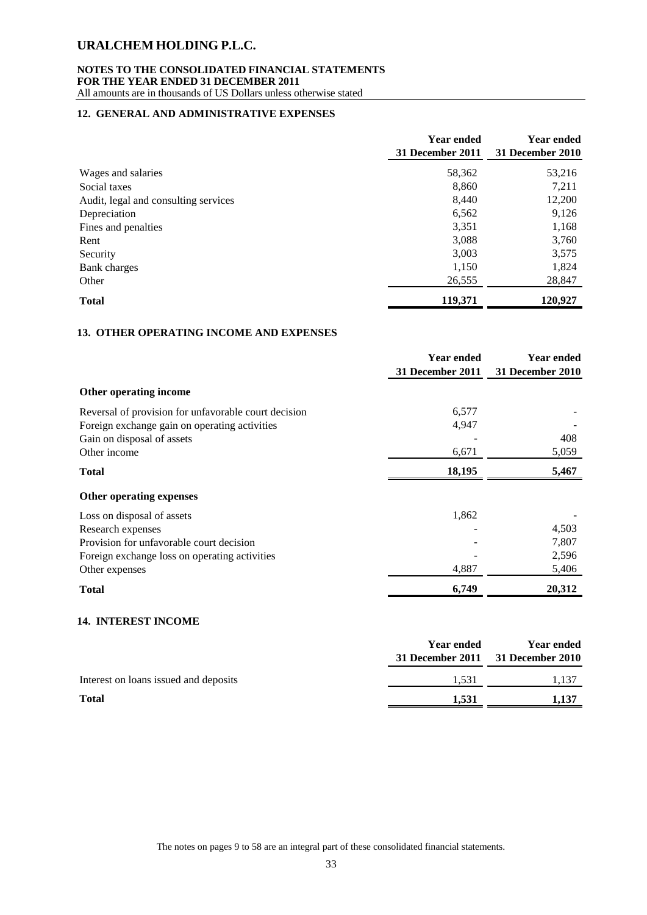# **NOTES TO THE CONSOLIDATED FINANCIAL STATEMENTS FOR THE YEAR ENDED 31 DECEMBER 2011**

All amounts are in thousands of US Dollars unless otherwise stated

# **12. GENERAL AND ADMINISTRATIVE EXPENSES**

|                                      | <b>Year ended</b> | <b>Year ended</b> |  |
|--------------------------------------|-------------------|-------------------|--|
|                                      | 31 December 2011  | 31 December 2010  |  |
| Wages and salaries                   | 58,362            | 53,216            |  |
| Social taxes                         | 8,860             | 7,211             |  |
| Audit, legal and consulting services | 8,440             | 12,200            |  |
| Depreciation                         | 6,562             | 9,126             |  |
| Fines and penalties                  | 3,351             | 1,168             |  |
| Rent                                 | 3,088             | 3,760             |  |
| Security                             | 3,003             | 3,575             |  |
| Bank charges                         | 1,150             | 1,824             |  |
| Other                                | 26,555            | 28,847            |  |
| <b>Total</b>                         | 119,371           | 120,927           |  |

## **13. OTHER OPERATING INCOME AND EXPENSES**

|                                                      | <b>Year ended</b> | <b>Year ended</b> |
|------------------------------------------------------|-------------------|-------------------|
|                                                      | 31 December 2011  | 31 December 2010  |
| Other operating income                               |                   |                   |
| Reversal of provision for unfavorable court decision | 6,577             |                   |
| Foreign exchange gain on operating activities        | 4,947             |                   |
| Gain on disposal of assets                           |                   | 408               |
| Other income                                         | 6,671             | 5,059             |
| <b>Total</b>                                         | 18,195            | 5,467             |
| Other operating expenses                             |                   |                   |
| Loss on disposal of assets                           | 1,862             |                   |
| Research expenses                                    |                   | 4,503             |
| Provision for unfavorable court decision             |                   | 7,807             |
| Foreign exchange loss on operating activities        |                   | 2,596             |
| Other expenses                                       | 4,887             | 5,406             |
| <b>Total</b>                                         | 6,749             | 20,312            |

## **14. INTEREST INCOME**

|                                       | <b>Year ended</b> | <b>Year ended</b>                 |
|---------------------------------------|-------------------|-----------------------------------|
|                                       |                   | 31 December 2011 31 December 2010 |
| Interest on loans issued and deposits | 1.531             | 1.137                             |
| <b>Total</b>                          | 1.531             | 1,137                             |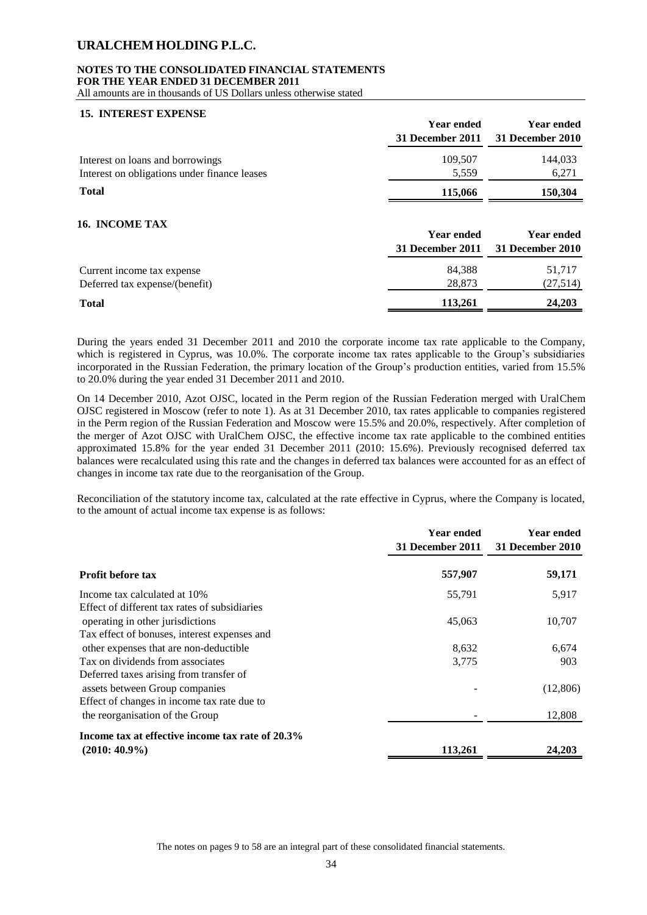# **NOTES TO THE CONSOLIDATED FINANCIAL STATEMENTS FOR THE YEAR ENDED 31 DECEMBER 2011**

All amounts are in thousands of US Dollars unless otherwise stated

## **15. INTEREST EXPENSE**

|                                              | <b>Year ended</b> | <b>Year ended</b>                 |
|----------------------------------------------|-------------------|-----------------------------------|
|                                              |                   | 31 December 2011 31 December 2010 |
| Interest on loans and borrowings             | 109.507           | 144,033                           |
| Interest on obligations under finance leases | 5,559             | 6,271                             |
| <b>Total</b>                                 | 115,066           | 150,304                           |

# **16. INCOME TAX**

| то, племин пил                 | <b>Year ended</b><br>31 December 2011 | <b>Year ended</b><br><b>31 December 2010</b> |
|--------------------------------|---------------------------------------|----------------------------------------------|
| Current income tax expense     | 84.388                                | 51,717                                       |
| Deferred tax expense/(benefit) | 28,873                                | (27,514)                                     |
| <b>Total</b>                   | 113.261                               | 24,203                                       |

During the years ended 31 December 2011 and 2010 the corporate income tax rate applicable to the Company, which is registered in Cyprus, was 10.0%. The corporate income tax rates applicable to the Group's subsidiaries incorporated in the Russian Federation, the primary location of the Group's production entities, varied from 15.5% to 20.0% during the year ended 31 December 2011 and 2010.

On 14 December 2010, Azot OJSC, located in the Perm region of the Russian Federation merged with UralChem OJSC registered in Moscow (refer to note 1). As at 31 December 2010, tax rates applicable to companies registered in the Perm region of the Russian Federation and Moscow were 15.5% and 20.0%, respectively. After completion of the merger of Azot OJSC with UralChem OJSC, the effective income tax rate applicable to the combined entities approximated 15.8% for the year ended 31 December 2011 (2010: 15.6%). Previously recognised deferred tax balances were recalculated using this rate and the changes in deferred tax balances were accounted for as an effect of changes in income tax rate due to the reorganisation of the Group.

Reconciliation of the statutory income tax, calculated at the rate effective in Cyprus, where the Company is located, to the amount of actual income tax expense is as follows:

|                                                  | <b>Year ended</b><br>31 December 2011 | <b>Year ended</b><br>31 December 2010 |
|--------------------------------------------------|---------------------------------------|---------------------------------------|
| <b>Profit before tax</b>                         | 557,907                               | 59,171                                |
| Income tax calculated at 10%                     | 55,791                                | 5,917                                 |
| Effect of different tax rates of subsidiaries    |                                       |                                       |
| operating in other jurisdictions                 | 45,063                                | 10,707                                |
| Tax effect of bonuses, interest expenses and     |                                       |                                       |
| other expenses that are non-deductible           | 8,632                                 | 6,674                                 |
| Tax on dividends from associates                 | 3,775                                 | 903                                   |
| Deferred taxes arising from transfer of          |                                       |                                       |
| assets between Group companies                   |                                       | (12,806)                              |
| Effect of changes in income tax rate due to      |                                       |                                       |
| the reorganisation of the Group                  |                                       | 12,808                                |
| Income tax at effective income tax rate of 20.3% |                                       |                                       |
| $(2010: 40.9\%)$                                 | 113,261                               | 24,203                                |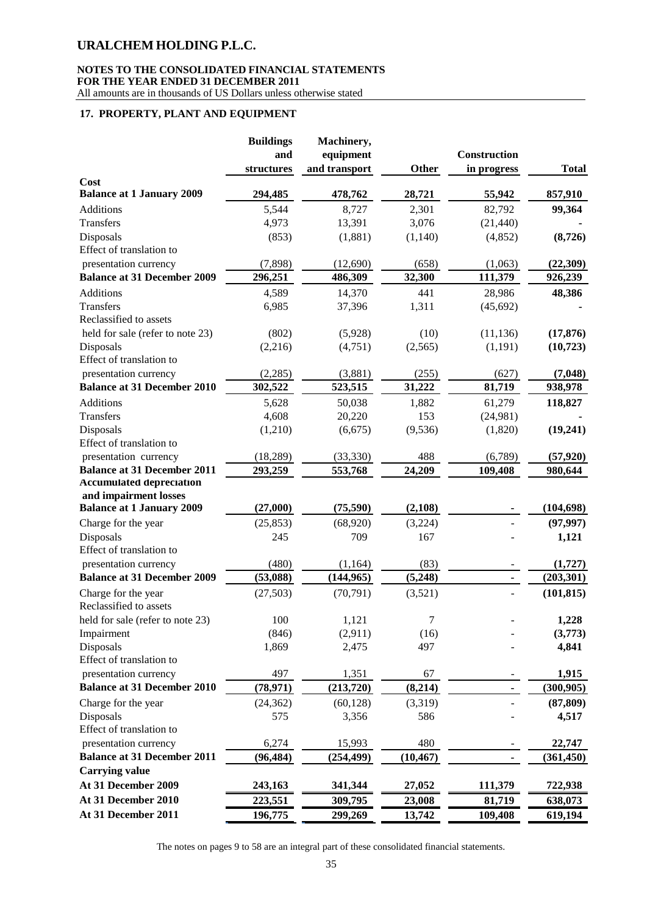## **NOTES TO THE CONSOLIDATED FINANCIAL STATEMENTS FOR THE YEAR ENDED 31 DECEMBER 2011** All amounts are in thousands of US Dollars unless otherwise stated

## **17. PROPERTY, PLANT AND EQUIPMENT**

|                                    | <b>Buildings</b> | Machinery,    |              |              |              |
|------------------------------------|------------------|---------------|--------------|--------------|--------------|
|                                    | and              | equipment     |              | Construction |              |
|                                    | structures       | and transport | <b>Other</b> | in progress  | <b>Total</b> |
| Cost                               |                  |               |              |              |              |
| <b>Balance at 1 January 2009</b>   | 294,485          | 478,762       | 28,721       | 55,942       | 857,910      |
| <b>Additions</b>                   | 5,544            | 8,727         | 2,301        | 82,792       | 99,364       |
| Transfers                          | 4,973            | 13,391        | 3,076        | (21, 440)    |              |
| Disposals                          | (853)            | (1,881)       | (1,140)      | (4, 852)     | (8,726)      |
| Effect of translation to           |                  |               |              |              |              |
| presentation currency              | (7,898)          | (12,690)      | (658)        | (1,063)      | (22,309)     |
| <b>Balance at 31 December 2009</b> | 296,251          | 486,309       | 32,300       | 111,379      | 926,239      |
| Additions                          | 4,589            | 14,370        | 441          | 28,986       | 48,386       |
| Transfers                          | 6,985            | 37,396        | 1,311        | (45, 692)    |              |
| Reclassified to assets             |                  |               |              |              |              |
| held for sale (refer to note 23)   | (802)            | (5,928)       | (10)         | (11, 136)    | (17, 876)    |
| Disposals                          | (2,216)          | (4,751)       | (2,565)      | (1,191)      | (10, 723)    |
| Effect of translation to           |                  |               |              |              |              |
| presentation currency              | (2, 285)         | (3,881)       | (255)        | (627)        | (7,048)      |
| <b>Balance at 31 December 2010</b> | 302,522          | 523,515       | 31,222       | 81,719       | 938,978      |
| <b>Additions</b>                   | 5,628            | 50,038        | 1,882        | 61,279       | 118,827      |
| Transfers                          | 4,608            | 20,220        | 153          | (24,981)     |              |
| Disposals                          | (1,210)          | (6,675)       | (9, 536)     | (1,820)      | (19,241)     |
| Effect of translation to           |                  |               |              |              |              |
| presentation currency              | (18, 289)        | (33, 330)     | 488          | (6,789)      | (57, 920)    |
| <b>Balance at 31 December 2011</b> | 293,259          | 553,768       | 24,209       | 109,408      | 980,644      |
| <b>Accumulated depreciation</b>    |                  |               |              |              |              |
| and impairment losses              |                  |               |              |              |              |
| <b>Balance at 1 January 2009</b>   | (27,000)         | (75, 590)     | (2,108)      |              | (104, 698)   |
| Charge for the year                | (25, 853)        | (68,920)      | (3,224)      |              | (97, 997)    |
| Disposals                          | 245              | 709           | 167          |              | 1,121        |
| Effect of translation to           |                  |               |              |              |              |
| presentation currency              | (480)            | (1, 164)      | (83)         |              | (1,727)      |
| <b>Balance at 31 December 2009</b> | (53,088)         | (144, 965)    | (5,248)      |              | (203, 301)   |
| Charge for the year                | (27, 503)        | (70, 791)     | (3,521)      |              | (101, 815)   |
| Reclassified to assets             |                  |               |              |              |              |
| held for sale (refer to note 23)   | 100              | 1,121         | 7            |              | 1,228        |
| Impairment                         | (846)            | (2,911)       | (16)         |              | (3,773)      |
| Disposals                          | 1,869            | 2,475         | 497          |              | 4,841        |
| Effect of translation to           |                  |               |              |              |              |
| presentation currency              | 497              | 1,351         | 67           |              | 1,915        |
| <b>Balance at 31 December 2010</b> | (78, 971)        | (213, 720)    | (8,214)      |              | (300, 905)   |
| Charge for the year                | (24, 362)        | (60, 128)     | (3,319)      |              | (87, 809)    |
| Disposals                          | 575              | 3,356         | 586          |              | 4,517        |
| Effect of translation to           |                  |               |              |              |              |
| presentation currency              | 6,274            | 15,993        | 480          |              | 22,747       |
| <b>Balance at 31 December 2011</b> | (96, 484)        | (254, 499)    | (10, 467)    |              | (361, 450)   |
| <b>Carrying value</b>              |                  |               |              |              |              |
| At 31 December 2009                | 243,163          | 341,344       | 27,052       | 111,379      | 722,938      |
| At 31 December 2010                | 223,551          | 309,795       | 23,008       | 81,719       | 638,073      |
| At 31 December 2011                | 196,775          | 299,269       | 13,742       | 109,408      | 619,194      |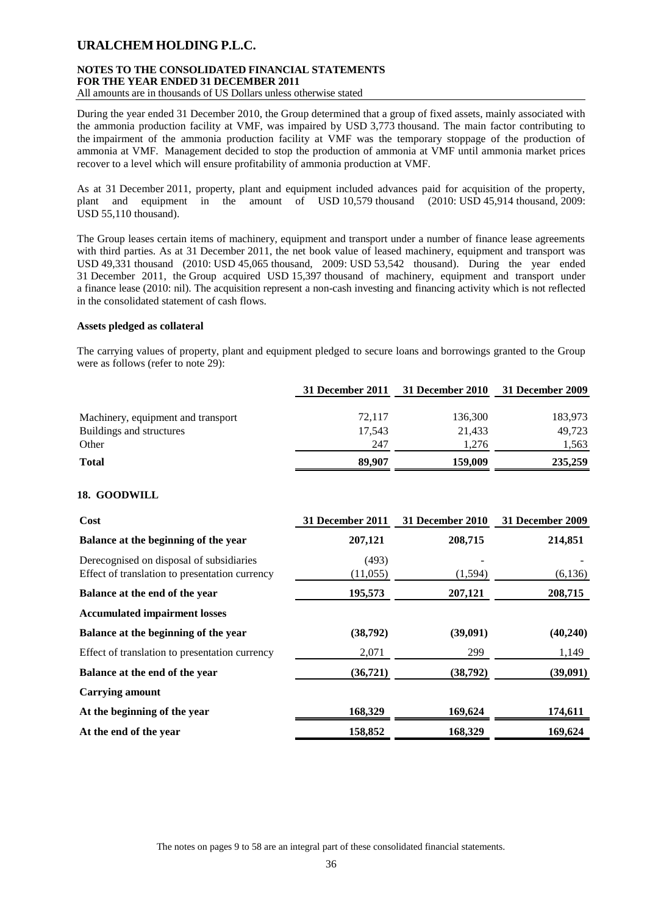# **NOTES TO THE CONSOLIDATED FINANCIAL STATEMENTS FOR THE YEAR ENDED 31 DECEMBER 2011**

All amounts are in thousands of US Dollars unless otherwise stated

During the year ended 31 December 2010, the Group determined that a group of fixed assets, mainly associated with the ammonia production facility at VMF, was impaired by USD 3,773 thousand. The main factor contributing to the impairment of the ammonia production facility at VMF was the temporary stoppage of the production of ammonia at VMF. Management decided to stop the production of ammonia at VMF until ammonia market prices recover to a level which will ensure profitability of ammonia production at VMF.

As at 31 December 2011, property, plant and equipment included advances paid for acquisition of the property, plant and equipment in the amount of USD 10,579 thousand (2010: USD 45,914 thousand, 2009: USD 55,110 thousand).

The Group leases certain items of machinery, equipment and transport under a number of finance lease agreements with third parties. As at 31 December 2011, the net book value of leased machinery, equipment and transport was USD 49,331 thousand (2010: USD 45,065 thousand, 2009: USD 53,542 thousand). During the year ended 31 December 2011, the Group acquired USD 15,397 thousand of machinery, equipment and transport under a finance lease (2010: nil). The acquisition represent a non-cash investing and financing activity which is not reflected in the consolidated statement of cash flows.

#### **Assets pledged as collateral**

The carrying values of property, plant and equipment pledged to secure loans and borrowings granted to the Group were as follows (refer to note 29):

|                                                                | 31 December 2011 | 31 December 2010  | 31 December 2009  |
|----------------------------------------------------------------|------------------|-------------------|-------------------|
| Machinery, equipment and transport<br>Buildings and structures | 72,117<br>17,543 | 136,300<br>21,433 | 183,973<br>49,723 |
| Other                                                          | 247              | 1,276             | 1,563             |
| <b>Total</b>                                                   | 89,907           | 159,009           | 235,259           |
| 18. GOODWILL                                                   |                  |                   |                   |
| <b>Cost</b>                                                    | 31 December 2011 | 31 December 2010  | 31 December 2009  |
| Balance at the beginning of the year                           | 207,121          | 208,715           | 214,851           |
| Derecognised on disposal of subsidiaries                       | (493)            |                   |                   |
| Effect of translation to presentation currency                 | (11,055)         | (1, 594)          | (6, 136)          |
| Balance at the end of the year                                 | 195,573          | 207,121           | 208,715           |
| <b>Accumulated impairment losses</b>                           |                  |                   |                   |
| Balance at the beginning of the year                           | (38, 792)        | (39,091)          | (40, 240)         |
| Effect of translation to presentation currency                 | 2,071            | 299               | 1,149             |
| Balance at the end of the year                                 | (36, 721)        | (38,792)          | (39,091)          |
| <b>Carrying amount</b>                                         |                  |                   |                   |
| At the beginning of the year                                   | 168,329          | 169,624           | 174,611           |
| At the end of the year                                         | 158,852          | 168,329           | 169,624           |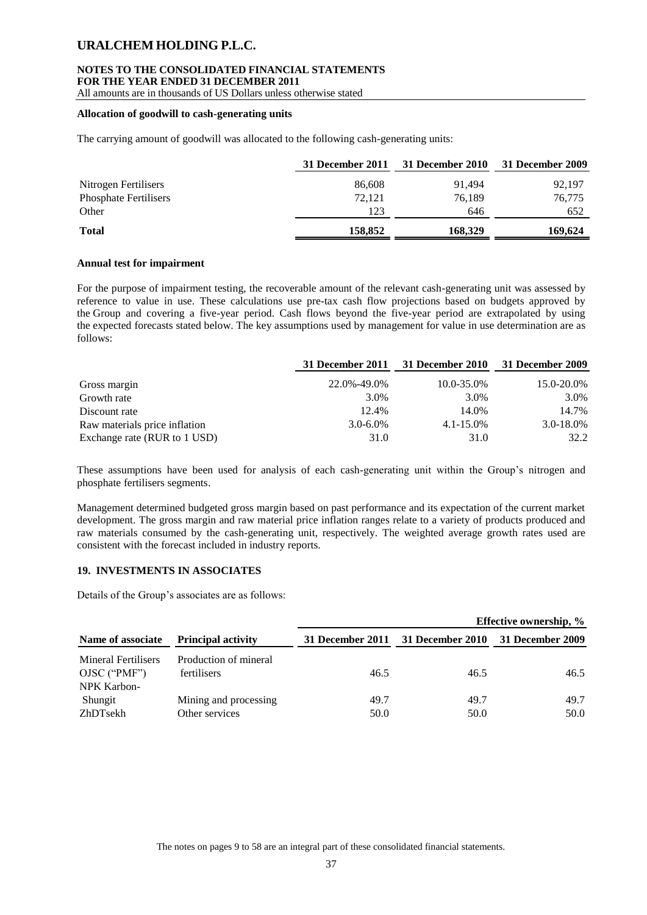# **NOTES TO THE CONSOLIDATED FINANCIAL STATEMENTS**

**FOR THE YEAR ENDED 31 DECEMBER 2011**

All amounts are in thousands of US Dollars unless otherwise stated

## **Allocation of goodwill to cash-generating units**

The carrying amount of goodwill was allocated to the following cash-generating units:

|                              | 31 December 2011 | 31 December 2010 | 31 December 2009 |
|------------------------------|------------------|------------------|------------------|
| Nitrogen Fertilisers         | 86,608           | 91.494           | 92,197           |
| <b>Phosphate Fertilisers</b> | 72.121           | 76.189           | 76,775           |
| Other                        | 123              | 646              | 652              |
| <b>Total</b>                 | 158,852          | 168.329          | 169.624          |

## **Annual test for impairment**

For the purpose of impairment testing, the recoverable amount of the relevant cash-generating unit was assessed by reference to value in use. These calculations use pre-tax cash flow projections based on budgets approved by the Group and covering a five-year period. Cash flows beyond the five-year period are extrapolated by using the expected forecasts stated below. The key assumptions used by management for value in use determination are as follows:

|                               |               | 31 December 2011 31 December 2010 | 31 December 2009 |
|-------------------------------|---------------|-----------------------------------|------------------|
| Gross margin                  | 22.0%-49.0%   | 10.0-35.0%                        | 15.0-20.0%       |
| Growth rate                   | 3.0%          | 3.0%                              | 3.0%             |
| Discount rate                 | 12.4%         | 14.0%                             | 14.7%            |
| Raw materials price inflation | $3.0 - 6.0\%$ | $4.1 - 15.0\%$                    | $3.0 - 18.0\%$   |
| Exchange rate (RUR to 1 USD)  | 31.0          | 31.0                              | 32.2             |

These assumptions have been used for analysis of each cash-generating unit within the Group's nitrogen and phosphate fertilisers segments.

Management determined budgeted gross margin based on past performance and its expectation of the current market development. The gross margin and raw material price inflation ranges relate to a variety of products produced and raw materials consumed by the cash-generating unit, respectively. The weighted average growth rates used are consistent with the forecast included in industry reports.

## **19. INVESTMENTS IN ASSOCIATES**

Details of the Group's associates are as follows:

|                                                                  |                                      | Effective ownership, % |                         |                  |
|------------------------------------------------------------------|--------------------------------------|------------------------|-------------------------|------------------|
| Name of associate                                                | <b>Principal activity</b>            | 31 December 2011       | <b>31 December 2010</b> | 31 December 2009 |
| <b>Mineral Fertilisers</b><br>OJSC ("PMF")<br><b>NPK Karbon-</b> | Production of mineral<br>fertilisers | 46.5                   | 46.5                    | 46.5             |
| Shungit                                                          | Mining and processing                | 49.7                   | 49.7                    | 49.7             |
| ZhDTsekh                                                         | Other services                       | 50.0                   | 50.0                    | 50.0             |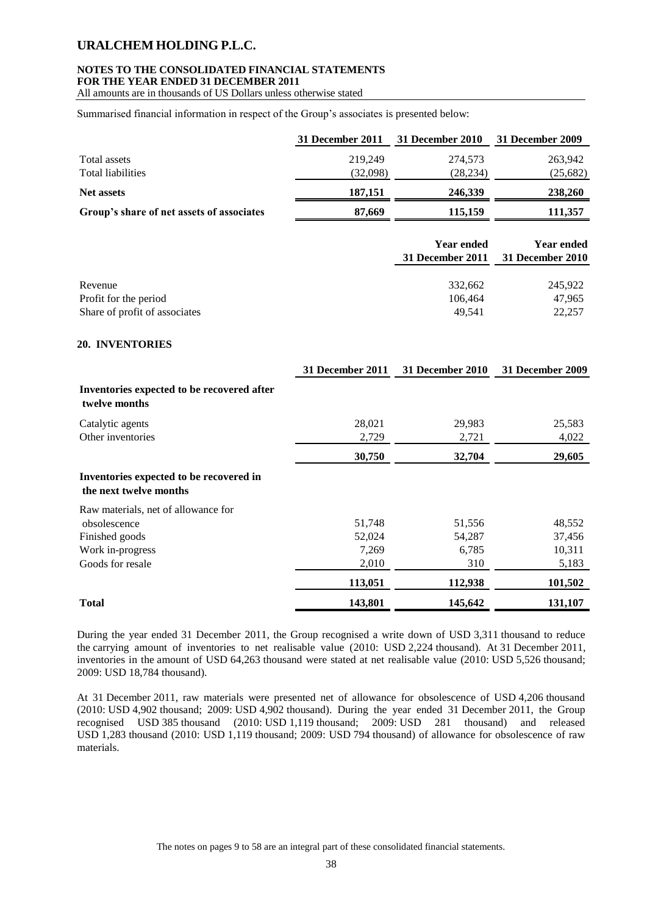# **NOTES TO THE CONSOLIDATED FINANCIAL STATEMENTS**

**FOR THE YEAR ENDED 31 DECEMBER 2011**

All amounts are in thousands of US Dollars unless otherwise stated

Summarised financial information in respect of the Group's associates is presented below:

|                                                                   | 31 December 2011 | 31 December 2010 31 December 2009 |                   |
|-------------------------------------------------------------------|------------------|-----------------------------------|-------------------|
| Total assets                                                      | 219,249          | 274,573                           | 263,942           |
| <b>Total liabilities</b>                                          | (32,098)         | (28, 234)                         | (25, 682)         |
| <b>Net assets</b>                                                 | 187,151          | 246,339                           | 238,260           |
| Group's share of net assets of associates                         | 87,669           | 115,159                           | 111,357           |
|                                                                   |                  |                                   |                   |
|                                                                   |                  | <b>Year ended</b>                 | <b>Year ended</b> |
|                                                                   |                  | 31 December 2011                  | 31 December 2010  |
| Revenue                                                           |                  | 332,662                           | 245,922           |
| Profit for the period                                             |                  | 106,464                           | 47,965            |
| Share of profit of associates                                     |                  | 49,541                            | 22,257            |
| 20. INVENTORIES                                                   |                  |                                   |                   |
|                                                                   | 31 December 2011 | 31 December 2010                  | 31 December 2009  |
| Inventories expected to be recovered after<br>twelve months       |                  |                                   |                   |
| Catalytic agents                                                  | 28,021           | 29,983                            | 25,583            |
| Other inventories                                                 | 2,729            | 2,721                             | 4,022             |
|                                                                   | 30,750           | 32,704                            | 29,605            |
| Inventories expected to be recovered in<br>the next twelve months |                  |                                   |                   |
| Raw materials, net of allowance for                               |                  |                                   |                   |
| obsolescence                                                      | 51,748           | 51,556                            | 48,552            |
| Finished goods                                                    | 52,024           | 54,287                            | 37,456            |
| Work in-progress                                                  | 7,269            | 6,785                             | 10,311            |
| Goods for resale                                                  | 2,010            | 310                               | 5,183             |
|                                                                   | 113,051          | 112,938                           | 101,502           |
| <b>Total</b>                                                      | 143,801          | 145,642                           | 131,107           |

During the year ended 31 December 2011, the Group recognised a write down of USD 3,311 thousand to reduce the carrying amount of inventories to net realisable value (2010: USD 2,224 thousand). At 31 December 2011, inventories in the amount of USD 64,263 thousand were stated at net realisable value (2010: USD 5,526 thousand; 2009: USD 18,784 thousand).

At 31 December 2011, raw materials were presented net of allowance for obsolescence of USD 4,206 thousand (2010: USD 4,902 thousand; 2009: USD 4,902 thousand). During the year ended 31 December 2011, the Group recognised USD 385 thousand (2010: USD 1,119 thousand; 2009: USD 281 thousand) and released USD 1,283 thousand (2010: USD 1,119 thousand; 2009: USD 794 thousand) of allowance for obsolescence of raw materials.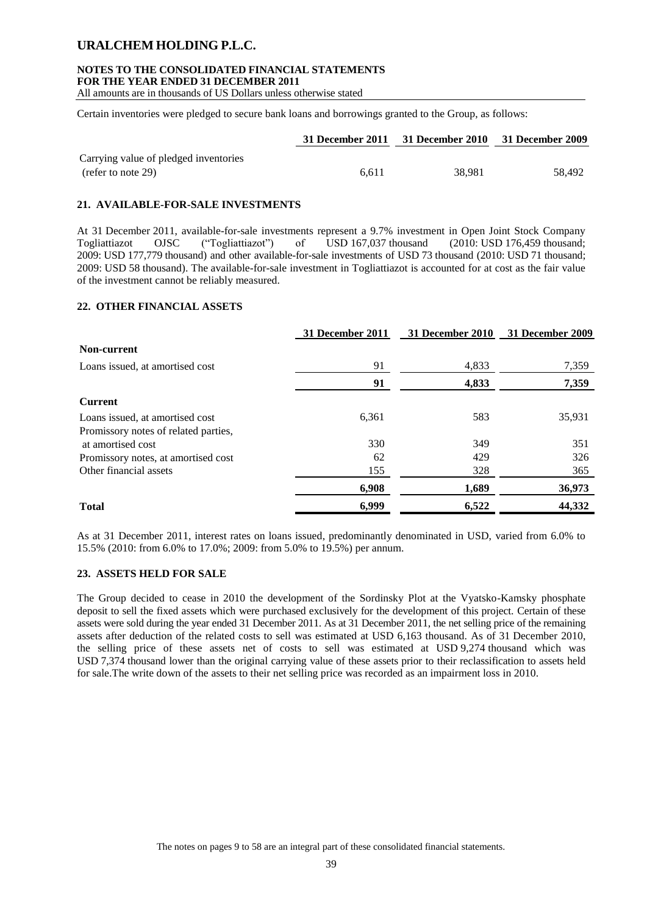## **NOTES TO THE CONSOLIDATED FINANCIAL STATEMENTS FOR THE YEAR ENDED 31 DECEMBER 2011**

All amounts are in thousands of US Dollars unless otherwise stated

Certain inventories were pledged to secure bank loans and borrowings granted to the Group, as follows:

|                                                             |       | 31 December 2011 31 December 2010 31 December 2009 |        |
|-------------------------------------------------------------|-------|----------------------------------------------------|--------|
| Carrying value of pledged inventories<br>(refer to note 29) | 6.611 | 38.981                                             | 58.492 |

## **21. AVAILABLE-FOR-SALE INVESTMENTS**

At 31 December 2011, available-for-sale investments represent a 9.7% investment in Open Joint Stock Company Togliattiazot OJSC ("Togliattiazot") of USD 167,037 thousand (2010: USD 176,459 thousand; 2009: USD 177,779 thousand) and other available-for-sale investments of USD 73 thousand (2010: USD 71 thousand; 2009: USD 58 thousand). The available-for-sale investment in Togliattiazot is accounted for at cost as the fair value of the investment cannot be reliably measured.

# **22. OTHER FINANCIAL ASSETS**

|                                      | 31 December 2011 |       | 31 December 2010 31 December 2009 |
|--------------------------------------|------------------|-------|-----------------------------------|
| Non-current                          |                  |       |                                   |
| Loans issued, at amortised cost      | 91               | 4,833 | 7,359                             |
|                                      | 91               | 4,833 | 7,359                             |
| <b>Current</b>                       |                  |       |                                   |
| Loans issued, at amortised cost      | 6,361            | 583   | 35,931                            |
| Promissory notes of related parties, |                  |       |                                   |
| at amortised cost                    | 330              | 349   | 351                               |
| Promissory notes, at amortised cost  | 62               | 429   | 326                               |
| Other financial assets               | 155              | 328   | 365                               |
|                                      | 6,908            | 1,689 | 36,973                            |
| <b>Total</b>                         | 6,999            | 6,522 | 44,332                            |

As at 31 December 2011, interest rates on loans issued, predominantly denominated in USD, varied from 6.0% to 15.5% (2010: from 6.0% to 17.0%; 2009: from 5.0% to 19.5%) per annum.

## **23. ASSETS HELD FOR SALE**

The Group decided to cease in 2010 the development of the Sordinsky Plot at the Vyatsko-Kamsky phosphate deposit to sell the fixed assets which were purchased exclusively for the development of this project. Certain of these assets were sold during the year ended 31 December 2011. As at 31 December 2011, the net selling price of the remaining assets after deduction of the related costs to sell was estimated at USD 6,163 thousand. As of 31 December 2010, the selling price of these assets net of costs to sell was estimated at USD 9,274 thousand which was USD 7,374 thousand lower than the original carrying value of these assets prior to their reclassification to assets held for sale.The write down of the assets to their net selling price was recorded as an impairment loss in 2010.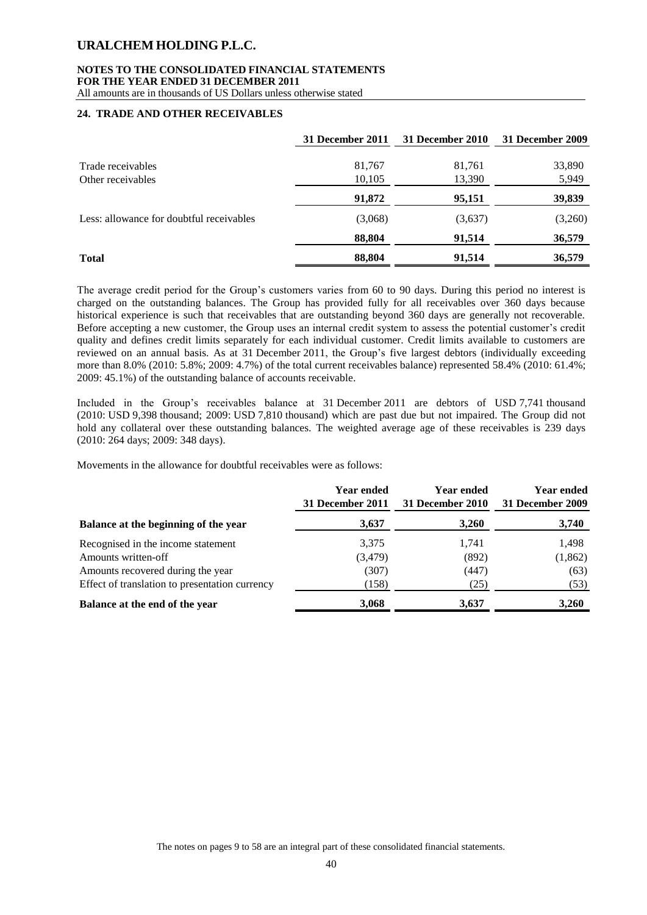# **NOTES TO THE CONSOLIDATED FINANCIAL STATEMENTS FOR THE YEAR ENDED 31 DECEMBER 2011**

All amounts are in thousands of US Dollars unless otherwise stated

# **24. TRADE AND OTHER RECEIVABLES**

|                                          | 31 December 2011 | 31 December 2010 | 31 December 2009 |
|------------------------------------------|------------------|------------------|------------------|
| Trade receivables                        | 81,767           | 81,761           | 33,890           |
| Other receivables                        | 10,105           | 13,390           | 5,949            |
|                                          | 91,872           | 95,151           | 39,839           |
| Less: allowance for doubtful receivables | (3,068)          | (3,637)          | (3,260)          |
|                                          | 88,804           | 91,514           | 36,579           |
| <b>Total</b>                             | 88,804           | 91,514           | 36,579           |

The average credit period for the Group's customers varies from 60 to 90 days. During this period no interest is charged on the outstanding balances. The Group has provided fully for all receivables over 360 days because historical experience is such that receivables that are outstanding beyond 360 days are generally not recoverable. Before accepting a new customer, the Group uses an internal credit system to assess the potential customer's credit quality and defines credit limits separately for each individual customer. Credit limits available to customers are reviewed on an annual basis. As at 31 December 2011, the Group's five largest debtors (individually exceeding more than 8.0% (2010: 5.8%; 2009: 4.7%) of the total current receivables balance) represented 58.4% (2010: 61.4%; 2009: 45.1%) of the outstanding balance of accounts receivable.

Included in the Group's receivables balance at 31 December 2011 are debtors of USD 7,741 thousand (2010: USD 9,398 thousand; 2009: USD 7,810 thousand) which are past due but not impaired. The Group did not hold any collateral over these outstanding balances. The weighted average age of these receivables is 239 days (2010: 264 days; 2009: 348 days).

Movements in the allowance for doubtful receivables were as follows:

|                                                | <b>Year ended</b><br>31 December 2011 | <b>Year ended</b><br>31 December 2010 | <b>Year ended</b><br>31 December 2009 |
|------------------------------------------------|---------------------------------------|---------------------------------------|---------------------------------------|
| Balance at the beginning of the year           | 3,637                                 | 3,260                                 | 3,740                                 |
| Recognised in the income statement             | 3,375                                 | 1,741                                 | 1,498                                 |
| Amounts written-off                            | (3,479)                               | (892)                                 | (1, 862)                              |
| Amounts recovered during the year              | (307)                                 | (447)                                 | (63)                                  |
| Effect of translation to presentation currency | (158)                                 | (25)                                  | (53)                                  |
| Balance at the end of the year                 | 3,068                                 | 3,637                                 | 3,260                                 |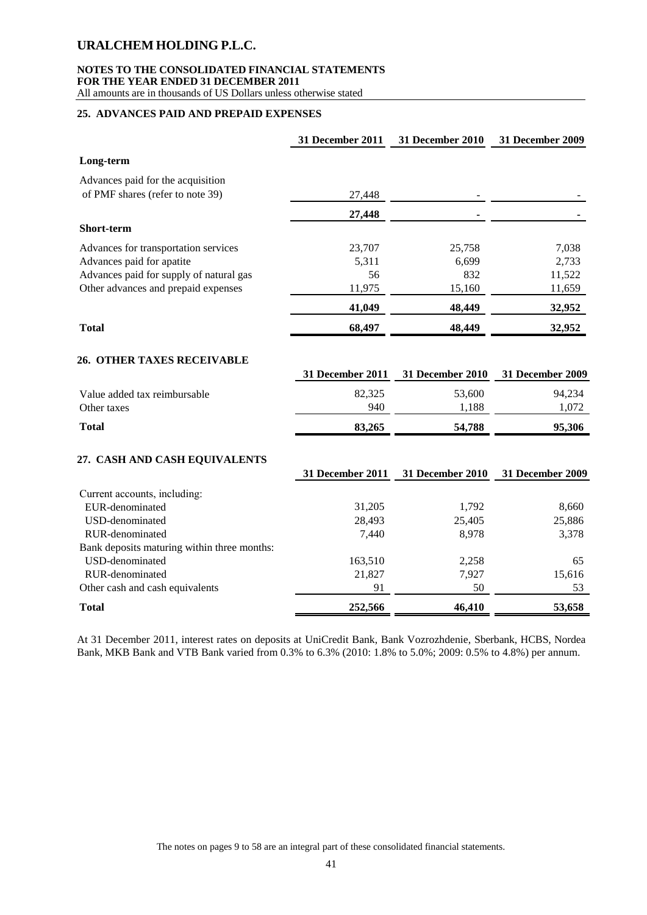# **NOTES TO THE CONSOLIDATED FINANCIAL STATEMENTS FOR THE YEAR ENDED 31 DECEMBER 2011**

All amounts are in thousands of US Dollars unless otherwise stated

# **25. ADVANCES PAID AND PREPAID EXPENSES**

|                                             | 31 December 2011 | 31 December 2010 | 31 December 2009 |
|---------------------------------------------|------------------|------------------|------------------|
| Long-term                                   |                  |                  |                  |
| Advances paid for the acquisition           |                  |                  |                  |
| of PMF shares (refer to note 39)            | 27,448           |                  |                  |
|                                             | 27,448           |                  |                  |
| Short-term                                  |                  |                  |                  |
| Advances for transportation services        | 23,707           | 25,758           | 7,038            |
| Advances paid for apatite                   | 5,311            | 6,699            | 2,733            |
| Advances paid for supply of natural gas     | 56               | 832              | 11,522           |
| Other advances and prepaid expenses         | 11,975           | 15,160           | 11,659           |
|                                             | 41,049           | 48,449           | 32,952           |
| <b>Total</b>                                | 68,497           | 48,449           | 32,952           |
|                                             |                  |                  |                  |
| <b>26. OTHER TAXES RECEIVABLE</b>           |                  |                  |                  |
|                                             | 31 December 2011 | 31 December 2010 | 31 December 2009 |
| Value added tax reimbursable                | 82,325           | 53,600           | 94,234           |
| Other taxes                                 | 940              | 1,188            | 1,072            |
| <b>Total</b>                                | 83,265           | 54,788           | 95,306           |
| 27. CASH AND CASH EQUIVALENTS               |                  |                  |                  |
|                                             | 31 December 2011 | 31 December 2010 | 31 December 2009 |
| Current accounts, including:                |                  |                  |                  |
| EUR-denominated                             | 31,205           | 1,792            | 8,660            |
| USD-denominated                             | 28,493           | 25,405           | 25,886           |
| RUR-denominated                             | 7,440            | 8,978            | 3,378            |
| Bank deposits maturing within three months: |                  |                  |                  |
| USD-denominated                             | 163,510          | 2,258            | 65               |
| RUR-denominated                             | 21,827           | 7,927            | 15,616           |
| Other cash and cash equivalents             | 91               | 50               | 53               |
| <b>Total</b>                                | 252,566          | 46,410           | 53,658           |

At 31 December 2011, interest rates on deposits at UniCredit Bank, Bank Vozrozhdenie, Sberbank, HCBS, Nordea Bank, MKB Bank and VTB Bank varied from 0.3% to 6.3% (2010: 1.8% to 5.0%; 2009: 0.5% to 4.8%) per annum.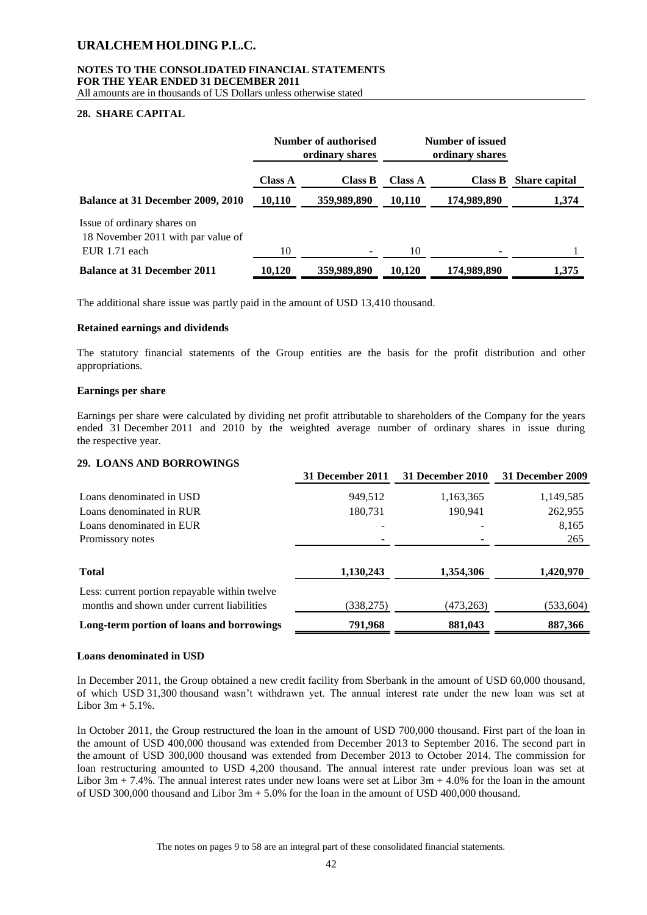# **NOTES TO THE CONSOLIDATED FINANCIAL STATEMENTS FOR THE YEAR ENDED 31 DECEMBER 2011**

All amounts are in thousands of US Dollars unless otherwise stated

## **28. SHARE CAPITAL**

|                                                                   |                | <b>Number of authorised</b><br>ordinary shares | Number of issued<br>ordinary shares |             |                      |  |
|-------------------------------------------------------------------|----------------|------------------------------------------------|-------------------------------------|-------------|----------------------|--|
|                                                                   | <b>Class A</b> | Class B                                        | <b>Class A</b>                      | Class B     | <b>Share capital</b> |  |
| Balance at 31 December 2009, 2010                                 | 10,110         | 359,989,890                                    | 10,110                              | 174,989,890 | 1,374                |  |
| Issue of ordinary shares on<br>18 November 2011 with par value of |                |                                                |                                     |             |                      |  |
| $EUR$ 1.71 each                                                   | 10             |                                                | 10                                  |             |                      |  |
| <b>Balance at 31 December 2011</b>                                | 10.120         | 359,989,890                                    | 10.120                              | 174,989,890 | 1.375                |  |

The additional share issue was partly paid in the amount of USD 13,410 thousand.

## **Retained earnings and dividends**

The statutory financial statements of the Group entities are the basis for the profit distribution and other appropriations.

## **Earnings per share**

Earnings per share were calculated by dividing net profit attributable to shareholders of the Company for the years ended 31 December 2011 and 2010 by the weighted average number of ordinary shares in issue during the respective year.

## **29. LOANS AND BORROWINGS**

|                                                                                             | 31 December 2011 | 31 December 2010 | 31 December 2009 |
|---------------------------------------------------------------------------------------------|------------------|------------------|------------------|
| Loans denominated in USD                                                                    | 949,512          | 1,163,365        | 1,149,585        |
| Loans denominated in RUR                                                                    | 180,731          | 190.941          | 262,955          |
| Loans denominated in EUR                                                                    |                  |                  | 8,165            |
| Promissory notes                                                                            |                  |                  | 265              |
|                                                                                             |                  |                  |                  |
| <b>Total</b>                                                                                | 1,130,243        | 1,354,306        | 1,420,970        |
| Less: current portion repayable within twelve<br>months and shown under current liabilities | (338, 275)       | (473, 263)       | (533, 604)       |
| Long-term portion of loans and borrowings                                                   | 791,968          | 881,043          | 887,366          |

#### **Loans denominated in USD**

In December 2011, the Group obtained a new credit facility from Sberbank in the amount of USD 60,000 thousand, of which USD 31,300 thousand wasn't withdrawn yet. The annual interest rate under the new loan was set at Libor  $3m + 5.1%$ .

In October 2011, the Group restructured the loan in the amount of USD 700,000 thousand. First part of the loan in the amount of USD 400,000 thousand was extended from December 2013 to September 2016. The second part in the amount of USD 300,000 thousand was extended from December 2013 to October 2014. The commission for loan restructuring amounted to USD 4,200 thousand. The annual interest rate under previous loan was set at Libor  $3m + 7.4\%$ . The annual interest rates under new loans were set at Libor  $3m + 4.0\%$  for the loan in the amount of USD 300,000 thousand and Libor 3m + 5.0% for the loan in the amount of USD 400,000 thousand.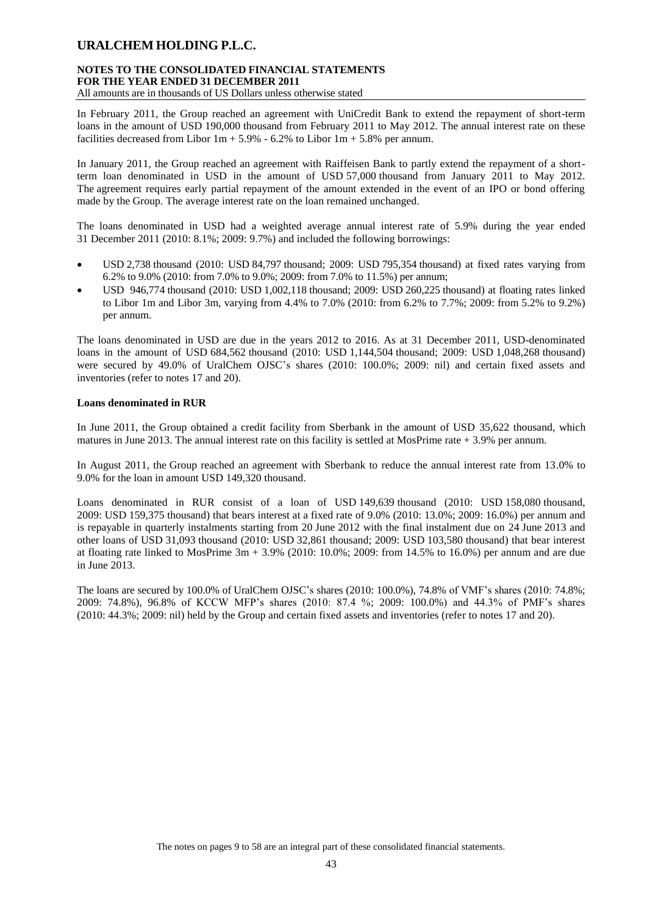# **NOTES TO THE CONSOLIDATED FINANCIAL STATEMENTS FOR THE YEAR ENDED 31 DECEMBER 2011**

All amounts are in thousands of US Dollars unless otherwise stated

In February 2011, the Group reached an agreement with UniCredit Bank to extend the repayment of short-term loans in the amount of USD 190,000 thousand from February 2011 to May 2012. The annual interest rate on these facilities decreased from Libor  $1m + 5.9\%$  - 6.2% to Libor  $1m + 5.8\%$  per annum.

In January 2011, the Group reached an agreement with Raiffeisen Bank to partly extend the repayment of a shortterm loan denominated in USD in the amount of USD 57,000 thousand from January 2011 to May 2012. The agreement requires early partial repayment of the amount extended in the event of an IPO or bond offering made by the Group. The average interest rate on the loan remained unchanged.

The loans denominated in USD had a weighted average annual interest rate of 5.9% during the year ended 31 December 2011 (2010: 8.1%; 2009: 9.7%) and included the following borrowings:

- USD 2,738 thousand (2010: USD 84,797 thousand; 2009: USD 795,354 thousand) at fixed rates varying from 6.2% to 9.0% (2010: from 7.0% to 9.0%; 2009: from 7.0% to 11.5%) per annum;
- USD 946,774 thousand (2010: USD 1,002,118 thousand; 2009: USD 260,225 thousand) at floating rates linked to Libor 1m and Libor 3m, varying from 4.4% to 7.0% (2010: from 6.2% to 7.7%; 2009: from 5.2% to 9.2%) per annum.

The loans denominated in USD are due in the years 2012 to 2016. As at 31 December 2011, USD-denominated loans in the amount of USD 684,562 thousand (2010: USD 1,144,504 thousand; 2009: USD 1,048,268 thousand) were secured by 49.0% of UralChem OJSC's shares (2010: 100.0%; 2009: nil) and certain fixed assets and inventories (refer to notes 17 and 20).

## **Loans denominated in RUR**

In June 2011, the Group obtained a credit facility from Sberbank in the amount of USD 35,622 thousand, which matures in June 2013. The annual interest rate on this facility is settled at MosPrime rate + 3.9% per annum.

In August 2011, the Group reached an agreement with Sberbank to reduce the annual interest rate from 13.0% to 9.0% for the loan in amount USD 149,320 thousand.

Loans denominated in RUR consist of a loan of USD 149,639 thousand (2010: USD 158,080 thousand, 2009: USD 159,375 thousand) that bears interest at a fixed rate of 9.0% (2010: 13.0%; 2009: 16.0%) per annum and is repayable in quarterly instalments starting from 20 June 2012 with the final instalment due on 24 June 2013 and other loans of USD 31,093 thousand (2010: USD 32,861 thousand; 2009: USD 103,580 thousand) that bear interest at floating rate linked to MosPrime  $3m + 3.9\%$  (2010: 10.0%; 2009: from 14.5% to 16.0%) per annum and are due in June 2013.

The loans are secured by 100.0% of UralChem OJSC's shares (2010: 100.0%), 74.8% of VMF's shares (2010: 74.8%; 2009: 74.8%), 96.8% of KCCW MFP's shares (2010: 87.4 %; 2009: 100.0%) and 44.3% of PMF's shares (2010: 44.3%; 2009: nil) held by the Group and certain fixed assets and inventories (refer to notes 17 and 20).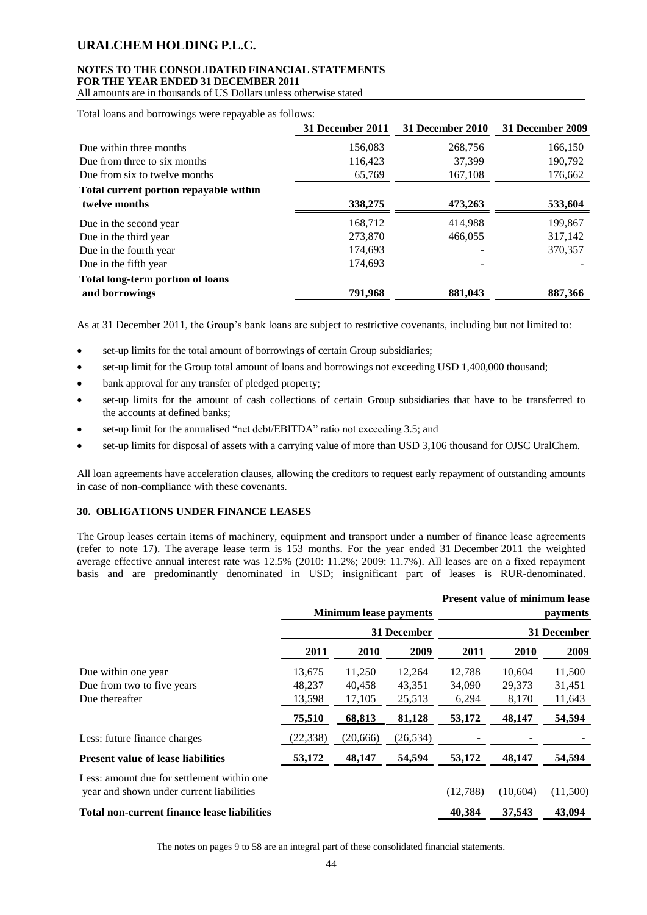## **NOTES TO THE CONSOLIDATED FINANCIAL STATEMENTS FOR THE YEAR ENDED 31 DECEMBER 2011**

All amounts are in thousands of US Dollars unless otherwise stated

Total loans and borrowings were repayable as follows:

|                                         | 31 December 2011 | 31 December 2010 | 31 December 2009 |
|-----------------------------------------|------------------|------------------|------------------|
| Due within three months                 | 156,083          | 268,756          | 166,150          |
| Due from three to six months            | 116,423          | 37.399           | 190,792          |
| Due from six to twelve months           | 65,769           | 167,108          | 176,662          |
| Total current portion repayable within  |                  |                  |                  |
| twelve months                           | 338,275          | 473,263          | 533,604          |
| Due in the second year                  | 168,712          | 414,988          | 199,867          |
| Due in the third year                   | 273,870          | 466,055          | 317,142          |
| Due in the fourth year                  | 174,693          |                  | 370.357          |
| Due in the fifth year                   | 174,693          |                  |                  |
| <b>Total long-term portion of loans</b> |                  |                  |                  |
| and borrowings                          | 791,968          | 881,043          | 887,366          |

As at 31 December 2011, the Group's bank loans are subject to restrictive covenants, including but not limited to:

- set-up limits for the total amount of borrowings of certain Group subsidiaries;
- set-up limit for the Group total amount of loans and borrowings not exceeding USD 1,400,000 thousand;
- bank approval for any transfer of pledged property;
- set-up limits for the amount of cash collections of certain Group subsidiaries that have to be transferred to the accounts at defined banks;
- set-up limit for the annualised "net debt/EBITDA" ratio not exceeding 3.5; and
- set-up limits for disposal of assets with a carrying value of more than USD 3,106 thousand for OJSC UralChem.

All loan agreements have acceleration clauses, allowing the creditors to request early repayment of outstanding amounts in case of non-compliance with these covenants.

## **30. OBLIGATIONS UNDER FINANCE LEASES**

The Group leases certain items of machinery, equipment and transport under a number of finance lease agreements (refer to note 17). The average lease term is 153 months. For the year ended 31 December 2011 the weighted average effective annual interest rate was 12.5% (2010: 11.2%; 2009: 11.7%). All leases are on a fixed repayment basis and are predominantly denominated in USD; insignificant part of leases is RUR-denominated.

|                                                                                        |           |                               |             |             | <b>Present value of minimum lease</b> |                 |
|----------------------------------------------------------------------------------------|-----------|-------------------------------|-------------|-------------|---------------------------------------|-----------------|
|                                                                                        |           | <b>Minimum lease payments</b> |             |             |                                       | <i>payments</i> |
|                                                                                        |           |                               | 31 December | 31 December |                                       |                 |
|                                                                                        | 2011      | 2010                          | 2009        | 2011        | 2010                                  | 2009            |
| Due within one year                                                                    | 13,675    | 11,250                        | 12,264      | 12,788      | 10,604                                | 11,500          |
| Due from two to five years                                                             | 48,237    | 40,458                        | 43,351      | 34,090      | 29,373                                | 31,451          |
| Due thereafter                                                                         | 13,598    | 17,105                        | 25,513      | 6,294       | 8,170                                 | 11,643          |
|                                                                                        | 75,510    | 68,813                        | 81,128      | 53,172      | 48,147                                | 54,594          |
| Less: future finance charges                                                           | (22, 338) | (20,666)                      | (26, 534)   |             |                                       |                 |
| <b>Present value of lease liabilities</b>                                              | 53,172    | 48,147                        | 54,594      | 53,172      | 48.147                                | 54,594          |
| Less: amount due for settlement within one<br>year and shown under current liabilities |           |                               |             | (12,788)    | (10, 604)                             | (11,500)        |
| Total non-current finance lease liabilities                                            |           |                               |             | 40.384      | 37,543                                | 43,094          |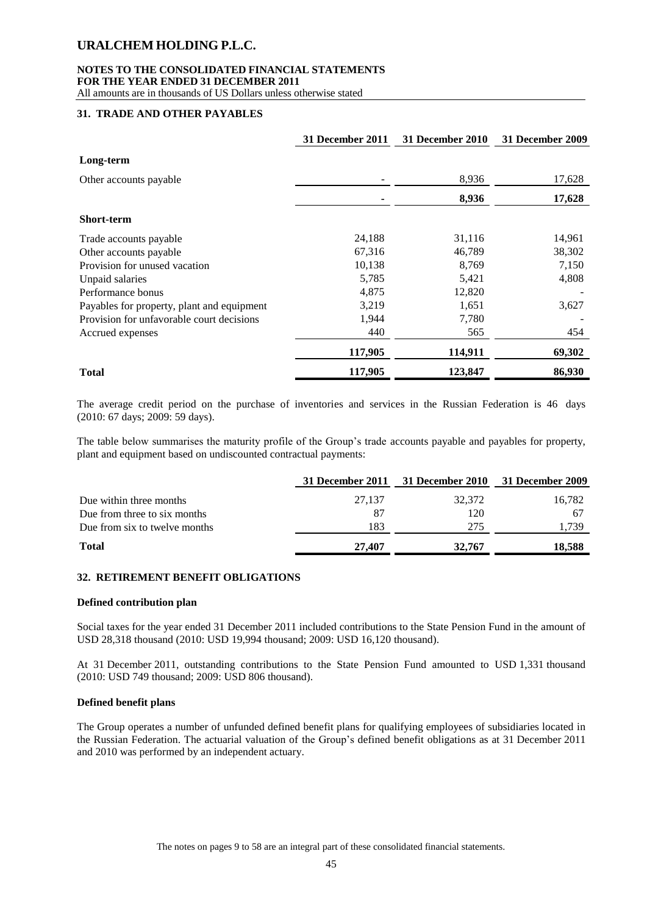# **NOTES TO THE CONSOLIDATED FINANCIAL STATEMENTS FOR THE YEAR ENDED 31 DECEMBER 2011**

All amounts are in thousands of US Dollars unless otherwise stated

# **31. TRADE AND OTHER PAYABLES**

|                                            | <b>31 December 2011</b> | 31 December 2010 | 31 December 2009 |
|--------------------------------------------|-------------------------|------------------|------------------|
| Long-term                                  |                         |                  |                  |
| Other accounts payable                     |                         | 8,936            | 17,628           |
|                                            |                         | 8,936            | 17,628           |
| <b>Short-term</b>                          |                         |                  |                  |
| Trade accounts payable                     | 24,188                  | 31,116           | 14,961           |
| Other accounts payable                     | 67,316                  | 46,789           | 38,302           |
| Provision for unused vacation              | 10,138                  | 8,769            | 7,150            |
| Unpaid salaries                            | 5,785                   | 5,421            | 4,808            |
| Performance bonus                          | 4,875                   | 12,820           |                  |
| Payables for property, plant and equipment | 3,219                   | 1,651            | 3,627            |
| Provision for unfavorable court decisions  | 1,944                   | 7,780            |                  |
| Accrued expenses                           | 440                     | 565              | 454              |
|                                            | 117,905                 | 114,911          | 69,302           |
| <b>Total</b>                               | 117,905                 | 123,847          | 86,930           |

The average credit period on the purchase of inventories and services in the Russian Federation is 46 days (2010: 67 days; 2009: 59 days).

The table below summarises the maturity profile of the Group's trade accounts payable and payables for property, plant and equipment based on undiscounted contractual payments:

|                               |        | 31 December 2011 31 December 2010 31 December 2009 |        |
|-------------------------------|--------|----------------------------------------------------|--------|
| Due within three months       | 27.137 | 32.372                                             | 16,782 |
| Due from three to six months  | 87     | 120                                                |        |
| Due from six to twelve months | 183    | 275                                                | 1.739  |
| <b>Total</b>                  | 27,407 | 32.767                                             | 18,588 |

## **32. RETIREMENT BENEFIT OBLIGATIONS**

## **Defined contribution plan**

Social taxes for the year ended 31 December 2011 included contributions to the State Pension Fund in the amount of USD 28,318 thousand (2010: USD 19,994 thousand; 2009: USD 16,120 thousand).

At 31 December 2011, outstanding contributions to the State Pension Fund amounted to USD 1,331 thousand (2010: USD 749 thousand; 2009: USD 806 thousand).

## **Defined benefit plans**

The Group operates a number of unfunded defined benefit plans for qualifying employees of subsidiaries located in the Russian Federation. The actuarial valuation of the Group's defined benefit obligations as at 31 December 2011 and 2010 was performed by an independent actuary.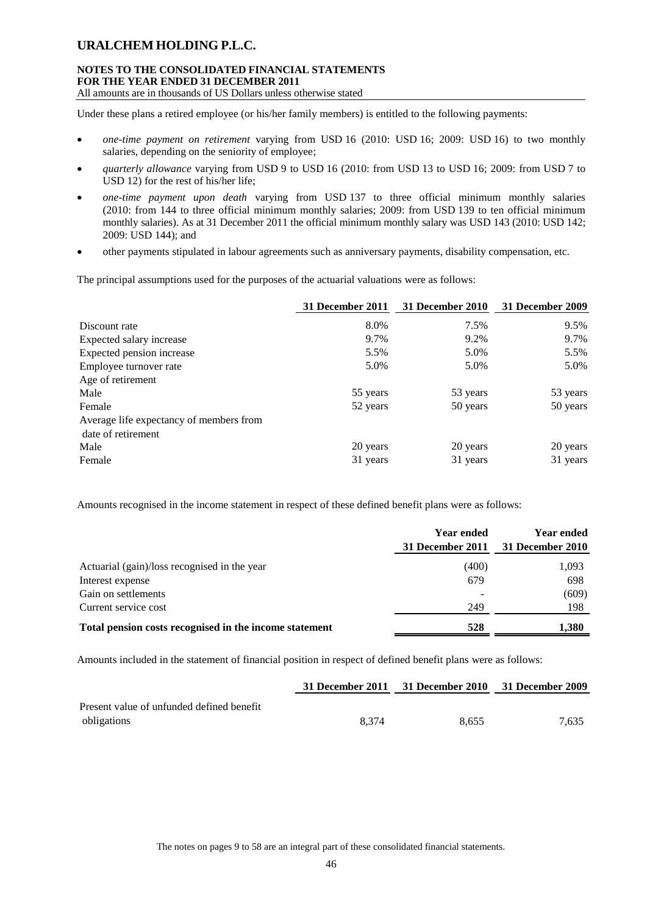#### **NOTES TO THE CONSOLIDATED FINANCIAL STATEMENTS FOR THE YEAR ENDED 31 DECEMBER 2011** All amounts are in thousands of US Dollars unless otherwise stated

Under these plans a retired employee (or his/her family members) is entitled to the following payments:

- *one-time payment on retirement* varying from USD 16 (2010: USD 16; 2009: USD 16) to two monthly salaries, depending on the seniority of employee;
- *quarterly allowance* varying from USD 9 to USD 16 (2010: from USD 13 to USD 16; 2009: from USD 7 to USD 12) for the rest of his/her life;
- *one-time payment upon death* varying from USD 137 to three official minimum monthly salaries (2010: from 144 to three official minimum monthly salaries; 2009: from USD 139 to ten official minimum monthly salaries). As at 31 December 2011 the official minimum monthly salary was USD 143 (2010: USD 142; 2009: USD 144); and
- other payments stipulated in labour agreements such as anniversary payments, disability compensation, etc.

The principal assumptions used for the purposes of the actuarial valuations were as follows:

|                                         | 31 December 2011 | 31 December 2010 | 31 December 2009 |
|-----------------------------------------|------------------|------------------|------------------|
| Discount rate                           | 8.0%             | 7.5%             | 9.5%             |
| Expected salary increase                | 9.7%             | 9.2%             | 9.7%             |
| Expected pension increase               | 5.5%             | 5.0%             | 5.5%             |
| Employee turnover rate                  | 5.0%             | 5.0%             | 5.0%             |
| Age of retirement                       |                  |                  |                  |
| Male                                    | 55 years         | 53 years         | 53 years         |
| Female                                  | 52 years         | 50 years         | 50 years         |
| Average life expectancy of members from |                  |                  |                  |
| date of retirement                      |                  |                  |                  |
| Male                                    | 20 years         | 20 years         | 20 years         |
| Female                                  | 31 years         | 31 years         | 31 years         |

Amounts recognised in the income statement in respect of these defined benefit plans were as follows:

|                                                        | <b>Year ended</b><br>31 December 2011 | <b>Year ended</b><br>31 December 2010 |
|--------------------------------------------------------|---------------------------------------|---------------------------------------|
| Actuarial (gain)/loss recognised in the year           | (400)                                 | 1,093                                 |
| Interest expense                                       | 679                                   | 698                                   |
| Gain on settlements                                    |                                       | (609)                                 |
| Current service cost                                   | 249                                   | 198                                   |
| Total pension costs recognised in the income statement | 528                                   | 1,380                                 |

Amounts included in the statement of financial position in respect of defined benefit plans were as follows:

|                                           |       | 31 December 2011 31 December 2010 31 December 2009 |       |
|-------------------------------------------|-------|----------------------------------------------------|-------|
| Present value of unfunded defined benefit |       |                                                    |       |
| obligations                               | 8.374 | 8.655                                              | 7.635 |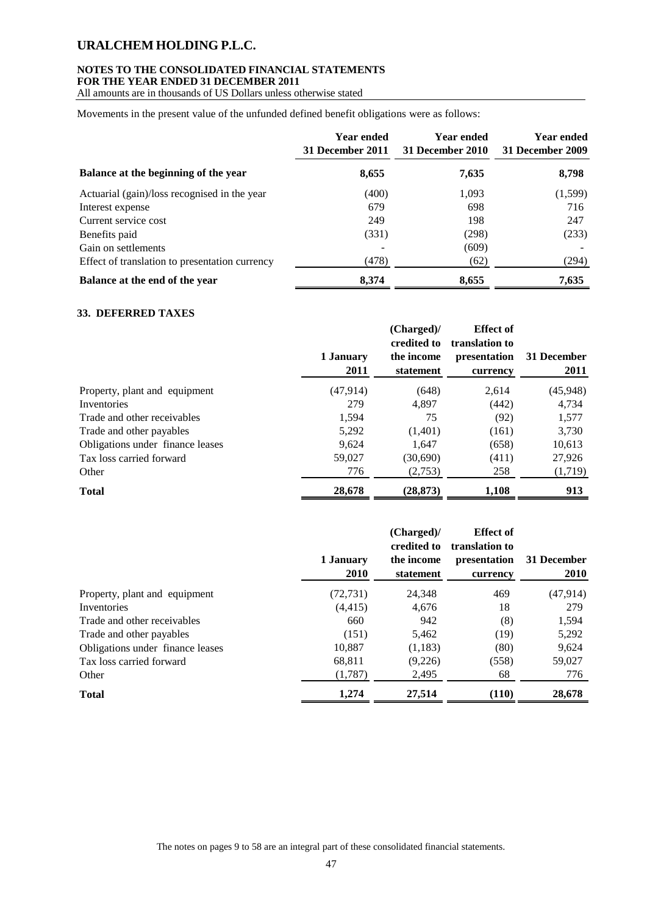## **NOTES TO THE CONSOLIDATED FINANCIAL STATEMENTS FOR THE YEAR ENDED 31 DECEMBER 2011**

All amounts are in thousands of US Dollars unless otherwise stated

Movements in the present value of the unfunded defined benefit obligations were as follows:

|                                                | <b>Year ended</b><br>31 December 2011 | Year ended<br>31 December 2010 | Year ended<br>31 December 2009 |
|------------------------------------------------|---------------------------------------|--------------------------------|--------------------------------|
| Balance at the beginning of the year           | 8,655                                 | 7,635                          | 8,798                          |
| Actuarial (gain)/loss recognised in the year   | (400)                                 | 1,093                          | (1, 599)                       |
| Interest expense                               | 679                                   | 698                            | 716                            |
| Current service cost                           | 249                                   | 198                            | 247                            |
| Benefits paid                                  | (331)                                 | (298)                          | (233)                          |
| Gain on settlements                            |                                       | (609)                          |                                |
| Effect of translation to presentation currency | (478)                                 | (62)                           | (294)                          |
| Balance at the end of the year                 | 8.374                                 | 8,655                          | 7,635                          |

## **33. DEFERRED TAXES**

|                                  | 1 January<br>2011 | (Charged)<br>credited to<br>the income<br>statement | <b>Effect</b> of<br>translation to<br>presentation<br>currency | 31 December<br>2011 |
|----------------------------------|-------------------|-----------------------------------------------------|----------------------------------------------------------------|---------------------|
| Property, plant and equipment    | (47, 914)         | (648)                                               | 2,614                                                          | (45,948)            |
| <b>Inventories</b>               | 279               | 4,897                                               | (442)                                                          | 4,734               |
| Trade and other receivables      | 1,594             | 75                                                  | (92)                                                           | 1,577               |
| Trade and other payables         | 5,292             | (1,401)                                             | (161)                                                          | 3,730               |
| Obligations under finance leases | 9,624             | 1.647                                               | (658)                                                          | 10,613              |
| Tax loss carried forward         | 59,027            | (30,690)                                            | (411)                                                          | 27,926              |
| Other                            | 776               | (2,753)                                             | 258                                                            | (1,719)             |
| <b>Total</b>                     | 28,678            | (28, 873)                                           | 1,108                                                          | 913                 |

|                                  | 1 January<br>2010 | (Charged)<br>credited to<br>the income<br>statement | <b>Effect</b> of<br>translation to<br>presentation<br>currency | 31 December<br><b>2010</b> |
|----------------------------------|-------------------|-----------------------------------------------------|----------------------------------------------------------------|----------------------------|
| Property, plant and equipment    | (72, 731)         | 24,348                                              | 469                                                            | (47, 914)                  |
| Inventories                      | (4, 415)          | 4.676                                               | 18                                                             | 279                        |
| Trade and other receivables      | 660               | 942                                                 | (8)                                                            | 1,594                      |
| Trade and other payables         | (151)             | 5,462                                               | (19)                                                           | 5,292                      |
| Obligations under finance leases | 10,887            | (1,183)                                             | (80)                                                           | 9,624                      |
| Tax loss carried forward         | 68,811            | (9,226)                                             | (558)                                                          | 59,027                     |
| Other                            | (1,787)           | 2,495                                               | 68                                                             | 776                        |
| <b>Total</b>                     | 1,274             | 27,514                                              | (110)                                                          | 28,678                     |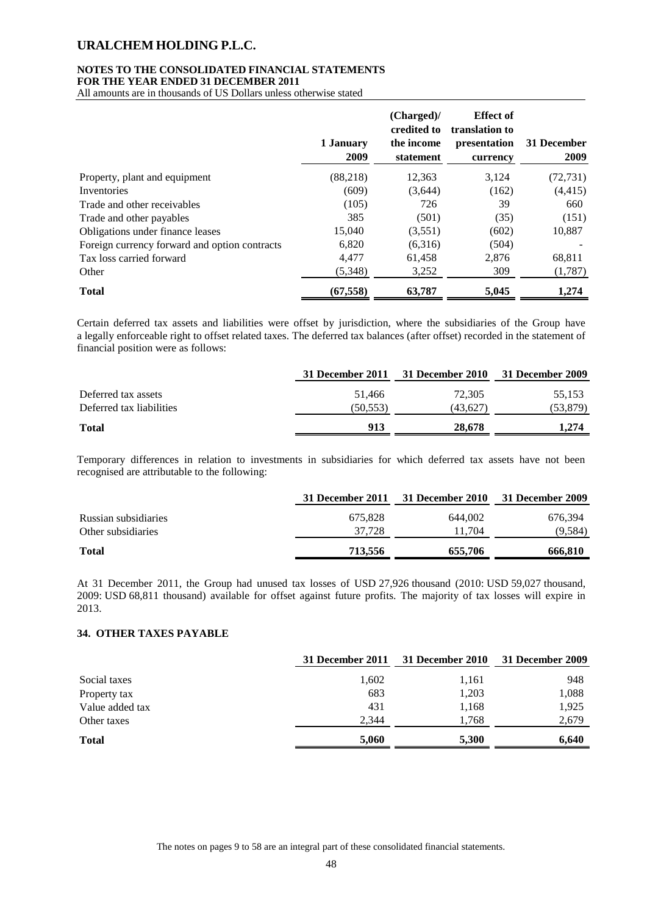#### **NOTES TO THE CONSOLIDATED FINANCIAL STATEMENTS FOR THE YEAR ENDED 31 DECEMBER 2011**

All amounts are in thousands of US Dollars unless otherwise stated

|                                               | 1 January<br>2009 | (Charged)<br>credited to<br>the income<br>statement | <b>Effect of</b><br>translation to<br>presentation<br>currency | 31 December<br>2009 |
|-----------------------------------------------|-------------------|-----------------------------------------------------|----------------------------------------------------------------|---------------------|
| Property, plant and equipment                 | (88, 218)         | 12,363                                              | 3,124                                                          | (72, 731)           |
| Inventories                                   | (609)             | (3,644)                                             | (162)                                                          | (4, 415)            |
| Trade and other receivables                   | (105)             | 726                                                 | 39                                                             | 660                 |
| Trade and other payables                      | 385               | (501)                                               | (35)                                                           | (151)               |
| Obligations under finance leases              | 15,040            | (3,551)                                             | (602)                                                          | 10,887              |
| Foreign currency forward and option contracts | 6,820             | (6,316)                                             | (504)                                                          |                     |
| Tax loss carried forward                      | 4,477             | 61,458                                              | 2,876                                                          | 68,811              |
| Other                                         | (5,348)           | 3,252                                               | 309                                                            | (1,787)             |
| <b>Total</b>                                  | (67, 558)         | 63,787                                              | 5,045                                                          | 1,274               |

Certain deferred tax assets and liabilities were offset by jurisdiction, where the subsidiaries of the Group have a legally enforceable right to offset related taxes. The deferred tax balances (after offset) recorded in the statement of financial position were as follows:

|                          |           | 31 December 2011 31 December 2010 31 December 2009 |          |
|--------------------------|-----------|----------------------------------------------------|----------|
| Deferred tax assets      | 51.466    | 72.305                                             | 55,153   |
| Deferred tax liabilities | (50, 553) | (43.627)                                           | (53,879) |
| <b>Total</b>             | 913       | 28,678                                             | . 274    |

Temporary differences in relation to investments in subsidiaries for which deferred tax assets have not been recognised are attributable to the following:

|         |         | 31 December 2009                  |
|---------|---------|-----------------------------------|
| 675.828 | 644,002 | 676.394                           |
| 37.728  | 11.704  | (9,584)                           |
| 713.556 | 655,706 | 666,810                           |
|         |         | 31 December 2011 31 December 2010 |

At 31 December 2011, the Group had unused tax losses of USD 27,926 thousand (2010: USD 59,027 thousand, 2009: USD 68,811 thousand) available for offset against future profits. The majority of tax losses will expire in 2013.

## **34. OTHER TAXES PAYABLE**

|                 | 31 December 2011 | <b>31 December 2010</b> | 31 December 2009 |
|-----------------|------------------|-------------------------|------------------|
| Social taxes    | 1,602            | 1,161                   | 948              |
| Property tax    | 683              | 1,203                   | 1,088            |
| Value added tax | 431              | 1,168                   | 1,925            |
| Other taxes     | 2,344            | 1,768                   | 2,679            |
| <b>Total</b>    | 5.060            | 5.300                   | 6,640            |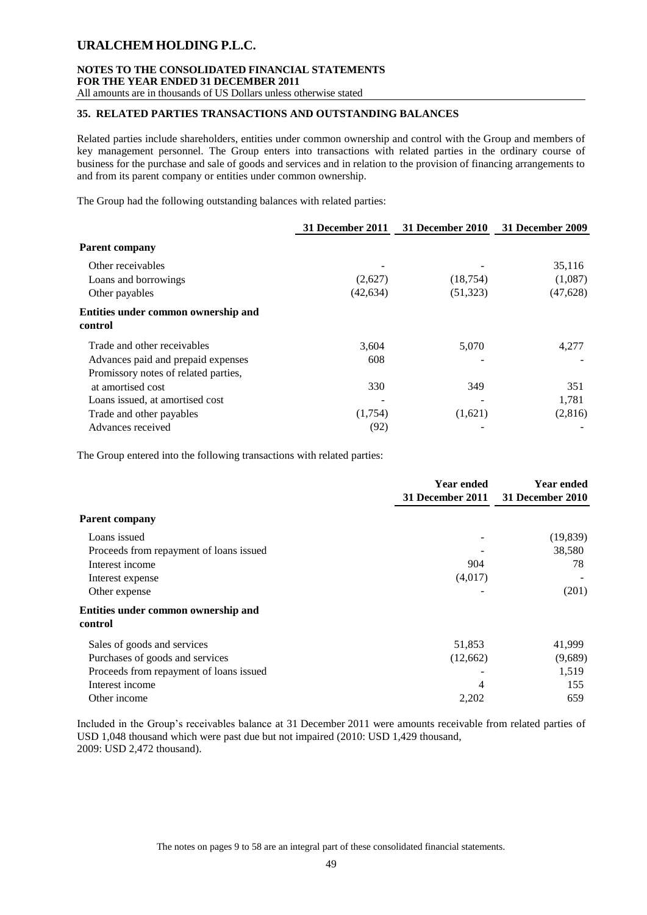## **NOTES TO THE CONSOLIDATED FINANCIAL STATEMENTS FOR THE YEAR ENDED 31 DECEMBER 2011** All amounts are in thousands of US Dollars unless otherwise stated

## **35. RELATED PARTIES TRANSACTIONS AND OUTSTANDING BALANCES**

Related parties include shareholders, entities under common ownership and control with the Group and members of key management personnel. The Group enters into transactions with related parties in the ordinary course of business for the purchase and sale of goods and services and in relation to the provision of financing arrangements to and from its parent company or entities under common ownership.

The Group had the following outstanding balances with related parties:

|                                                |           | 31 December 2011 31 December 2010 31 December 2009 |           |
|------------------------------------------------|-----------|----------------------------------------------------|-----------|
| <b>Parent company</b>                          |           |                                                    |           |
| Other receivables                              |           |                                                    | 35,116    |
| Loans and borrowings                           | (2,627)   | (18, 754)                                          | (1,087)   |
| Other payables                                 | (42, 634) | (51, 323)                                          | (47, 628) |
| Entities under common ownership and<br>control |           |                                                    |           |
| Trade and other receivables                    | 3,604     | 5,070                                              | 4,277     |
| Advances paid and prepaid expenses             | 608       |                                                    |           |
| Promissory notes of related parties,           |           |                                                    |           |
| at amortised cost                              | 330       | 349                                                | 351       |
| Loans issued, at amortised cost                |           |                                                    | 1,781     |
| Trade and other payables                       | (1,754)   | (1,621)                                            | (2,816)   |
| Advances received                              | (92)      |                                                    |           |

The Group entered into the following transactions with related parties:

|                                                | Year ended<br>31 December 2011 | <b>Year ended</b><br>31 December 2010 |
|------------------------------------------------|--------------------------------|---------------------------------------|
| <b>Parent company</b>                          |                                |                                       |
| Loans issued                                   |                                | (19, 839)                             |
| Proceeds from repayment of loans issued        |                                | 38,580                                |
| Interest income                                | 904                            | 78                                    |
| Interest expense                               | (4,017)                        |                                       |
| Other expense                                  |                                | (201)                                 |
| Entities under common ownership and<br>control |                                |                                       |
| Sales of goods and services                    | 51,853                         | 41,999                                |
| Purchases of goods and services                | (12,662)                       | (9,689)                               |
| Proceeds from repayment of loans issued        |                                | 1,519                                 |
| Interest income                                | 4                              | 155                                   |
| Other income                                   | 2,202                          | 659                                   |

Included in the Group's receivables balance at 31 December 2011 were amounts receivable from related parties of USD 1,048 thousand which were past due but not impaired (2010: USD 1,429 thousand, 2009: USD 2,472 thousand).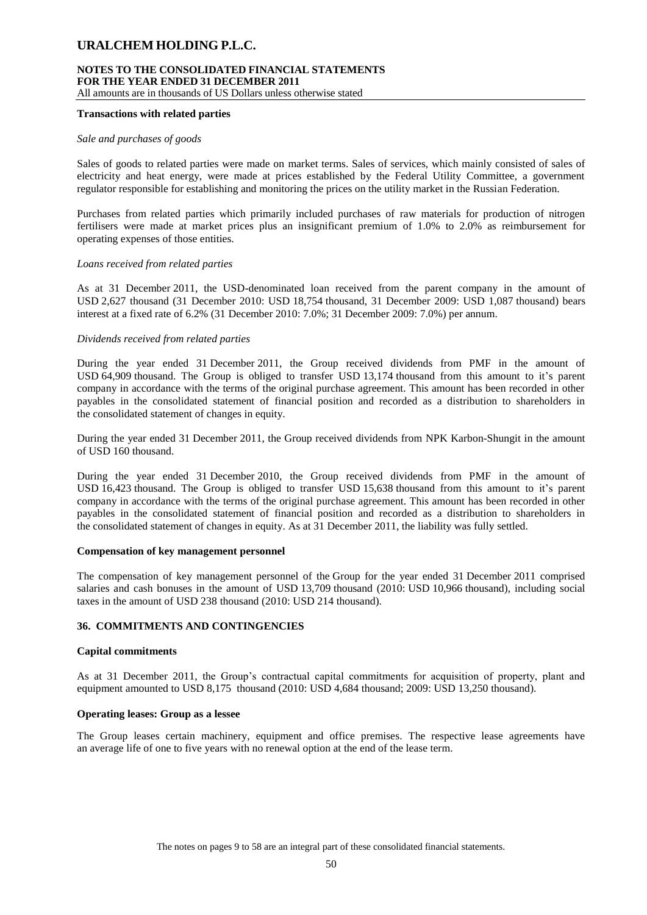#### **NOTES TO THE CONSOLIDATED FINANCIAL STATEMENTS FOR THE YEAR ENDED 31 DECEMBER 2011** All amounts are in thousands of US Dollars unless otherwise stated

#### **Transactions with related parties**

#### *Sale and purchases of goods*

Sales of goods to related parties were made on market terms. Sales of services, which mainly consisted of sales of electricity and heat energy, were made at prices established by the Federal Utility Committee, a government regulator responsible for establishing and monitoring the prices on the utility market in the Russian Federation.

Purchases from related parties which primarily included purchases of raw materials for production of nitrogen fertilisers were made at market prices plus an insignificant premium of 1.0% to 2.0% as reimbursement for operating expenses of those entities.

#### *Loans received from related parties*

As at 31 December 2011, the USD-denominated loan received from the parent company in the amount of USD 2,627 thousand (31 December 2010: USD 18,754 thousand, 31 December 2009: USD 1,087 thousand) bears interest at a fixed rate of 6.2% (31 December 2010: 7.0%; 31 December 2009: 7.0%) per annum.

## *Dividends received from related parties*

During the year ended 31 December 2011, the Group received dividends from PMF in the amount of USD 64,909 thousand. The Group is obliged to transfer USD 13,174 thousand from this amount to it's parent company in accordance with the terms of the original purchase agreement. This amount has been recorded in other payables in the consolidated statement of financial position and recorded as a distribution to shareholders in the consolidated statement of changes in equity.

During the year ended 31 December 2011, the Group received dividends from NPK Karbon-Shungit in the amount of USD 160 thousand.

During the year ended 31 December 2010, the Group received dividends from PMF in the amount of USD 16,423 thousand. The Group is obliged to transfer USD 15,638 thousand from this amount to it's parent company in accordance with the terms of the original purchase agreement. This amount has been recorded in other payables in the consolidated statement of financial position and recorded as a distribution to shareholders in the consolidated statement of changes in equity. As at 31 December 2011, the liability was fully settled.

## **Compensation of key management personnel**

The compensation of key management personnel of the Group for the year ended 31 December 2011 comprised salaries and cash bonuses in the amount of USD 13,709 thousand (2010: USD 10,966 thousand), including social taxes in the amount of USD 238 thousand (2010: USD 214 thousand).

# **36. COMMITMENTS AND CONTINGENCIES**

#### **Capital commitments**

As at 31 December 2011, the Group's contractual capital commitments for acquisition of property, plant and equipment amounted to USD 8,175 thousand (2010: USD 4,684 thousand; 2009: USD 13,250 thousand).

#### **Operating leases: Group as a lessee**

The Group leases certain machinery, equipment and office premises. The respective lease agreements have an average life of one to five years with no renewal option at the end of the lease term.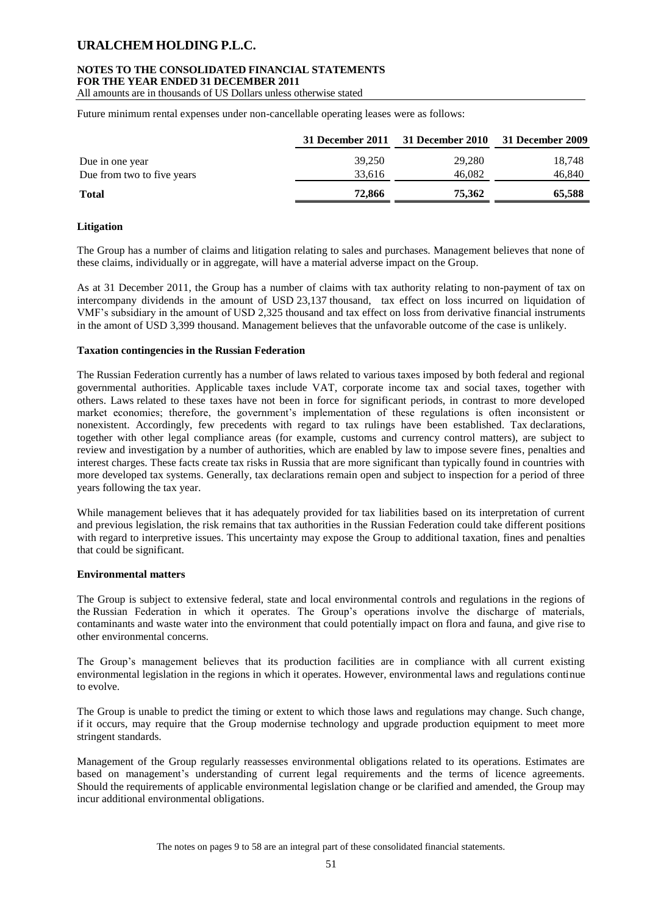#### **NOTES TO THE CONSOLIDATED FINANCIAL STATEMENTS FOR THE YEAR ENDED 31 DECEMBER 2011**

All amounts are in thousands of US Dollars unless otherwise stated

Future minimum rental expenses under non-cancellable operating leases were as follows:

|                            |        | 31 December 2011 31 December 2010 31 December 2009 |        |
|----------------------------|--------|----------------------------------------------------|--------|
| Due in one year            | 39,250 | 29,280                                             | 18,748 |
| Due from two to five years | 33.616 | 46.082                                             | 46,840 |
| <b>Total</b>               | 72,866 | 75.362                                             | 65,588 |

## **Litigation**

The Group has a number of claims and litigation relating to sales and purchases. Management believes that none of these claims, individually or in aggregate, will have a material adverse impact on the Group.

As at 31 December 2011, the Group has a number of claims with tax authority relating to non-payment of tax on intercompany dividends in the amount of USD 23,137 thousand, tax effect on loss incurred on liquidation of VMF's subsidiary in the amount of USD 2,325 thousand and tax effect on loss from derivative financial instruments in the amont of USD 3,399 thousand. Management believes that the unfavorable outcome of the case is unlikely.

## **Taxation contingencies in the Russian Federation**

The Russian Federation currently has a number of laws related to various taxes imposed by both federal and regional governmental authorities. Applicable taxes include VAT, corporate income tax and social taxes, together with others. Laws related to these taxes have not been in force for significant periods, in contrast to more developed market economies; therefore, the government's implementation of these regulations is often inconsistent or nonexistent. Accordingly, few precedents with regard to tax rulings have been established. Tax declarations, together with other legal compliance areas (for example, customs and currency control matters), are subject to review and investigation by a number of authorities, which are enabled by law to impose severe fines, penalties and interest charges. These facts create tax risks in Russia that are more significant than typically found in countries with more developed tax systems. Generally, tax declarations remain open and subject to inspection for a period of three years following the tax year.

While management believes that it has adequately provided for tax liabilities based on its interpretation of current and previous legislation, the risk remains that tax authorities in the Russian Federation could take different positions with regard to interpretive issues. This uncertainty may expose the Group to additional taxation, fines and penalties that could be significant.

## **Environmental matters**

The Group is subject to extensive federal, state and local environmental controls and regulations in the regions of the Russian Federation in which it operates. The Group's operations involve the discharge of materials, contaminants and waste water into the environment that could potentially impact on flora and fauna, and give rise to other environmental concerns.

The Group's management believes that its production facilities are in compliance with all current existing environmental legislation in the regions in which it operates. However, environmental laws and regulations continue to evolve.

The Group is unable to predict the timing or extent to which those laws and regulations may change. Such change, if it occurs, may require that the Group modernise technology and upgrade production equipment to meet more stringent standards.

Management of the Group regularly reassesses environmental obligations related to its operations. Estimates are based on management's understanding of current legal requirements and the terms of licence agreements. Should the requirements of applicable environmental legislation change or be clarified and amended, the Group may incur additional environmental obligations.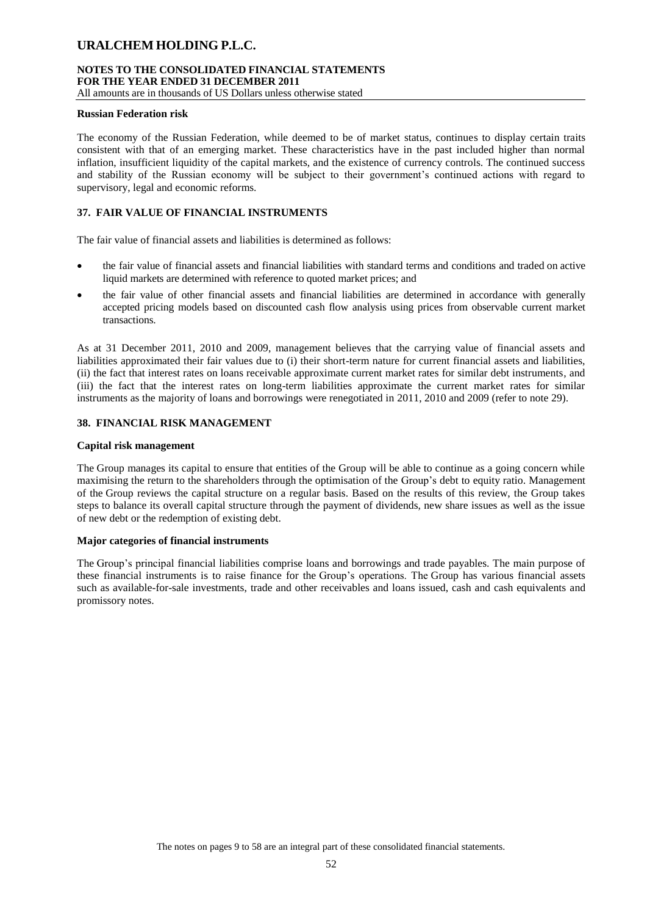#### **NOTES TO THE CONSOLIDATED FINANCIAL STATEMENTS FOR THE YEAR ENDED 31 DECEMBER 2011** All amounts are in thousands of US Dollars unless otherwise stated

## **Russian Federation risk**

The economy of the Russian Federation, while deemed to be of market status, continues to display certain traits consistent with that of an emerging market. These characteristics have in the past included higher than normal inflation, insufficient liquidity of the capital markets, and the existence of currency controls. The continued success and stability of the Russian economy will be subject to their government's continued actions with regard to supervisory, legal and economic reforms.

## **37. FAIR VALUE OF FINANCIAL INSTRUMENTS**

The fair value of financial assets and liabilities is determined as follows:

- the fair value of financial assets and financial liabilities with standard terms and conditions and traded on active liquid markets are determined with reference to quoted market prices; and
- the fair value of other financial assets and financial liabilities are determined in accordance with generally accepted pricing models based on discounted cash flow analysis using prices from observable current market transactions.

As at 31 December 2011, 2010 and 2009, management believes that the carrying value of financial assets and liabilities approximated their fair values due to (i) their short-term nature for current financial assets and liabilities, (ii) the fact that interest rates on loans receivable approximate current market rates for similar debt instruments, and (iii) the fact that the interest rates on long-term liabilities approximate the current market rates for similar instruments as the majority of loans and borrowings were renegotiated in 2011, 2010 and 2009 (refer to note 29).

## **38. FINANCIAL RISK MANAGEMENT**

#### **Capital risk management**

The Group manages its capital to ensure that entities of the Group will be able to continue as a going concern while maximising the return to the shareholders through the optimisation of the Group's debt to equity ratio. Management of the Group reviews the capital structure on a regular basis. Based on the results of this review, the Group takes steps to balance its overall capital structure through the payment of dividends, new share issues as well as the issue of new debt or the redemption of existing debt.

#### **Major categories of financial instruments**

The Group's principal financial liabilities comprise loans and borrowings and trade payables. The main purpose of these financial instruments is to raise finance for the Group's operations. The Group has various financial assets such as available-for-sale investments, trade and other receivables and loans issued, cash and cash equivalents and promissory notes.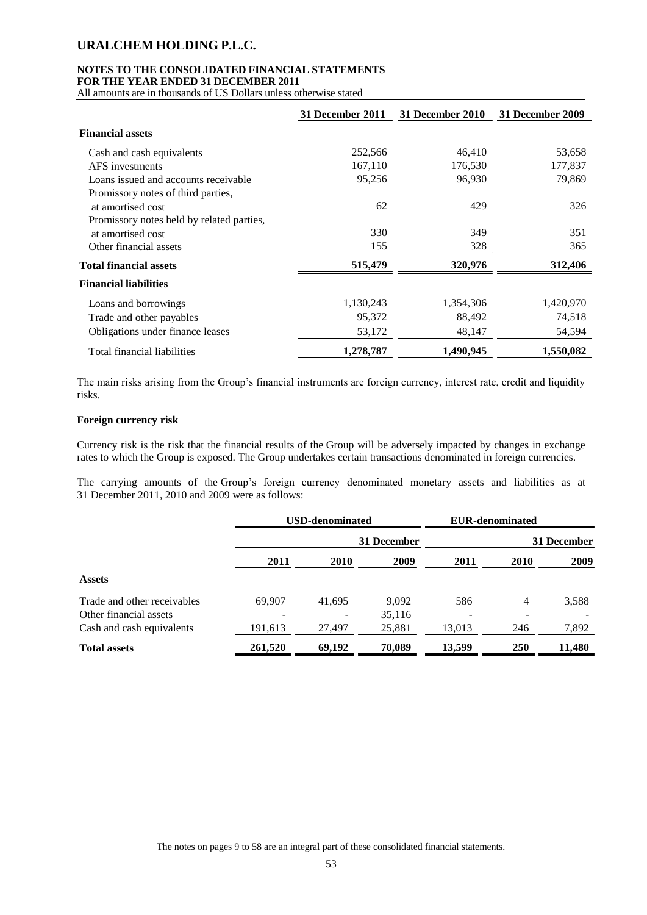# **NOTES TO THE CONSOLIDATED FINANCIAL STATEMENTS**

**FOR THE YEAR ENDED 31 DECEMBER 2011** All amounts are in thousands of US Dollars unless otherwise stated

|                                           | 31 December 2011 | 31 December 2010 | 31 December 2009 |
|-------------------------------------------|------------------|------------------|------------------|
| <b>Financial assets</b>                   |                  |                  |                  |
| Cash and cash equivalents                 | 252,566          | 46,410           | 53,658           |
| AFS investments                           | 167,110          | 176,530          | 177,837          |
| Loans issued and accounts receivable      | 95,256           | 96,930           | 79,869           |
| Promissory notes of third parties,        |                  |                  |                  |
| at amortised cost                         | 62               | 429              | 326              |
| Promissory notes held by related parties, |                  |                  |                  |
| at amortised cost                         | 330              | 349              | 351              |
| Other financial assets                    | 155              | 328              | 365              |
| <b>Total financial assets</b>             | 515,479          | 320,976          | 312,406          |
| <b>Financial liabilities</b>              |                  |                  |                  |
| Loans and borrowings                      | 1,130,243        | 1,354,306        | 1,420,970        |
| Trade and other payables                  | 95,372           | 88,492           | 74,518           |
| Obligations under finance leases          | 53,172           | 48,147           | 54,594           |
| Total financial liabilities               | 1,278,787        | 1,490,945        | 1,550,082        |

The main risks arising from the Group's financial instruments are foreign currency, interest rate, credit and liquidity risks.

## **Foreign currency risk**

Currency risk is the risk that the financial results of the Group will be adversely impacted by changes in exchange rates to which the Group is exposed. The Group undertakes certain transactions denominated in foreign currencies.

The carrying amounts of the Group's foreign currency denominated monetary assets and liabilities as at 31 December 2011, 2010 and 2009 were as follows:

|                             | <b>USD-denominated</b> |             |        |        | <b>EUR-denominated</b> |             |
|-----------------------------|------------------------|-------------|--------|--------|------------------------|-------------|
|                             |                        | 31 December |        |        |                        | 31 December |
|                             | 2011                   | 2010        | 2009   | 2011   | 2010                   | 2009        |
| <b>Assets</b>               |                        |             |        |        |                        |             |
| Trade and other receivables | 69,907                 | 41.695      | 9,092  | 586    | 4                      | 3,588       |
| Other financial assets      |                        |             | 35,116 |        |                        |             |
| Cash and cash equivalents   | 191,613                | 27.497      | 25,881 | 13,013 | 246                    | 7,892       |
| <b>Total assets</b>         | 261,520                | 69,192      | 70,089 | 13,599 | 250                    | 11,480      |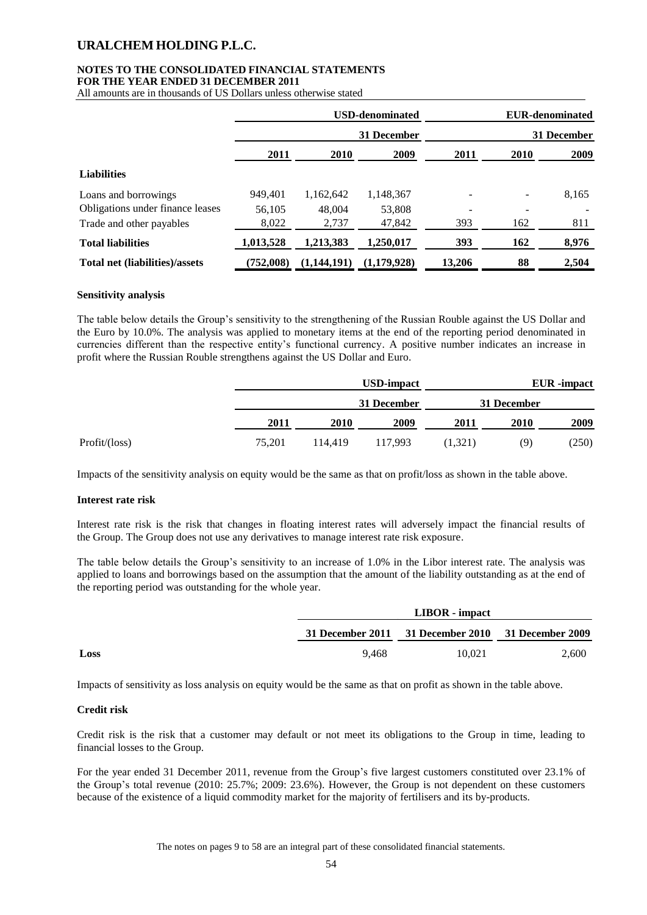# **NOTES TO THE CONSOLIDATED FINANCIAL STATEMENTS**

**FOR THE YEAR ENDED 31 DECEMBER 2011**

All amounts are in thousands of US Dollars unless otherwise stated

|                                  |           | <b>USD-denominated</b> |             |        |             | <b>EUR-denominated</b> |
|----------------------------------|-----------|------------------------|-------------|--------|-------------|------------------------|
|                                  |           | 31 December            |             |        | 31 December |                        |
|                                  | 2011      | <b>2010</b>            | 2009        | 2011   | <b>2010</b> | 2009                   |
| <b>Liabilities</b>               |           |                        |             |        |             |                        |
| Loans and borrowings             | 949,401   | 1,162,642              | 1,148,367   |        |             | 8,165                  |
| Obligations under finance leases | 56,105    | 48,004                 | 53,808      |        |             |                        |
| Trade and other payables         | 8,022     | 2,737                  | 47,842      | 393    | 162         | 811                    |
| <b>Total liabilities</b>         | 1,013,528 | 1,213,383              | 1,250,017   | 393    | 162         | 8,976                  |
| Total net (liabilities)/assets   | (752,008) | (1,144,191)            | (1,179,928) | 13,206 | 88          | 2,504                  |

#### **Sensitivity analysis**

The table below details the Group's sensitivity to the strengthening of the Russian Rouble against the US Dollar and the Euro by 10.0%. The analysis was applied to monetary items at the end of the reporting period denominated in currencies different than the respective entity's functional currency. A positive number indicates an increase in profit where the Russian Rouble strengthens against the US Dollar and Euro.

|                 |        |         | <b>USD-impact</b> |         |             | <b>EUR</b> -impact |
|-----------------|--------|---------|-------------------|---------|-------------|--------------------|
|                 |        |         | 31 December       |         | 31 December |                    |
|                 | 2011   | 2010    | 2009              | 2011    | 2010        | 2009               |
| Profit / (loss) | 75,201 | 114.419 | 117.993           | (1,321) | (9)         | (250)              |

Impacts of the sensitivity analysis on equity would be the same as that on profit/loss as shown in the table above.

#### **Interest rate risk**

Interest rate risk is the risk that changes in floating interest rates will adversely impact the financial results of the Group. The Group does not use any derivatives to manage interest rate risk exposure.

The table below details the Group's sensitivity to an increase of 1.0% in the Libor interest rate. The analysis was applied to loans and borrowings based on the assumption that the amount of the liability outstanding as at the end of the reporting period was outstanding for the whole year.

|      | LIBOR - impact |                                                    |       |  |  |
|------|----------------|----------------------------------------------------|-------|--|--|
|      |                | 31 December 2011 31 December 2010 31 December 2009 |       |  |  |
| Loss | 9.468          | 10.021                                             | 2,600 |  |  |

Impacts of sensitivity as loss analysis on equity would be the same as that on profit as shown in the table above.

## **Credit risk**

Credit risk is the risk that a customer may default or not meet its obligations to the Group in time, leading to financial losses to the Group.

For the year ended 31 December 2011, revenue from the Group's five largest customers constituted over 23.1% of the Group's total revenue (2010: 25.7%; 2009: 23.6%). However, the Group is not dependent on these customers because of the existence of a liquid commodity market for the majority of fertilisers and its by-products.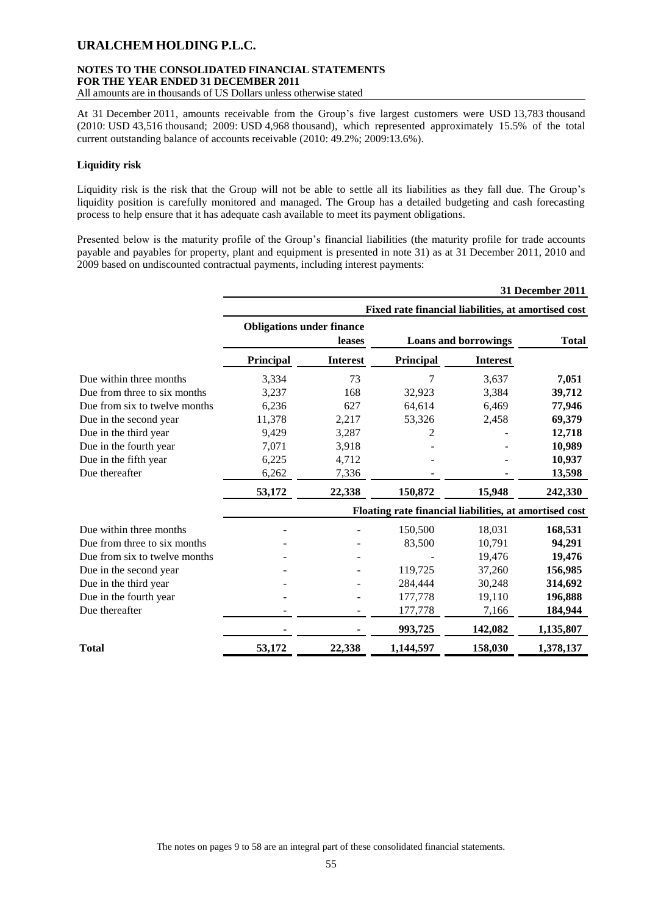# **NOTES TO THE CONSOLIDATED FINANCIAL STATEMENTS FOR THE YEAR ENDED 31 DECEMBER 2011**

All amounts are in thousands of US Dollars unless otherwise stated

At 31 December 2011, amounts receivable from the Group's five largest customers were USD 13,783 thousand (2010: USD 43,516 thousand; 2009: USD 4,968 thousand), which represented approximately 15.5% of the total current outstanding balance of accounts receivable (2010: 49.2%; 2009:13.6%).

## **Liquidity risk**

Liquidity risk is the risk that the Group will not be able to settle all its liabilities as they fall due. The Group's liquidity position is carefully monitored and managed. The Group has a detailed budgeting and cash forecasting process to help ensure that it has adequate cash available to meet its payment obligations.

Presented below is the maturity profile of the Group's financial liabilities (the maturity profile for trade accounts payable and payables for property, plant and equipment is presented in note 31) as at 31 December 2011, 2010 and 2009 based on undiscounted contractual payments, including interest payments:

|                               |                                                     |                 |                                                        |                             | 31 December 2011 |
|-------------------------------|-----------------------------------------------------|-----------------|--------------------------------------------------------|-----------------------------|------------------|
|                               | Fixed rate financial liabilities, at amortised cost |                 |                                                        |                             |                  |
|                               | <b>Obligations under finance</b>                    |                 |                                                        |                             |                  |
|                               |                                                     | leases          |                                                        | <b>Loans and borrowings</b> | <b>Total</b>     |
|                               | Principal                                           | <b>Interest</b> | Principal                                              | <b>Interest</b>             |                  |
| Due within three months       | 3,334                                               | 73              | 7                                                      | 3,637                       | 7,051            |
| Due from three to six months  | 3,237                                               | 168             | 32,923                                                 | 3,384                       | 39,712           |
| Due from six to twelve months | 6,236                                               | 627             | 64,614                                                 | 6,469                       | 77,946           |
| Due in the second year        | 11,378                                              | 2,217           | 53,326                                                 | 2,458                       | 69,379           |
| Due in the third year         | 9,429                                               | 3,287           | 2                                                      |                             | 12,718           |
| Due in the fourth year        | 7,071                                               | 3,918           |                                                        |                             | 10,989           |
| Due in the fifth year         | 6,225                                               | 4,712           |                                                        |                             | 10,937           |
| Due thereafter                | 6,262                                               | 7,336           |                                                        |                             | 13,598           |
|                               | 53,172                                              | 22,338          | 150,872                                                | 15,948                      | 242,330          |
|                               |                                                     |                 | Floating rate financial liabilities, at amortised cost |                             |                  |
| Due within three months       |                                                     |                 | 150,500                                                | 18,031                      | 168,531          |
| Due from three to six months  |                                                     |                 | 83,500                                                 | 10,791                      | 94,291           |
| Due from six to twelve months |                                                     |                 |                                                        | 19,476                      | 19,476           |
| Due in the second year        |                                                     |                 | 119,725                                                | 37,260                      | 156,985          |
| Due in the third year         |                                                     |                 | 284,444                                                | 30,248                      | 314,692          |
| Due in the fourth year        |                                                     |                 | 177,778                                                | 19,110                      | 196,888          |
| Due thereafter                |                                                     |                 | 177,778                                                | 7,166                       | 184,944          |
|                               |                                                     |                 | 993,725                                                | 142,082                     | 1,135,807        |
| <b>Total</b>                  | 53,172                                              | 22,338          | 1,144,597                                              | 158,030                     | 1,378,137        |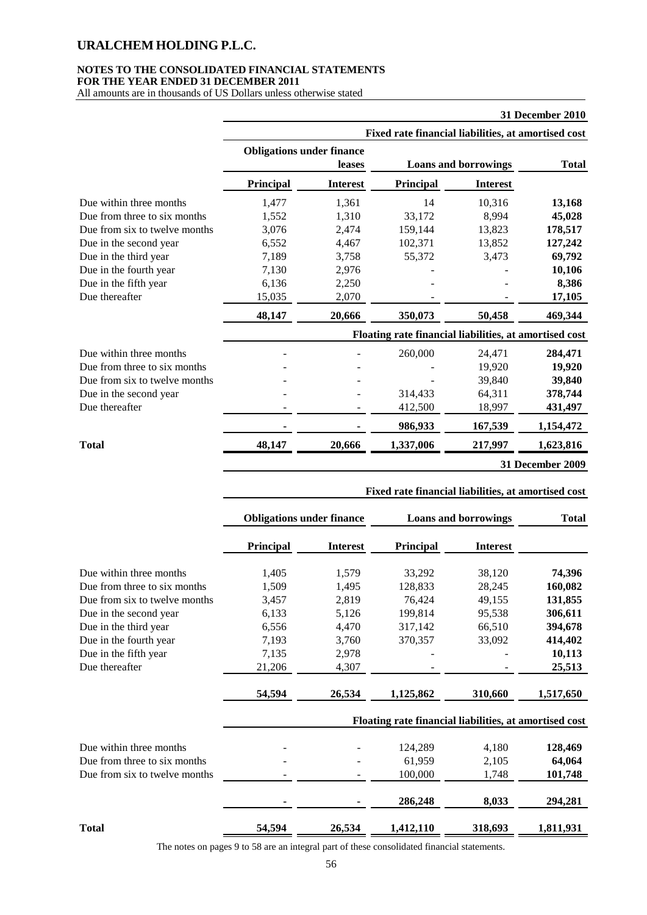# **NOTES TO THE CONSOLIDATED FINANCIAL STATEMENTS**

**FOR THE YEAR ENDED 31 DECEMBER 2011**

All amounts are in thousands of US Dollars unless otherwise stated

|                               |                                            |                 |                                                        |                             | 31 December 2010 |  |
|-------------------------------|--------------------------------------------|-----------------|--------------------------------------------------------|-----------------------------|------------------|--|
|                               |                                            |                 | Fixed rate financial liabilities, at amortised cost    |                             |                  |  |
|                               | <b>Obligations under finance</b><br>leases |                 |                                                        | <b>Loans and borrowings</b> | <b>Total</b>     |  |
|                               | <b>Principal</b>                           | <b>Interest</b> | Principal                                              | <b>Interest</b>             |                  |  |
| Due within three months       | 1,477                                      | 1,361           | 14                                                     | 10,316                      | 13,168           |  |
| Due from three to six months  | 1,552                                      | 1,310           | 33,172                                                 | 8,994                       | 45,028           |  |
| Due from six to twelve months | 3,076                                      | 2,474           | 159,144                                                | 13,823                      | 178,517          |  |
| Due in the second year        | 6,552                                      | 4,467           | 102,371                                                | 13,852                      | 127,242          |  |
| Due in the third year         | 7,189                                      | 3,758           | 55,372                                                 | 3,473                       | 69,792           |  |
| Due in the fourth year        | 7,130                                      | 2,976           |                                                        |                             | 10,106           |  |
| Due in the fifth year         | 6,136                                      | 2,250           |                                                        |                             | 8,386            |  |
| Due thereafter                | 15,035                                     | 2,070           |                                                        |                             | 17,105           |  |
|                               | 48,147                                     | 20,666          | 350,073                                                | 50,458                      | 469,344          |  |
|                               |                                            |                 | Floating rate financial liabilities, at amortised cost |                             |                  |  |
| Due within three months       |                                            |                 | 260,000                                                | 24,471                      | 284,471          |  |
| Due from three to six months  |                                            |                 |                                                        | 19,920                      | 19,920           |  |
| Due from six to twelve months |                                            |                 |                                                        | 39,840                      | 39,840           |  |
| Due in the second year        |                                            |                 | 314,433                                                | 64,311                      | 378,744          |  |
| Due thereafter                |                                            |                 | 412,500                                                | 18,997                      | 431,497          |  |
|                               |                                            |                 | 986,933                                                | 167,539                     | 1,154,472        |  |
| <b>Total</b>                  | 48,147                                     | 20,666          | 1,337,006                                              | 217,997                     | 1,623,816        |  |
|                               |                                            |                 |                                                        |                             | 31 December 2009 |  |

## **Fixed rate financial liabilities, at amortised cost**

|                               |           | <b>Obligations under finance</b> |                                                        | <b>Loans and borrowings</b> |           |  |
|-------------------------------|-----------|----------------------------------|--------------------------------------------------------|-----------------------------|-----------|--|
|                               | Principal | <b>Interest</b>                  | Principal                                              | <b>Interest</b>             |           |  |
| Due within three months       | 1,405     | 1,579                            | 33,292                                                 | 38,120                      | 74,396    |  |
| Due from three to six months  | 1,509     | 1,495                            | 128,833                                                | 28,245                      | 160,082   |  |
| Due from six to twelve months | 3,457     | 2,819                            | 76,424                                                 | 49,155                      | 131,855   |  |
| Due in the second year        | 6,133     | 5,126                            | 199,814                                                | 95,538                      | 306,611   |  |
| Due in the third year         | 6,556     | 4,470                            | 317,142                                                | 66,510                      | 394,678   |  |
| Due in the fourth year        | 7,193     | 3,760                            | 370,357                                                | 33,092                      | 414,402   |  |
| Due in the fifth year         | 7,135     | 2,978                            |                                                        |                             | 10,113    |  |
| Due thereafter                | 21,206    | 4,307                            |                                                        |                             | 25,513    |  |
|                               | 54,594    | 26,534                           | 1,125,862                                              | 310,660                     | 1,517,650 |  |
|                               |           |                                  | Floating rate financial liabilities, at amortised cost |                             |           |  |
| Due within three months       |           |                                  | 124,289                                                | 4,180                       | 128,469   |  |
| Due from three to six months  |           |                                  | 61,959                                                 | 2,105                       | 64,064    |  |
| Due from six to twelve months |           |                                  | 100,000                                                | 1,748                       | 101,748   |  |
|                               |           |                                  | 286,248                                                | 8,033                       | 294,281   |  |
| <b>Total</b>                  | 54,594    | 26,534                           | 1,412,110                                              | 318,693                     | 1,811,931 |  |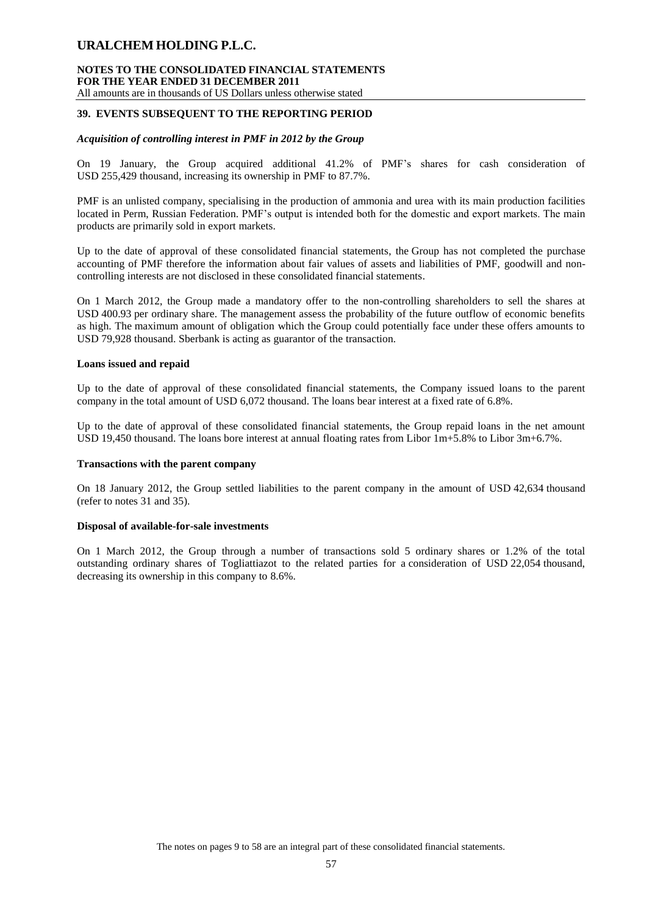#### **NOTES TO THE CONSOLIDATED FINANCIAL STATEMENTS FOR THE YEAR ENDED 31 DECEMBER 2011** All amounts are in thousands of US Dollars unless otherwise stated

## **39. EVENTS SUBSEQUENT TO THE REPORTING PERIOD**

#### *Acquisition of controlling interest in PMF in 2012 by the Group*

On 19 January, the Group acquired additional 41.2% of PMF's shares for cash consideration of USD 255,429 thousand, increasing its ownership in PMF to 87.7%.

PMF is an unlisted company, specialising in the production of ammonia and urea with its main production facilities located in Perm, Russian Federation. PMF's output is intended both for the domestic and export markets. The main products are primarily sold in export markets.

Up to the date of approval of these consolidated financial statements, the Group has not completed the purchase accounting of PMF therefore the information about fair values of assets and liabilities of PMF, goodwill and noncontrolling interests are not disclosed in these consolidated financial statements.

On 1 March 2012, the Group made a mandatory offer to the non-controlling shareholders to sell the shares at USD 400.93 per ordinary share. The management assess the probability of the future outflow of economic benefits as high. The maximum amount of obligation which the Group could potentially face under these offers amounts to USD 79,928 thousand. Sberbank is acting as guarantor of the transaction.

#### **Loans issued and repaid**

Up to the date of approval of these consolidated financial statements, the Company issued loans to the parent company in the total amount of USD 6,072 thousand. The loans bear interest at a fixed rate of 6.8%.

Up to the date of approval of these consolidated financial statements, the Group repaid loans in the net amount USD 19,450 thousand. The loans bore interest at annual floating rates from Libor 1m+5.8% to Libor 3m+6.7%.

## **Transactions with the parent company**

On 18 January 2012, the Group settled liabilities to the parent company in the amount of USD 42,634 thousand (refer to notes 31 and 35).

#### **Disposal of available-for-sale investments**

On 1 March 2012, the Group through a number of transactions sold 5 ordinary shares or 1.2% of the total outstanding ordinary shares of Togliattiazot to the related parties for a consideration of USD 22,054 thousand, decreasing its ownership in this company to 8.6%.